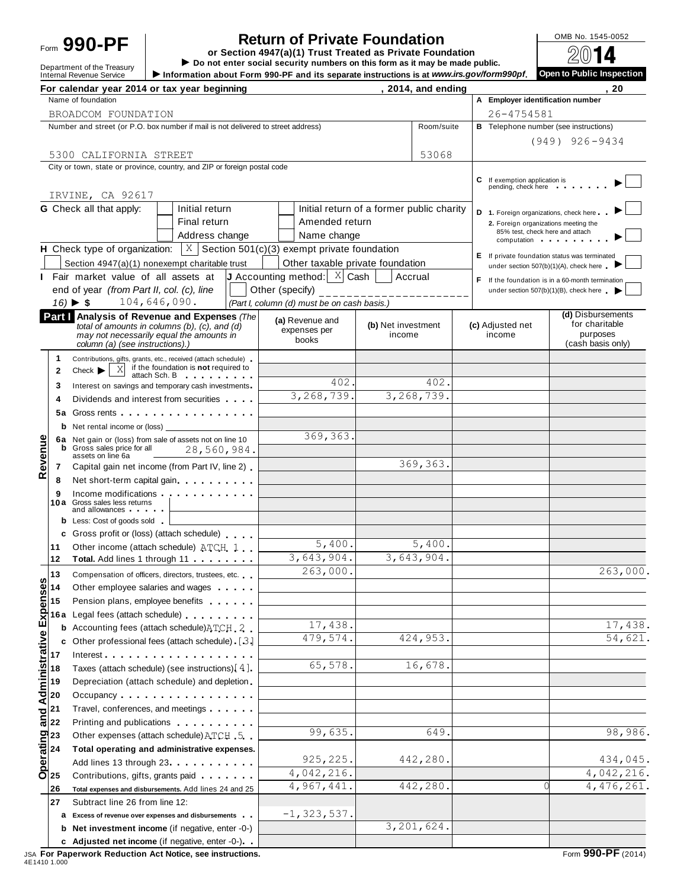## Form **990-PF or Section 4947(a)(1) Trust Treated as Private Foundation**<br>or Section 4947(a)(1) Trust Treated as Private Foundation

**Return of Private Foundation**<br>
tion 4947(a)(1) Trust Treated as Private Foundation<br>
or social sequely numbers on this form as it may be made public<br>  $\sqrt{2014}$ Department of the Treasury **Do not enter social security numbers on this form as it may be made public.**<br>Internal Revenue Service Dispection<br>Internal Revenue Service Dublic Inspection

Information about Form 990-PF and its separate instructions is at *www.irs.gov/form990pf*.

|                                                       | For calendar year 2014 or tax year beginning                                                                                                                                                                                  |                                                                                                        |                    | , 2014, and ending |                                                                         | . 20                                             |
|-------------------------------------------------------|-------------------------------------------------------------------------------------------------------------------------------------------------------------------------------------------------------------------------------|--------------------------------------------------------------------------------------------------------|--------------------|--------------------|-------------------------------------------------------------------------|--------------------------------------------------|
|                                                       | Name of foundation                                                                                                                                                                                                            |                                                                                                        |                    |                    | A Employer identification number                                        |                                                  |
|                                                       | BROADCOM FOUNDATION                                                                                                                                                                                                           |                                                                                                        |                    |                    | 26-4754581                                                              |                                                  |
|                                                       | Number and street (or P.O. box number if mail is not delivered to street address)                                                                                                                                             |                                                                                                        |                    | Room/suite         | <b>B</b> Telephone number (see instructions)                            |                                                  |
|                                                       |                                                                                                                                                                                                                               |                                                                                                        |                    |                    |                                                                         | $(949)$ $926 - 9434$                             |
|                                                       | 5300 CALIFORNIA STREET                                                                                                                                                                                                        |                                                                                                        |                    | 53068              |                                                                         |                                                  |
|                                                       | City or town, state or province, country, and ZIP or foreign postal code                                                                                                                                                      |                                                                                                        |                    |                    |                                                                         |                                                  |
|                                                       |                                                                                                                                                                                                                               |                                                                                                        |                    |                    | C If exemption application is<br>pending, check here                    |                                                  |
|                                                       | IRVINE, CA 92617                                                                                                                                                                                                              |                                                                                                        |                    |                    |                                                                         |                                                  |
|                                                       | <b>G</b> Check all that apply:<br>Initial return                                                                                                                                                                              | Initial return of a former public charity                                                              |                    |                    | D 1. Foreign organizations, check here                                  |                                                  |
|                                                       | Final return                                                                                                                                                                                                                  | Amended return                                                                                         |                    |                    | 2. Foreign organizations meeting the<br>85% test, check here and attach |                                                  |
|                                                       | Address change<br><b>H</b> Check type of organization: $\vert X \vert$ Section 501(c)(3) exempt private foundation                                                                                                            | Name change                                                                                            |                    |                    | computation                                                             |                                                  |
|                                                       |                                                                                                                                                                                                                               |                                                                                                        |                    |                    | E If private foundation status was terminated                           |                                                  |
|                                                       | Section 4947(a)(1) nonexempt charitable trust                                                                                                                                                                                 | Other taxable private foundation<br><b>J</b> Accounting method: $\begin{bmatrix} X \end{bmatrix}$ Cash | Accrual            |                    | under section 507(b)(1)(A), check here                                  |                                                  |
|                                                       | Fair market value of all assets at                                                                                                                                                                                            |                                                                                                        |                    |                    |                                                                         | F If the foundation is in a 60-month termination |
|                                                       | end of year (from Part II, col. (c), line<br>104,646,090.<br>$16$ $\triangleright$ \$                                                                                                                                         | Other (specify) _______________________<br>(Part I, column (d) must be on cash basis.)                 |                    |                    |                                                                         | under section 507(b)(1)(B), check here           |
|                                                       | Part I Analysis of Revenue and Expenses (The                                                                                                                                                                                  |                                                                                                        |                    |                    |                                                                         | (d) Disbursements                                |
|                                                       | total of amounts in columns (b), (c), and (d)                                                                                                                                                                                 | (a) Revenue and<br>expenses per                                                                        | (b) Net investment |                    | (c) Adjusted net                                                        | for charitable                                   |
|                                                       | may not necessarily equal the amounts in<br>column (a) (see instructions).)                                                                                                                                                   | books                                                                                                  | income             |                    | income                                                                  | purposes<br>(cash basis only)                    |
| 1.                                                    |                                                                                                                                                                                                                               |                                                                                                        |                    |                    |                                                                         |                                                  |
| $\mathbf{2}$                                          | Contributions, gifts, grants, etc., received (attach schedule)<br>if the foundation is not required to<br>$\mathbf{X}$<br>$Check$ $\blacktriangleright$                                                                       |                                                                                                        |                    |                    |                                                                         |                                                  |
| 3                                                     | attach Sch. B<br>.                                                                                                                                                                                                            | 402.                                                                                                   |                    | 402.               |                                                                         |                                                  |
| 4                                                     | Interest on savings and temporary cash investments<br>Dividends and interest from securities                                                                                                                                  | 3,268,739.                                                                                             |                    | 3,268,739.         |                                                                         |                                                  |
| 5а                                                    | Gross rents                                                                                                                                                                                                                   |                                                                                                        |                    |                    |                                                                         |                                                  |
|                                                       | <b>b</b> Net rental income or (loss)                                                                                                                                                                                          |                                                                                                        |                    |                    |                                                                         |                                                  |
|                                                       | 6a Net gain or (loss) from sale of assets not on line 10                                                                                                                                                                      | 369, 363.                                                                                              |                    |                    |                                                                         |                                                  |
|                                                       | <b>b</b> Gross sales price for all<br>28,560,984.                                                                                                                                                                             |                                                                                                        |                    |                    |                                                                         |                                                  |
| evenue<br>7                                           | assets on line 6a<br>Capital gain net income (from Part IV, line 2)                                                                                                                                                           |                                                                                                        |                    | 369,363.           |                                                                         |                                                  |
| 8                                                     | Net short-term capital gain                                                                                                                                                                                                   |                                                                                                        |                    |                    |                                                                         |                                                  |
| 9                                                     | Income modifications expansion and the set of the set of the set of the set of the set of the set of the set of the set of the set of the set of the set of the set of the set of the set of the set of the set of the set of |                                                                                                        |                    |                    |                                                                         |                                                  |
|                                                       | 10a Gross sales less returns<br>and allowances                                                                                                                                                                                |                                                                                                        |                    |                    |                                                                         |                                                  |
|                                                       | <b>b</b> Less: Cost of goods sold                                                                                                                                                                                             |                                                                                                        |                    |                    |                                                                         |                                                  |
|                                                       | c Gross profit or (loss) (attach schedule)                                                                                                                                                                                    |                                                                                                        |                    |                    |                                                                         |                                                  |
| 11                                                    | Other income (attach schedule) ATCH 1                                                                                                                                                                                         | 5,400.                                                                                                 |                    | 5,400.             |                                                                         |                                                  |
| 12                                                    | Total. Add lines 1 through 11                                                                                                                                                                                                 | 3,643,904.                                                                                             |                    | 3,643,904.         |                                                                         |                                                  |
| 13                                                    | Compensation of officers, directors, trustees, etc.                                                                                                                                                                           | 263,000.                                                                                               |                    |                    |                                                                         | 263,000.                                         |
|                                                       | Other employee salaries and wages                                                                                                                                                                                             |                                                                                                        |                    |                    |                                                                         |                                                  |
|                                                       | Pension plans, employee benefits                                                                                                                                                                                              |                                                                                                        |                    |                    |                                                                         |                                                  |
| Administrative Expenses<br>Administrative To to the A | 16a Legal fees (attach schedule)                                                                                                                                                                                              |                                                                                                        |                    |                    |                                                                         |                                                  |
|                                                       | <b>b</b> Accounting fees (attach schedule) ATCH 2                                                                                                                                                                             | 17,438.                                                                                                |                    |                    |                                                                         | 17,438.                                          |
|                                                       | c Other professional fees (attach schedule) [3]                                                                                                                                                                               | 479,574.                                                                                               |                    | 424,953.           |                                                                         | 54,621.                                          |
|                                                       | Interest                                                                                                                                                                                                                      |                                                                                                        |                    |                    |                                                                         |                                                  |
|                                                       | Taxes (attach schedule) (see instructions) [4].                                                                                                                                                                               | 65,578.                                                                                                |                    | 16,678.            |                                                                         |                                                  |
|                                                       | Depreciation (attach schedule) and depletion.                                                                                                                                                                                 |                                                                                                        |                    |                    |                                                                         |                                                  |
|                                                       | Occupancy                                                                                                                                                                                                                     |                                                                                                        |                    |                    |                                                                         |                                                  |
| 21                                                    | Travel, conferences, and meetings                                                                                                                                                                                             |                                                                                                        |                    |                    |                                                                         |                                                  |
| and<br>22                                             | Printing and publications <b>Community</b> Printing and publications                                                                                                                                                          | 99,635.                                                                                                |                    | 649.               |                                                                         | 98,986.                                          |
|                                                       | Other expenses (attach schedule) ATCH 5                                                                                                                                                                                       |                                                                                                        |                    |                    |                                                                         |                                                  |
| 24                                                    | Total operating and administrative expenses.                                                                                                                                                                                  | 925, 225.                                                                                              |                    | 442,280.           |                                                                         | 434,045.                                         |
| Derating<br>Operating                                 | Add lines 13 through 23 <b>Add lines</b> 13 through 23                                                                                                                                                                        | 4,042,216.                                                                                             |                    |                    |                                                                         | 4,042,216.                                       |
|                                                       | Contributions, gifts, grants paid                                                                                                                                                                                             | 4,967,441.                                                                                             |                    | 442,280.           |                                                                         | 4,476,261.                                       |
| 26<br>27                                              | Total expenses and disbursements. Add lines 24 and 25<br>Subtract line 26 from line 12:                                                                                                                                       |                                                                                                        |                    |                    |                                                                         |                                                  |
|                                                       | a Excess of revenue over expenses and disbursements                                                                                                                                                                           | $-1, 323, 537.$                                                                                        |                    |                    |                                                                         |                                                  |
|                                                       | <b>b</b> Net investment income (if negative, enter -0-)                                                                                                                                                                       |                                                                                                        |                    | 3,201,624.         |                                                                         |                                                  |
|                                                       | c Adjusted net income (if negative, enter -0-)                                                                                                                                                                                |                                                                                                        |                    |                    |                                                                         |                                                  |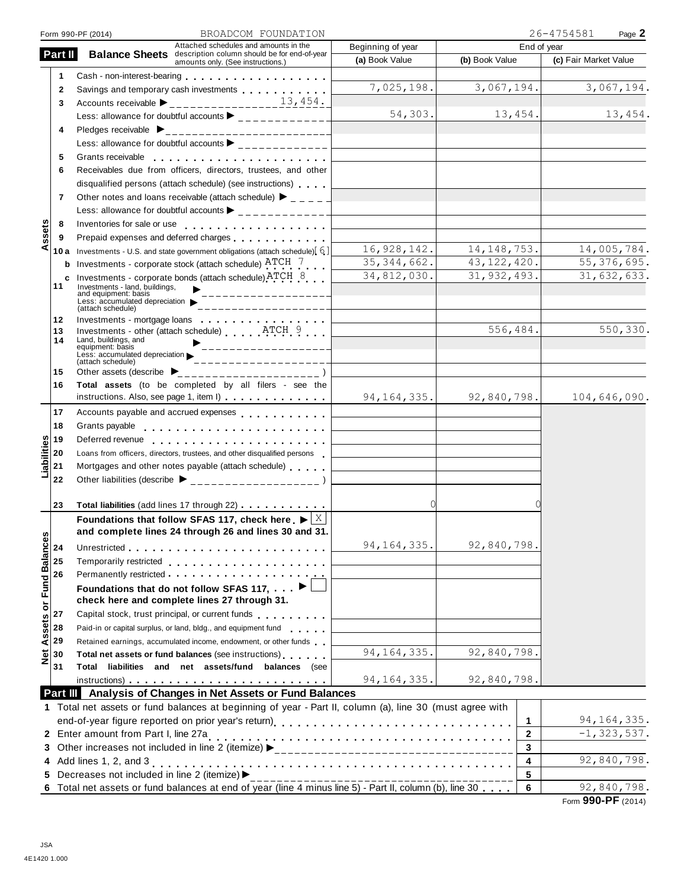|                | BROADCOM FOUNDATION<br>Form 990-PF (2014)                                                                                                                                                                                                               |                                     |                               | 26-4754581<br>Page 2  |
|----------------|---------------------------------------------------------------------------------------------------------------------------------------------------------------------------------------------------------------------------------------------------------|-------------------------------------|-------------------------------|-----------------------|
| Part II        | Attached schedules and amounts in the<br>Balance Sheets description column should be for end-of-year<br>amounts only. (See instructions.)                                                                                                               | Beginning of year<br>(a) Book Value | End of year<br>(b) Book Value | (c) Fair Market Value |
| 1              | Cash - non-interest-bearing<br>expansion of the state of the state of the state of the state of the state of the state of the state of the state of the state of the state of the state of the state of the state of the state o                        |                                     |                               |                       |
| $\mathbf{2}$   | Savings and temporary cash investments                                                                                                                                                                                                                  | 7,025,198.                          | 3,067,194.                    | 3,067,194.            |
| 3              |                                                                                                                                                                                                                                                         |                                     |                               |                       |
|                | Less: allowance for doubtful accounts                                                                                                                                                                                                                   | 54,303.                             | 13,454.                       | 13,454.               |
| 4              |                                                                                                                                                                                                                                                         |                                     |                               |                       |
|                | Less: allowance for doubtful accounts $\blacktriangleright$ _____________                                                                                                                                                                               |                                     |                               |                       |
| 5              | Grants receivable                                                                                                                                                                                                                                       |                                     |                               |                       |
| 6              | Receivables due from officers, directors, trustees, and other                                                                                                                                                                                           |                                     |                               |                       |
|                | disqualified persons (attach schedule) (see instructions)                                                                                                                                                                                               |                                     |                               |                       |
| $\overline{7}$ | Other notes and loans receivable (attach schedule) $\blacktriangleright$ _ _ _ _                                                                                                                                                                        |                                     |                               |                       |
|                | Less: allowance for doubtful accounts $\blacktriangleright$ _____________                                                                                                                                                                               |                                     |                               |                       |
| 8              |                                                                                                                                                                                                                                                         |                                     |                               |                       |
| 9              | Prepaid expenses and deferred charges                                                                                                                                                                                                                   |                                     |                               |                       |
| 10 a           | Investments - U.S. and state government obligations (attach schedule) [6]                                                                                                                                                                               | 16, 928, 142.                       | 14, 148, 753.                 | 14,005,784.           |
| b              | Investments - corporate stock (attach schedule) ATCH 7                                                                                                                                                                                                  | 35, 344, 662.                       | 43, 122, 420.                 | 55, 376, 695.         |
| c              | Investments - corporate bonds (attach schedule) ATCH 8                                                                                                                                                                                                  | 34,812,030.                         | 31, 932, 493.                 | 31,632,633.           |
| 11             | Investments - land, buildings,                                                                                                                                                                                                                          |                                     |                               |                       |
|                | and equipment: basis<br>Less: accumulated depreciation                                                                                                                                                                                                  |                                     |                               |                       |
|                | (attach schedule)                                                                                                                                                                                                                                       |                                     |                               |                       |
| 12<br>13       |                                                                                                                                                                                                                                                         |                                     | 556,484.                      | 550,330.              |
| 14             | Land, buildings, and                                                                                                                                                                                                                                    |                                     |                               |                       |
|                | equipment: basis<br>Less: accumulated depreciation                                                                                                                                                                                                      |                                     |                               |                       |
| 15             | (attach schedule)                                                                                                                                                                                                                                       |                                     |                               |                       |
| 16             | Other assets (describe $\blacktriangleright$<br>Total assets (to be completed by all filers - see the                                                                                                                                                   |                                     |                               |                       |
|                | instructions. Also, see page 1, item I)                                                                                                                                                                                                                 | 94, 164, 335.                       | 92,840,798.                   | 104,646,090.          |
|                |                                                                                                                                                                                                                                                         |                                     |                               |                       |
| 17             | Accounts payable and accrued expenses                                                                                                                                                                                                                   |                                     |                               |                       |
| 18<br>19       | Grants payable                                                                                                                                                                                                                                          |                                     |                               |                       |
| 20             | Deferred revenue entering the state of the state of the state of the state of the state of the state of the state of the state of the state of the state of the state of the state of the state of the state of the state of t                          |                                     |                               |                       |
| 21             | Loans from officers, directors, trustees, and other disqualified persons<br>Mortgages and other notes payable (attach schedule)                                                                                                                         |                                     |                               |                       |
|                |                                                                                                                                                                                                                                                         |                                     |                               |                       |
| 22             | Other liabilities (describe $\triangleright$ ___________________                                                                                                                                                                                        |                                     |                               |                       |
| 23             | Total liabilities (add lines 17 through 22)                                                                                                                                                                                                             | 0                                   |                               |                       |
|                | Foundations that follow SFAS 117, check here $\blacktriangleright$ $\vert$ X                                                                                                                                                                            |                                     |                               |                       |
|                | and complete lines 24 through 26 and lines 30 and 31.                                                                                                                                                                                                   |                                     |                               |                       |
|                |                                                                                                                                                                                                                                                         | 94, 164, 335.                       | 92,840,798.                   |                       |
| 24             |                                                                                                                                                                                                                                                         |                                     |                               |                       |
| 25             | Temporarily restricted enterprise and the set of the set of the set of the set of the set of the set of the set of the set of the set of the set of the set of the set of the set of the set of the set of the set of the set<br>Permanently restricted |                                     |                               |                       |
| 26             |                                                                                                                                                                                                                                                         |                                     |                               |                       |
|                | Foundations that do not follow SFAS 117, $\blacktriangleright$<br>check here and complete lines 27 through 31.                                                                                                                                          |                                     |                               |                       |
| 27             | Capital stock, trust principal, or current funds                                                                                                                                                                                                        |                                     |                               |                       |
| 28             | Paid-in or capital surplus, or land, bldg., and equipment fund                                                                                                                                                                                          |                                     |                               |                       |
| 29             | Retained earnings, accumulated income, endowment, or other funds                                                                                                                                                                                        |                                     |                               |                       |
| 30             | Total net assets or fund balances (see instructions)                                                                                                                                                                                                    | 94, 164, 335.                       | 92,840,798.                   |                       |
| 31             | Total liabilities and net assets/fund balances (see                                                                                                                                                                                                     |                                     |                               |                       |
|                |                                                                                                                                                                                                                                                         | 94, 164, 335.                       | 92,840,798.                   |                       |
|                | <b>Part III</b> Analysis of Changes in Net Assets or Fund Balances                                                                                                                                                                                      |                                     |                               |                       |
|                | 1 Total net assets or fund balances at beginning of year - Part II, column (a), line 30 (must agree with                                                                                                                                                |                                     |                               |                       |
|                |                                                                                                                                                                                                                                                         |                                     | 1                             | 94, 164, 335.         |
|                |                                                                                                                                                                                                                                                         |                                     | $\mathbf{2}$                  | $-1, 323, 537.$       |
|                |                                                                                                                                                                                                                                                         |                                     | $\mathbf{3}$                  |                       |
| 4              |                                                                                                                                                                                                                                                         |                                     | 4                             | 92,840,798.           |
|                | Decreases not included in line 2 (itemize) ▶                                                                                                                                                                                                            |                                     | 5                             |                       |
| 5.             |                                                                                                                                                                                                                                                         |                                     |                               |                       |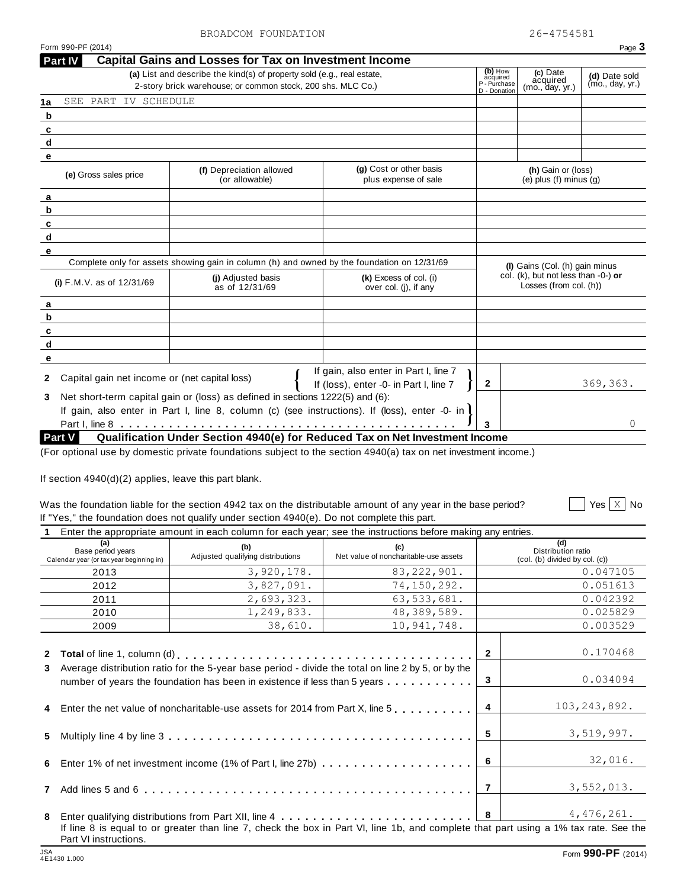2-story brick warehouse; or common stock, 200 shs. MLC Co.)

**Part IV Capital Gains and Losses for Tax on Investment Income**

**1a**

SEE PART IV SCHEDULE

**(b)** How **(c)** Date **acquired**<br>acquired acquired<br>- Donation (mo., day, yr.)

| (e) Gross sales price                                 | (f) Depreciation allowed<br>(or allowable)                                                                        | (g) Cost or other basis<br>plus expense of sale                                                                                                                                                                                   |              | (h) Gain or (loss)<br>(e) plus $(f)$ minus $(g)$                         |
|-------------------------------------------------------|-------------------------------------------------------------------------------------------------------------------|-----------------------------------------------------------------------------------------------------------------------------------------------------------------------------------------------------------------------------------|--------------|--------------------------------------------------------------------------|
|                                                       |                                                                                                                   |                                                                                                                                                                                                                                   |              |                                                                          |
|                                                       |                                                                                                                   |                                                                                                                                                                                                                                   |              |                                                                          |
|                                                       |                                                                                                                   |                                                                                                                                                                                                                                   |              |                                                                          |
|                                                       |                                                                                                                   |                                                                                                                                                                                                                                   |              |                                                                          |
|                                                       |                                                                                                                   |                                                                                                                                                                                                                                   |              |                                                                          |
|                                                       | Complete only for assets showing gain in column (h) and owned by the foundation on 12/31/69<br>(j) Adjusted basis | (k) Excess of col. (i)                                                                                                                                                                                                            |              | (I) Gains (Col. (h) gain minus<br>col. (k), but not less than $-0$ -) or |
| (i) $F.M.V.$ as of $12/31/69$                         | as of 12/31/69                                                                                                    | over col. (j), if any                                                                                                                                                                                                             |              | Losses (from col. (h))                                                   |
|                                                       |                                                                                                                   |                                                                                                                                                                                                                                   |              |                                                                          |
|                                                       |                                                                                                                   |                                                                                                                                                                                                                                   |              |                                                                          |
|                                                       |                                                                                                                   |                                                                                                                                                                                                                                   |              |                                                                          |
|                                                       |                                                                                                                   |                                                                                                                                                                                                                                   |              |                                                                          |
|                                                       |                                                                                                                   |                                                                                                                                                                                                                                   |              |                                                                          |
| Capital gain net income or (net capital loss)         |                                                                                                                   | If gain, also enter in Part I, line 7                                                                                                                                                                                             |              |                                                                          |
|                                                       |                                                                                                                   | If (loss), enter -0- in Part I, line 7                                                                                                                                                                                            | $\mathbf{2}$ | 369,363.                                                                 |
|                                                       | Net short-term capital gain or (loss) as defined in sections 1222(5) and (6):                                     |                                                                                                                                                                                                                                   |              |                                                                          |
|                                                       |                                                                                                                   | If gain, also enter in Part I, line 8, column (c) (see instructions). If (loss), enter -0- in                                                                                                                                     |              |                                                                          |
| Part V                                                |                                                                                                                   | Qualification Under Section 4940(e) for Reduced Tax on Net Investment Income                                                                                                                                                      | 3            | 0                                                                        |
| If section 4940(d)(2) applies, leave this part blank. |                                                                                                                   | (For optional use by domestic private foundations subject to the section 4940(a) tax on net investment income.)<br>Was the foundation liable for the section 4942 tax on the distributable amount of any year in the base period? |              | Yes $\vert$ X $\vert$ No                                                 |
|                                                       | If "Yes," the foundation does not qualify under section 4940(e). Do not complete this part.                       |                                                                                                                                                                                                                                   |              |                                                                          |
| (a)                                                   |                                                                                                                   | Enter the appropriate amount in each column for each year; see the instructions before making any entries.                                                                                                                        |              | (d)                                                                      |
| Base period years                                     | (b)<br>Adjusted qualifying distributions                                                                          | (c)<br>Net value of noncharitable-use assets                                                                                                                                                                                      |              | Distribution ratio                                                       |
|                                                       |                                                                                                                   |                                                                                                                                                                                                                                   |              | (col. (b) divided by col. (c))<br>0.047105                               |
| 2013                                                  | 3,920,178.                                                                                                        | 83, 222, 901.                                                                                                                                                                                                                     |              | 0.051613                                                                 |
| 2012<br>2011                                          | 3,827,091.                                                                                                        | 74,150,292.                                                                                                                                                                                                                       |              | 0.042392                                                                 |
| 2010                                                  | 2,693,323.<br>1,249,833.                                                                                          | 63,533,681.<br>48, 389, 589.                                                                                                                                                                                                      |              | 0.025829                                                                 |
| 2009                                                  | 38,610.                                                                                                           | 10, 941, 748.                                                                                                                                                                                                                     |              | 0.003529                                                                 |
|                                                       |                                                                                                                   |                                                                                                                                                                                                                                   |              |                                                                          |
| Calendar year (or tax year beginning in)              |                                                                                                                   |                                                                                                                                                                                                                                   | $\mathbf{2}$ | 0.170468                                                                 |
|                                                       |                                                                                                                   | Average distribution ratio for the 5-year base period - divide the total on line 2 by 5, or by the                                                                                                                                |              |                                                                          |
|                                                       |                                                                                                                   | number of years the foundation has been in existence if less than 5 years                                                                                                                                                         | 3            |                                                                          |
|                                                       |                                                                                                                   | Enter the net value of noncharitable-use assets for 2014 from Part X, line 5                                                                                                                                                      | 4            | 0.034094<br>103, 243, 892.                                               |
|                                                       |                                                                                                                   |                                                                                                                                                                                                                                   | 5            | 3,519,997.                                                               |
|                                                       |                                                                                                                   |                                                                                                                                                                                                                                   | 6            | 32,016.                                                                  |
|                                                       |                                                                                                                   |                                                                                                                                                                                                                                   | 7            | 3,552,013.                                                               |
|                                                       |                                                                                                                   |                                                                                                                                                                                                                                   | 8            | 4,476,261.                                                               |

**(a)** List and describe the kind(s) of property sold (e.g., real estate,<br>
2-story brick warehouse; or common stock, 200 shs. MLC Co.)<br>
<sup>2</sup>-bonation (mo., day, yr.) (mo., day, yr.) (mo., day, yr.)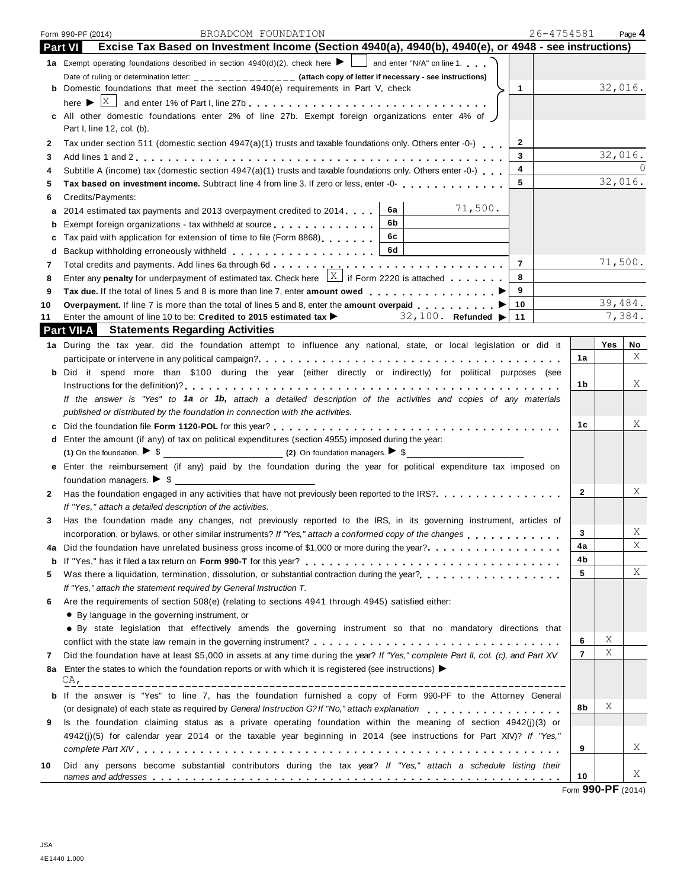|                | 26-4754581<br>BROADCOM FOUNDATION<br>Form 990-PF (2014)                                                                                       |                |         | Page 4 |
|----------------|-----------------------------------------------------------------------------------------------------------------------------------------------|----------------|---------|--------|
| <b>Part VI</b> | Excise Tax Based on Investment Income (Section 4940(a), 4940(b), 4940(e), or 4948 - see instructions)                                         |                |         |        |
|                | <b>1a</b> Exempt operating foundations described in section $4940(d)(2)$ , check here $\blacktriangleright$ $\Box$ and enter "N/A" on line 1. |                |         |        |
|                | Date of ruling or determination letter: _______________ (attach copy of letter if necessary - see instructions)                               |                |         |        |
|                | <b>b</b> Domestic foundations that meet the section $4940(e)$ requirements in Part V, check<br>$\mathbf{1}$                                   |                | 32,016. |        |
|                | here $\blacktriangleright$                                                                                                                    |                |         |        |
|                | c All other domestic foundations enter 2% of line 27b. Exempt foreign organizations enter 4% of J                                             |                |         |        |
|                | Part I, line 12, col. (b).                                                                                                                    |                |         |        |
| $\mathbf{2}$   | Tax under section 511 (domestic section $4947(a)(1)$ trusts and taxable foundations only. Others enter -0-)<br>$\mathbf{2}$                   |                | 32,016. |        |
| 3              | 3                                                                                                                                             |                |         |        |
| 4              | 4<br>Subtitle A (income) tax (domestic section 4947(a)(1) trusts and taxable foundations only. Others enter -0-)                              |                | 32,016. |        |
| 5              | 5<br>Tax based on investment income. Subtract line 4 from line 3. If zero or less, enter -0- regional properties in                           |                |         |        |
| 6              | Credits/Payments:                                                                                                                             |                |         |        |
| а              | 71,500.<br>6a<br>2014 estimated tax payments and 2013 overpayment credited to 2014.                                                           |                |         |        |
| b              | 6b<br>Exempt foreign organizations - tax withheld at source                                                                                   |                |         |        |
| c              | 6c<br>Tax paid with application for extension of time to file (Form 8868)                                                                     |                |         |        |
| d              | 6d                                                                                                                                            |                |         |        |
| 7              | $\overline{7}$                                                                                                                                |                | 71,500. |        |
| 8              | Enter any <b>penalty</b> for underpayment of estimated tax. Check here $\frac{X}{X}$ if Form 2220 is attached<br>8                            |                |         |        |
| 9              | 9                                                                                                                                             |                |         |        |
| 10             | 10<br><b>Overpayment.</b> If line 7 is more than the total of lines 5 and 8, enter the <b>amount overpaid</b>                                 |                | 39,484. |        |
|                | 32,100. Refunded ><br>11<br>Enter the amount of line 10 to be: Credited to 2015 estimated tax $\blacktriangleright$                           |                |         | 7,384. |
|                | <b>Part VII-A</b> Statements Regarding Activities                                                                                             |                |         |        |
|                | 1a During the tax year, did the foundation attempt to influence any national, state, or local legislation or did it                           |                | Yes     | No     |
|                |                                                                                                                                               | 1a             |         | X      |
|                | <b>b</b> Did it spend more than \$100 during the year (either directly or indirectly) for political purposes (see                             |                |         |        |
|                |                                                                                                                                               | 1b             |         | Χ      |
|                | If the answer is "Yes" to 1a or 1b, attach a detailed description of the activities and copies of any materials                               |                |         |        |
|                | published or distributed by the foundation in connection with the activities.                                                                 |                |         |        |
| c              |                                                                                                                                               | 1c             |         | Χ      |
|                | d Enter the amount (if any) of tax on political expenditures (section 4955) imposed during the year:                                          |                |         |        |
|                |                                                                                                                                               |                |         |        |
|                | Enter the reimbursement (if any) paid by the foundation during the year for political expenditure tax imposed on                              |                |         |        |
|                | foundation managers. $\triangleright$ \$                                                                                                      |                |         |        |
| 2              | Has the foundation engaged in any activities that have not previously been reported to the IRS?                                               | 2              |         | Χ      |
|                | If "Yes," attach a detailed description of the activities.                                                                                    |                |         |        |
| 3              | Has the foundation made any changes, not previously reported to the IRS, in its governing instrument, articles of                             |                |         |        |
|                | incorporation, or bylaws, or other similar instruments? If "Yes," attach a conformed copy of the changes                                      | 3              |         | Χ      |
| 4a             | Did the foundation have unrelated business gross income of \$1,000 or more during the year?<br>                                               | 4a             |         | Χ      |
| b              |                                                                                                                                               | 4b             |         |        |
| 5              | Was there a liquidation, termination, dissolution, or substantial contraction during the year?<br>                                            | 5              |         | Χ      |
|                | If "Yes," attach the statement required by General Instruction T.                                                                             |                |         |        |
| 6              | Are the requirements of section 508(e) (relating to sections 4941 through 4945) satisfied either:                                             |                |         |        |
|                | • By language in the governing instrument, or                                                                                                 |                |         |        |
|                | • By state legislation that effectively amends the governing instrument so that no mandatory directions that                                  |                |         |        |
|                |                                                                                                                                               | 6              | Χ       |        |
| 7              | Did the foundation have at least \$5,000 in assets at any time during the year? If "Yes," complete Part II, col. (c), and Part XV             | $\overline{7}$ | Χ       |        |
|                | Enter the states to which the foundation reports or with which it is registered (see instructions)                                            |                |         |        |
| 8а             | CA <sub>r</sub>                                                                                                                               |                |         |        |
|                | If the answer is "Yes" to line 7, has the foundation furnished a copy of Form 990-PF to the Attorney General                                  |                |         |        |
|                |                                                                                                                                               | 8b             | Χ       |        |
|                | (or designate) of each state as required by General Instruction G? If "No," attach explanation                                                |                |         |        |
|                | Is the foundation claiming status as a private operating foundation within the meaning of section 4942(j)(3) or                               |                |         |        |
|                | 4942(j)(5) for calendar year 2014 or the taxable year beginning in 2014 (see instructions for Part XIV)? If "Yes,"                            |                |         |        |
| b<br>9         |                                                                                                                                               | 9              |         | Χ      |
|                | Did any persons become substantial contributors during the tax year? If "Yes," attach a schedule listing their                                |                |         |        |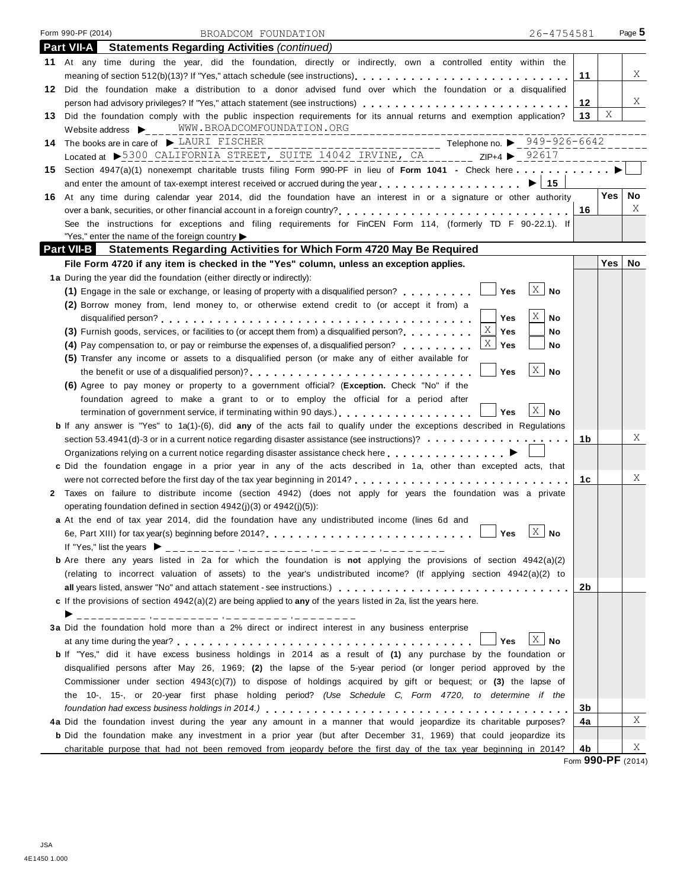| Form 990-PF (2014)<br>26-4754581<br>BROADCOM FOUNDATION                                                                                                       |            | Page 5     |
|---------------------------------------------------------------------------------------------------------------------------------------------------------------|------------|------------|
| <b>Part VII-A</b><br><b>Statements Regarding Activities (continued)</b>                                                                                       |            |            |
| 11 At any time during the year, did the foundation, directly or indirectly, own a controlled entity within the                                                |            |            |
| meaning of section 512(b)(13)? If "Yes," attach schedule (see instructions)                                                                                   | 11         | X          |
| 12 Did the foundation make a distribution to a donor advised fund over which the foundation or a disqualified                                                 |            |            |
| person had advisory privileges? If "Yes," attach statement (see instructions)                                                                                 | 12         | Χ          |
| 13 Did the foundation comply with the public inspection requirements for its annual returns and exemption application?                                        | Χ<br>13    |            |
| Website address $\triangleright$ WWW.BROADCOMFOUNDATION.ORG                                                                                                   |            |            |
| 14 The books are in care of $\blacktriangleright$ LAURI FISCHER                                                                                               |            |            |
| Located at >5300 CALIFORNIA STREET, SUITE 14042 IRVINE, CA _______ ZIP+4 > 92617                                                                              |            |            |
| 15 Section 4947(a)(1) nonexempt charitable trusts filing Form 990-PF in lieu of Form 1041 - Check here                                                        |            |            |
| and enter the amount of tax-exempt interest received or accrued during the year $\ldots$ , $\ldots$ , $\ldots$ , $\ldots$ , $\blacktriangleright$ 15          |            |            |
| 16 At any time during calendar year 2014, did the foundation have an interest in or a signature or other authority                                            |            | Yes <br>No |
| over a bank, securities, or other financial account in a foreign country?<br>$\ldots, \ldots, \ldots, \ldots, \ldots, \ldots, \ldots, \ldots, \ldots, \ldots$ | 16         | Χ          |
| See the instructions for exceptions and filing requirements for FinCEN Form 114, (formerly TD F 90-22.1). If                                                  |            |            |
| "Yes," enter the name of the foreign country $\blacktriangleright$                                                                                            |            |            |
| Statements Regarding Activities for Which Form 4720 May Be Required<br><b>Part VII-B</b>                                                                      |            |            |
| File Form 4720 if any item is checked in the "Yes" column, unless an exception applies.                                                                       | <b>Yes</b> | No         |
| 1a During the year did the foundation (either directly or indirectly):                                                                                        |            |            |
| $X \mid$<br>Yes<br><b>No</b><br>(1) Engage in the sale or exchange, or leasing of property with a disqualified person?                                        |            |            |
| (2) Borrow money from, lend money to, or otherwise extend credit to (or accept it from) a                                                                     |            |            |
| X<br><b>Yes</b><br><b>No</b>                                                                                                                                  |            |            |
| Χ<br>(3) Furnish goods, services, or facilities to (or accept them from) a disqualified person?<br>Yes<br>No                                                  |            |            |
| ΧI<br>(4) Pay compensation to, or pay or reimburse the expenses of, a disqualified person?<br>Yes<br>No                                                       |            |            |
| (5) Transfer any income or assets to a disqualified person (or make any of either available for                                                               |            |            |
| $X \mid$<br><b>No</b><br>Yes                                                                                                                                  |            |            |
| (6) Agree to pay money or property to a government official? (Exception. Check "No" if the                                                                    |            |            |
| foundation agreed to make a grant to or to employ the official for a period after                                                                             |            |            |
| X  <br>Yes<br>No<br>termination of government service, if terminating within 90 days.                                                                         |            |            |
| <b>b</b> If any answer is "Yes" to 1a(1)-(6), did any of the acts fail to qualify under the exceptions described in Regulations                               |            |            |
|                                                                                                                                                               | 1b         | Χ          |
| Organizations relying on a current notice regarding disaster assistance check here <b>contained as a contained as a</b>                                       |            |            |
| c Did the foundation engage in a prior year in any of the acts described in 1a, other than excepted acts, that                                                |            |            |
|                                                                                                                                                               | 1c         | Χ          |
| 2 Taxes on failure to distribute income (section 4942) (does not apply for years the foundation was a private                                                 |            |            |
| operating foundation defined in section $4942(j)(3)$ or $4942(j)(5)$ :                                                                                        |            |            |
| a At the end of tax year 2014, did the foundation have any undistributed income (lines 6d and                                                                 |            |            |
| $X \mid No$<br>Yes                                                                                                                                            |            |            |
| If "Yes," list the years $\triangleright$ __________ ,_______ ,_____ ,____ ,____ ,____ ,____                                                                  |            |            |
| <b>b</b> Are there any years listed in 2a for which the foundation is not applying the provisions of section 4942(a)(2)                                       |            |            |
| (relating to incorrect valuation of assets) to the year's undistributed income? (If applying section 4942(a)(2) to                                            |            |            |
| all years listed, answer "No" and attach statement - see instructions.)                                                                                       | 2b         |            |
| c If the provisions of section $4942(a)(2)$ are being applied to any of the years listed in 2a, list the years here.                                          |            |            |
|                                                                                                                                                               |            |            |
| 3a Did the foundation hold more than a 2% direct or indirect interest in any business enterprise                                                              |            |            |
| X <sub>1</sub><br>Yes<br>No                                                                                                                                   |            |            |
| b If "Yes," did it have excess business holdings in 2014 as a result of (1) any purchase by the foundation or                                                 |            |            |
| disqualified persons after May 26, 1969; (2) the lapse of the 5-year period (or longer period approved by the                                                 |            |            |
| Commissioner under section $4943(c)(7)$ to dispose of holdings acquired by gift or bequest; or (3) the lapse of                                               |            |            |
| the 10-, 15-, or 20-year first phase holding period? (Use Schedule C, Form 4720, to determine if the                                                          |            |            |
|                                                                                                                                                               | 3b         |            |
| 4a Did the foundation invest during the year any amount in a manner that would jeopardize its charitable purposes?                                            | 4a         | Χ          |
| <b>b</b> Did the foundation make any investment in a prior year (but after December 31, 1969) that could jeopardize its                                       |            |            |
| charitable purpose that had not been removed from jeopardy before the first day of the tax year beginning in 2014?                                            | 4b         | Χ          |

Form **990-PF** (2014)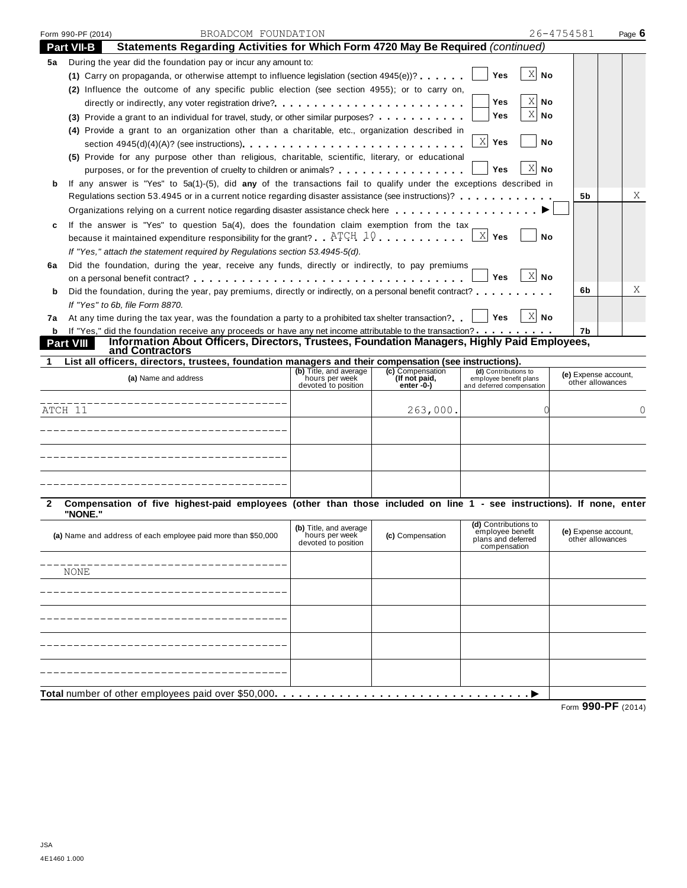|                   | BROADCOM FOUNDATION<br>Form 990-PF (2014)                                                                                                                                                                                      |                                       |                               |                                                     | 26-4754581                               | Page 6 |
|-------------------|--------------------------------------------------------------------------------------------------------------------------------------------------------------------------------------------------------------------------------|---------------------------------------|-------------------------------|-----------------------------------------------------|------------------------------------------|--------|
|                   | Statements Regarding Activities for Which Form 4720 May Be Required (continued)<br><b>Part VII-B</b>                                                                                                                           |                                       |                               |                                                     |                                          |        |
| 5а                | During the year did the foundation pay or incur any amount to:                                                                                                                                                                 |                                       |                               |                                                     |                                          |        |
|                   | (1) Carry on propaganda, or otherwise attempt to influence legislation (section $4945(e)$ )?                                                                                                                                   |                                       |                               | $X$ No<br><b>Yes</b>                                |                                          |        |
|                   | (2) Influence the outcome of any specific public election (see section 4955); or to carry on,                                                                                                                                  |                                       |                               |                                                     |                                          |        |
|                   |                                                                                                                                                                                                                                |                                       |                               | Χ<br>Yes<br>No                                      |                                          |        |
|                   | (3) Provide a grant to an individual for travel, study, or other similar purposes?                                                                                                                                             |                                       |                               | X<br>Yes<br>No                                      |                                          |        |
|                   | (4) Provide a grant to an organization other than a charitable, etc., organization described in                                                                                                                                |                                       |                               |                                                     |                                          |        |
|                   | section $4945(d)(4)(A)$ ? (see instructions)                                                                                                                                                                                   |                                       |                               | X Yes<br><b>No</b>                                  |                                          |        |
|                   | (5) Provide for any purpose other than religious, charitable, scientific, literary, or educational                                                                                                                             |                                       |                               |                                                     |                                          |        |
|                   | purposes, or for the prevention of cruelty to children or animals? $\ldots$ , $\ldots$ , $\ldots$ , $\ldots$ , $\ldots$                                                                                                        |                                       |                               | <b>Yes</b><br>No                                    |                                          |        |
| b                 | If any answer is "Yes" to 5a(1)-(5), did any of the transactions fail to qualify under the exceptions described in                                                                                                             |                                       |                               |                                                     |                                          |        |
|                   | Regulations section 53.4945 or in a current notice regarding disaster assistance (see instructions)?                                                                                                                           |                                       |                               |                                                     | 5b                                       | Χ      |
|                   | Organizations relying on a current notice regarding disaster assistance check here entitled in the entity of the entry of the entry of the entry of the entry of the entry of the entry of the entry of the entry of the entry |                                       |                               |                                                     |                                          |        |
| c                 | If the answer is "Yes" to question 5a(4), does the foundation claim exemption from the tax                                                                                                                                     |                                       |                               |                                                     |                                          |        |
|                   | because it maintained expenditure responsibility for the grant? $\mathbb{A}^{\text{TCH}}$ , $10$ ,                                                                                                                             |                                       |                               | $X$ Yes<br><b>No</b>                                |                                          |        |
|                   | If "Yes," attach the statement required by Requlations section 53.4945-5(d).                                                                                                                                                   |                                       |                               |                                                     |                                          |        |
| 6a                | Did the foundation, during the year, receive any funds, directly or indirectly, to pay premiums                                                                                                                                |                                       |                               | $X$ No<br><b>Yes</b>                                |                                          |        |
|                   | Did the foundation, during the year, pay premiums, directly or indirectly, on a personal benefit contract?                                                                                                                     |                                       |                               |                                                     | 6b                                       | Χ      |
| b                 | If "Yes" to 6b, file Form 8870.                                                                                                                                                                                                |                                       |                               |                                                     |                                          |        |
| 7а                | At any time during the tax year, was the foundation a party to a prohibited tax shelter transaction?                                                                                                                           |                                       |                               | $X$ No<br>Yes                                       |                                          |        |
|                   | If "Yes," did the foundation receive any proceeds or have any net income attributable to the transaction?                                                                                                                      |                                       |                               |                                                     | 7b                                       |        |
| Part VIII         | Information About Officers, Directors, Trustees, Foundation Managers, Highly Paid Employees,                                                                                                                                   |                                       |                               |                                                     |                                          |        |
|                   | and Contractors                                                                                                                                                                                                                |                                       |                               |                                                     |                                          |        |
|                   |                                                                                                                                                                                                                                |                                       |                               |                                                     |                                          |        |
|                   | List all officers, directors, trustees, foundation managers and their compensation (see instructions).                                                                                                                         | (b) Title, and average                | (c) Compensation              | (d) Contributions to                                |                                          |        |
|                   | (a) Name and address                                                                                                                                                                                                           | hours per week<br>devoted to position | (If not paid,<br>$enter - 0-$ | employee benefit plans<br>and deferred compensation | (e) Expense account,<br>other allowances |        |
|                   | ____________________________                                                                                                                                                                                                   |                                       |                               |                                                     |                                          |        |
|                   |                                                                                                                                                                                                                                |                                       | 263,000.                      |                                                     |                                          |        |
|                   |                                                                                                                                                                                                                                |                                       |                               |                                                     |                                          | 0      |
|                   |                                                                                                                                                                                                                                |                                       |                               |                                                     |                                          |        |
|                   |                                                                                                                                                                                                                                |                                       |                               |                                                     |                                          |        |
|                   |                                                                                                                                                                                                                                |                                       |                               |                                                     |                                          |        |
|                   |                                                                                                                                                                                                                                |                                       |                               |                                                     |                                          |        |
|                   |                                                                                                                                                                                                                                |                                       |                               |                                                     |                                          |        |
|                   | Compensation of five highest-paid employees (other than those included on line 1 - see instructions). If none, enter<br>"NONE."                                                                                                |                                       |                               |                                                     |                                          |        |
|                   |                                                                                                                                                                                                                                | (b) Title, and average                |                               | (d) Contributions to                                |                                          |        |
|                   | (a) Name and address of each employee paid more than \$50,000                                                                                                                                                                  | hours per week<br>devoted to position | (c) Compensation              | employee benefit<br>plans and deferred              | (e) Expense account,<br>other allowances |        |
|                   |                                                                                                                                                                                                                                |                                       |                               | compensation                                        |                                          |        |
|                   | NONE                                                                                                                                                                                                                           |                                       |                               |                                                     |                                          |        |
|                   |                                                                                                                                                                                                                                |                                       |                               |                                                     |                                          |        |
|                   |                                                                                                                                                                                                                                |                                       |                               |                                                     |                                          |        |
|                   |                                                                                                                                                                                                                                |                                       |                               |                                                     |                                          |        |
|                   |                                                                                                                                                                                                                                |                                       |                               |                                                     |                                          |        |
|                   |                                                                                                                                                                                                                                |                                       |                               |                                                     |                                          |        |
| 1<br>ATCH 11<br>2 |                                                                                                                                                                                                                                |                                       |                               |                                                     |                                          |        |
|                   |                                                                                                                                                                                                                                |                                       |                               |                                                     |                                          |        |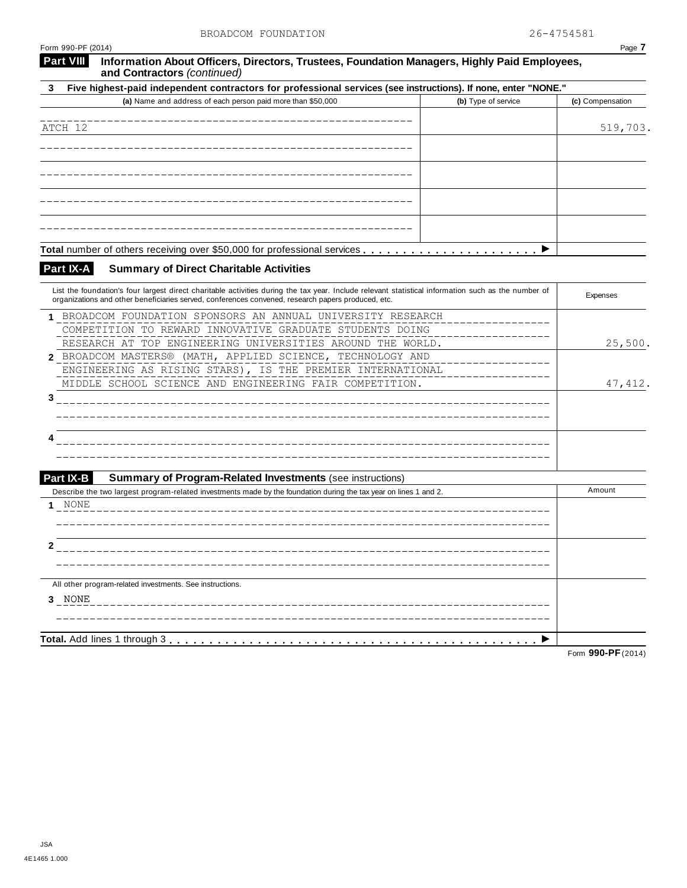| Form 990-PF (2014)                                                                                                                                                                                                                                        | Page 7           |
|-----------------------------------------------------------------------------------------------------------------------------------------------------------------------------------------------------------------------------------------------------------|------------------|
| <b>Part VIII</b><br>Information About Officers, Directors, Trustees, Foundation Managers, Highly Paid Employees,<br>and Contractors (continued)                                                                                                           |                  |
| Five highest-paid independent contractors for professional services (see instructions). If none, enter "NONE."<br>3                                                                                                                                       |                  |
| (a) Name and address of each person paid more than \$50,000<br>(b) Type of service                                                                                                                                                                        | (c) Compensation |
|                                                                                                                                                                                                                                                           |                  |
| ATCH 12                                                                                                                                                                                                                                                   | 519,703.         |
|                                                                                                                                                                                                                                                           |                  |
|                                                                                                                                                                                                                                                           |                  |
|                                                                                                                                                                                                                                                           |                  |
|                                                                                                                                                                                                                                                           |                  |
|                                                                                                                                                                                                                                                           |                  |
|                                                                                                                                                                                                                                                           |                  |
| Total number of others receiving over \$50,000 for professional services<br>▶                                                                                                                                                                             |                  |
| Part IX-A<br><b>Summary of Direct Charitable Activities</b>                                                                                                                                                                                               |                  |
| List the foundation's four largest direct charitable activities during the tax year. Include relevant statistical information such as the number of<br>organizations and other beneficiaries served, conferences convened, research papers produced, etc. | Expenses         |
| 1 BROADCOM FOUNDATION SPONSORS AN ANNUAL UNIVERSITY RESEARCH                                                                                                                                                                                              |                  |
| COMPETITION TO REWARD INNOVATIVE GRADUATE STUDENTS DOING                                                                                                                                                                                                  |                  |
| RESEARCH AT TOP ENGINEERING UNIVERSITIES AROUND THE WORLD.                                                                                                                                                                                                | 25,500.          |
| 2 BROADCOM MASTERS® (MATH, APPLIED SCIENCE, TECHNOLOGY AND                                                                                                                                                                                                |                  |
| ENGINEERING AS RISING STARS), IS THE PREMIER INTERNATIONAL                                                                                                                                                                                                |                  |
| MIDDLE SCHOOL SCIENCE AND ENGINEERING FAIR COMPETITION.                                                                                                                                                                                                   | 47, 412.         |
| 3                                                                                                                                                                                                                                                         |                  |
|                                                                                                                                                                                                                                                           |                  |
|                                                                                                                                                                                                                                                           |                  |
|                                                                                                                                                                                                                                                           |                  |
|                                                                                                                                                                                                                                                           |                  |
| <b>Part IX-B</b><br><b>Summary of Program-Related Investments (see instructions)</b>                                                                                                                                                                      |                  |
| Describe the two largest program-related investments made by the foundation during the tax year on lines 1 and 2.<br>NONE                                                                                                                                 | Amount           |
|                                                                                                                                                                                                                                                           |                  |
|                                                                                                                                                                                                                                                           |                  |
| 2                                                                                                                                                                                                                                                         |                  |
|                                                                                                                                                                                                                                                           |                  |
| All other program-related investments. See instructions.                                                                                                                                                                                                  |                  |
| 3 NONE                                                                                                                                                                                                                                                    |                  |
|                                                                                                                                                                                                                                                           |                  |
|                                                                                                                                                                                                                                                           |                  |
|                                                                                                                                                                                                                                                           |                  |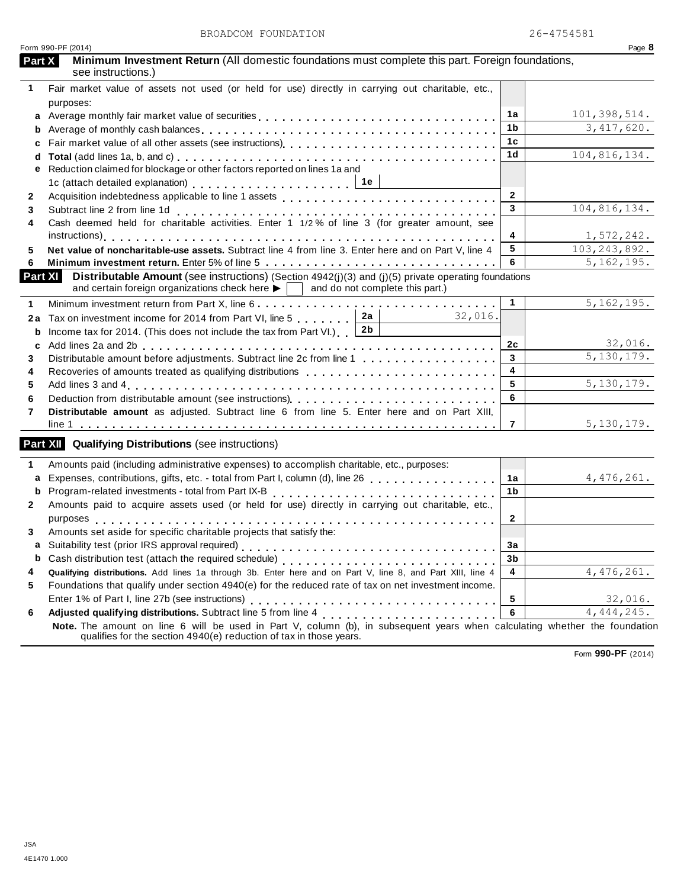| Form 990-PF (2014)<br>Minimum Investment Return (All domestic foundations must complete this part. Foreign foundations,<br><b>Part X</b><br>see instructions.)<br>Fair market value of assets not used (or held for use) directly in carrying out charitable, etc.,<br>1.<br>purposes:<br>101,398,514.<br>1a<br>Average monthly fair market value of securities<br>a<br>1b<br>b<br>1 <sub>c</sub><br>c<br>1 <sub>d</sub><br>d<br>Reduction claimed for blockage or other factors reported on lines 1a and<br>е<br>1c (attach detailed explanation) enterpreteration of the set of the set of the set of the set of the set of the set of the set of the set of the set of the set of the set of the set of the set of the set of the set of the<br>$\overline{2}$<br>$\mathbf{2}$ | Page 8<br>3,417,620.<br>104,816,134. |
|-----------------------------------------------------------------------------------------------------------------------------------------------------------------------------------------------------------------------------------------------------------------------------------------------------------------------------------------------------------------------------------------------------------------------------------------------------------------------------------------------------------------------------------------------------------------------------------------------------------------------------------------------------------------------------------------------------------------------------------------------------------------------------------|--------------------------------------|
|                                                                                                                                                                                                                                                                                                                                                                                                                                                                                                                                                                                                                                                                                                                                                                                   |                                      |
|                                                                                                                                                                                                                                                                                                                                                                                                                                                                                                                                                                                                                                                                                                                                                                                   |                                      |
|                                                                                                                                                                                                                                                                                                                                                                                                                                                                                                                                                                                                                                                                                                                                                                                   |                                      |
|                                                                                                                                                                                                                                                                                                                                                                                                                                                                                                                                                                                                                                                                                                                                                                                   |                                      |
|                                                                                                                                                                                                                                                                                                                                                                                                                                                                                                                                                                                                                                                                                                                                                                                   |                                      |
|                                                                                                                                                                                                                                                                                                                                                                                                                                                                                                                                                                                                                                                                                                                                                                                   |                                      |
|                                                                                                                                                                                                                                                                                                                                                                                                                                                                                                                                                                                                                                                                                                                                                                                   |                                      |
|                                                                                                                                                                                                                                                                                                                                                                                                                                                                                                                                                                                                                                                                                                                                                                                   |                                      |
|                                                                                                                                                                                                                                                                                                                                                                                                                                                                                                                                                                                                                                                                                                                                                                                   |                                      |
|                                                                                                                                                                                                                                                                                                                                                                                                                                                                                                                                                                                                                                                                                                                                                                                   |                                      |
|                                                                                                                                                                                                                                                                                                                                                                                                                                                                                                                                                                                                                                                                                                                                                                                   |                                      |
| 3<br>Subtract line 2 from line 1d<br>Subtract line 2 from line 1d entirely contained in the series of the series cash deemed held for charitable activities. Enter 1 1/2% of line 3 (for greater amount, see                                                                                                                                                                                                                                                                                                                                                                                                                                                                                                                                                                      | 104,816,134.                         |
|                                                                                                                                                                                                                                                                                                                                                                                                                                                                                                                                                                                                                                                                                                                                                                                   |                                      |
| 4                                                                                                                                                                                                                                                                                                                                                                                                                                                                                                                                                                                                                                                                                                                                                                                 | 1,572,242.                           |
| 103, 243, 892.<br>5<br>Net value of noncharitable-use assets. Subtract line 4 from line 3. Enter here and on Part V, line 4                                                                                                                                                                                                                                                                                                                                                                                                                                                                                                                                                                                                                                                       |                                      |
| 6                                                                                                                                                                                                                                                                                                                                                                                                                                                                                                                                                                                                                                                                                                                                                                                 | 5, 162, 195.                         |
| <b>Distributable Amount</b> (see instructions) (Section $4942(j)(3)$ and (j)(5) private operating foundations<br>Part XI<br>and certain foreign organizations check here $\blacktriangleright$   and do not complete this part.)                                                                                                                                                                                                                                                                                                                                                                                                                                                                                                                                                  |                                      |
| 1                                                                                                                                                                                                                                                                                                                                                                                                                                                                                                                                                                                                                                                                                                                                                                                 | 5, 162, 195.                         |
| 2a<br>32,016.<br>Tax on investment income for 2014 from Part VI, line 5<br>2a                                                                                                                                                                                                                                                                                                                                                                                                                                                                                                                                                                                                                                                                                                     |                                      |
| 2 <sub>b</sub><br>Income tax for 2014. (This does not include the tax from Part VI.) $\vert$<br>b                                                                                                                                                                                                                                                                                                                                                                                                                                                                                                                                                                                                                                                                                 |                                      |
| 2c<br>C                                                                                                                                                                                                                                                                                                                                                                                                                                                                                                                                                                                                                                                                                                                                                                           | 32,016.                              |
| 3<br>Distributable amount before adjustments. Subtract line 2c from line 1                                                                                                                                                                                                                                                                                                                                                                                                                                                                                                                                                                                                                                                                                                        | $\overline{5,130,179.}$              |
| 4<br>Recoveries of amounts treated as qualifying distributions                                                                                                                                                                                                                                                                                                                                                                                                                                                                                                                                                                                                                                                                                                                    |                                      |
| 5                                                                                                                                                                                                                                                                                                                                                                                                                                                                                                                                                                                                                                                                                                                                                                                 | 5,130,179.                           |
| 6                                                                                                                                                                                                                                                                                                                                                                                                                                                                                                                                                                                                                                                                                                                                                                                 |                                      |
| Distributable amount as adjusted. Subtract line 6 from line 5. Enter here and on Part XIII,                                                                                                                                                                                                                                                                                                                                                                                                                                                                                                                                                                                                                                                                                       |                                      |
| $\overline{7}$                                                                                                                                                                                                                                                                                                                                                                                                                                                                                                                                                                                                                                                                                                                                                                    | 5,130,179.                           |
| <b>Part XII</b> Qualifying Distributions (see instructions)                                                                                                                                                                                                                                                                                                                                                                                                                                                                                                                                                                                                                                                                                                                       |                                      |
| Amounts paid (including administrative expenses) to accomplish charitable, etc., purposes:                                                                                                                                                                                                                                                                                                                                                                                                                                                                                                                                                                                                                                                                                        |                                      |
| Expenses, contributions, gifts, etc. - total from Part I, column (d), line 26<br>1a<br>a                                                                                                                                                                                                                                                                                                                                                                                                                                                                                                                                                                                                                                                                                          | 4, 476, 261.                         |
| Program-related investments - total from Part IX-B<br><br>1 <sub>b</sub><br>b                                                                                                                                                                                                                                                                                                                                                                                                                                                                                                                                                                                                                                                                                                     |                                      |
| Amounts paid to acquire assets used (or held for use) directly in carrying out charitable, etc.,                                                                                                                                                                                                                                                                                                                                                                                                                                                                                                                                                                                                                                                                                  |                                      |
| $\mathbf{2}$                                                                                                                                                                                                                                                                                                                                                                                                                                                                                                                                                                                                                                                                                                                                                                      |                                      |
| Amounts set aside for specific charitable projects that satisfy the:                                                                                                                                                                                                                                                                                                                                                                                                                                                                                                                                                                                                                                                                                                              |                                      |
| За<br>a                                                                                                                                                                                                                                                                                                                                                                                                                                                                                                                                                                                                                                                                                                                                                                           |                                      |
| 3 <sub>b</sub><br>b                                                                                                                                                                                                                                                                                                                                                                                                                                                                                                                                                                                                                                                                                                                                                               |                                      |
| Qualifying distributions. Add lines 1a through 3b. Enter here and on Part V, line 8, and Part XIII, line 4<br>4                                                                                                                                                                                                                                                                                                                                                                                                                                                                                                                                                                                                                                                                   | 4,476,261.                           |
| Foundations that qualify under section 4940(e) for the reduced rate of tax on net investment income.                                                                                                                                                                                                                                                                                                                                                                                                                                                                                                                                                                                                                                                                              |                                      |
| Enter 1% of Part I, line 27b (see instructions)<br>5                                                                                                                                                                                                                                                                                                                                                                                                                                                                                                                                                                                                                                                                                                                              | 32,016.                              |
| 6                                                                                                                                                                                                                                                                                                                                                                                                                                                                                                                                                                                                                                                                                                                                                                                 | 4,444,245.                           |
| Note. The amount on line 6 will be used in Part V, column (b), in subsequent years when calculating whether the foundation<br>qualifies for the section 4940(e) reduction of tax in those years.                                                                                                                                                                                                                                                                                                                                                                                                                                                                                                                                                                                  |                                      |

Form **990-PF** (2014)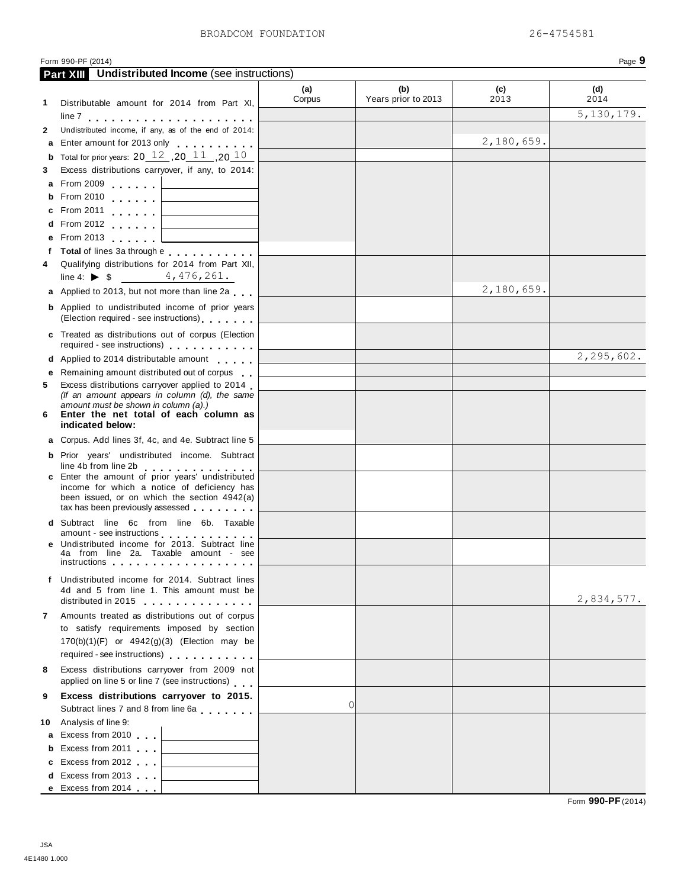|    |                                                                                                                                                                                                                                                                             |               |                            |             | Page 9             |
|----|-----------------------------------------------------------------------------------------------------------------------------------------------------------------------------------------------------------------------------------------------------------------------------|---------------|----------------------------|-------------|--------------------|
|    | Form 990-PF (2014)<br><b>Undistributed Income (see instructions)</b><br><b>Part XIII</b>                                                                                                                                                                                    |               |                            |             |                    |
| 1. | Distributable amount for 2014 from Part XI,                                                                                                                                                                                                                                 | (a)<br>Corpus | (b)<br>Years prior to 2013 | (c)<br>2013 | (d)<br>2014        |
|    |                                                                                                                                                                                                                                                                             |               |                            |             | 5, 130, 179.       |
| 2  | Undistributed income, if any, as of the end of 2014:                                                                                                                                                                                                                        |               |                            |             |                    |
|    | a Enter amount for 2013 only                                                                                                                                                                                                                                                |               |                            | 2,180,659.  |                    |
|    | <b>b</b> Total for prior years: 20 $12$ , 20 $11$ , 20 $10$                                                                                                                                                                                                                 |               |                            |             |                    |
| 3  | Excess distributions carryover, if any, to 2014:                                                                                                                                                                                                                            |               |                            |             |                    |
|    | <b>a</b> From 2009                                                                                                                                                                                                                                                          |               |                            |             |                    |
|    | <b>b</b> From 2010                                                                                                                                                                                                                                                          |               |                            |             |                    |
|    | <b>c</b> From 2011                                                                                                                                                                                                                                                          |               |                            |             |                    |
|    | <b>d</b> From 2012                                                                                                                                                                                                                                                          |               |                            |             |                    |
|    | e From 2013                                                                                                                                                                                                                                                                 |               |                            |             |                    |
|    | f Total of lines 3a through e                                                                                                                                                                                                                                               |               |                            |             |                    |
| 4  | Qualifying distributions for 2014 from Part XII,                                                                                                                                                                                                                            |               |                            |             |                    |
|    | line 4: $\triangleright$ \$ 4,476,261.                                                                                                                                                                                                                                      |               |                            |             |                    |
|    | a Applied to 2013, but not more than line 2a                                                                                                                                                                                                                                |               |                            | 2,180,659.  |                    |
|    | <b>b</b> Applied to undistributed income of prior years<br>(Election required - see instructions) [100]                                                                                                                                                                     |               |                            |             |                    |
|    | c Treated as distributions out of corpus (Election<br>required - see instructions)                                                                                                                                                                                          |               |                            |             |                    |
|    | d Applied to 2014 distributable amount                                                                                                                                                                                                                                      |               |                            |             | 2,295,602.         |
|    | e Remaining amount distributed out of corpus                                                                                                                                                                                                                                |               |                            |             |                    |
| 5  | Excess distributions carryover applied to 2014                                                                                                                                                                                                                              |               |                            |             |                    |
| 6. | (If an amount appears in column (d), the same<br>amount must be shown in column (a).)<br>Enter the net total of each column as<br>indicated below:                                                                                                                          |               |                            |             |                    |
|    | <b>a</b> Corpus. Add lines 3f, 4c, and 4e. Subtract line 5                                                                                                                                                                                                                  |               |                            |             |                    |
|    | <b>b</b> Prior years' undistributed income. Subtract                                                                                                                                                                                                                        |               |                            |             |                    |
|    | line 4b from line 2b expression of the state of the state of the state of the state of the state of the state o                                                                                                                                                             |               |                            |             |                    |
|    | c Enter the amount of prior years' undistributed<br>income for which a notice of deficiency has<br>been issued, or on which the section 4942(a)<br>tax has been previously assessed                                                                                         |               |                            |             |                    |
|    | d Subtract line 6c from line 6b. Taxable                                                                                                                                                                                                                                    |               |                            |             |                    |
|    | amount - see instructions entitled and the set of the set of the set of the set of the set of the set of the s                                                                                                                                                              |               |                            |             |                    |
|    | <b>e</b> Undistributed income for 2013. Subtract line<br>4a from line 2a. Taxable amount - see<br>instructions                                                                                                                                                              |               |                            |             |                    |
|    | f Undistributed income for 2014. Subtract lines                                                                                                                                                                                                                             |               |                            |             |                    |
|    | 4d and 5 from line 1. This amount must be<br>distributed in 2015 and the control of the control of the control of the control of the control of the control of the control of the control of the control of the control of the control of the control of the control of the |               |                            |             | 2,834,577.         |
| 7  | Amounts treated as distributions out of corpus                                                                                                                                                                                                                              |               |                            |             |                    |
|    | to satisfy requirements imposed by section<br>170(b)(1)(F) or 4942(g)(3) (Election may be                                                                                                                                                                                   |               |                            |             |                    |
|    | required - see instructions)                                                                                                                                                                                                                                                |               |                            |             |                    |
| 8  | Excess distributions carryover from 2009 not<br>applied on line 5 or line 7 (see instructions)                                                                                                                                                                              |               |                            |             |                    |
| 9  | Excess distributions carryover to 2015.                                                                                                                                                                                                                                     |               |                            |             |                    |
|    | Subtract lines 7 and 8 from line 6a                                                                                                                                                                                                                                         | 0             |                            |             |                    |
|    | 10 Analysis of line 9:                                                                                                                                                                                                                                                      |               |                            |             |                    |
|    | a Excess from 2010                                                                                                                                                                                                                                                          |               |                            |             |                    |
|    | <b>b</b> Excess from 2011                                                                                                                                                                                                                                                   |               |                            |             |                    |
|    | c Excess from 2012                                                                                                                                                                                                                                                          |               |                            |             |                    |
|    | d Excess from 2013                                                                                                                                                                                                                                                          |               |                            |             |                    |
|    | e Excess from 2014                                                                                                                                                                                                                                                          |               |                            |             | Form 990-PF (2014) |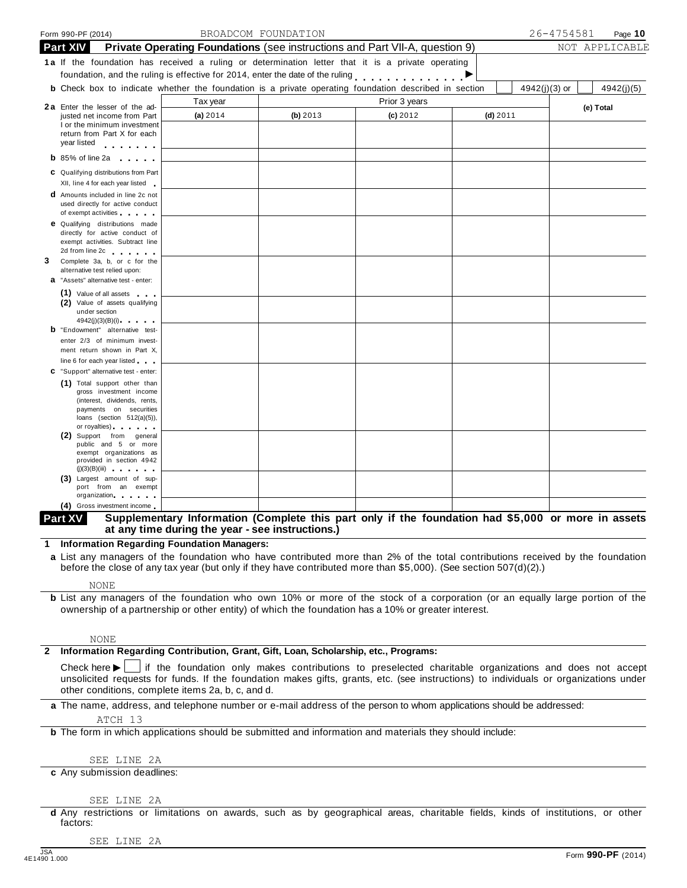| Form 990-PF (2014)                                                                                                                                                                                                                                |                                                                                                                                                        | BROADCOM FOUNDATION |               |               | 26-4754581 | Page $10$      |
|---------------------------------------------------------------------------------------------------------------------------------------------------------------------------------------------------------------------------------------------------|--------------------------------------------------------------------------------------------------------------------------------------------------------|---------------------|---------------|---------------|------------|----------------|
| <b>Part XIV</b>                                                                                                                                                                                                                                   | <b>Private Operating Foundations</b> (see instructions and Part VII-A, question 9)                                                                     |                     |               |               |            | NOT APPLICABLE |
| 1a If the foundation has received a ruling or determination letter that it is a private operating                                                                                                                                                 |                                                                                                                                                        |                     |               |               |            |                |
| foundation, and the ruling is effective for 2014, enter the date of the ruling                                                                                                                                                                    |                                                                                                                                                        |                     |               |               |            |                |
| <b>b</b> Check box to indicate whether the foundation is a private operating foundation described in section                                                                                                                                      |                                                                                                                                                        |                     |               | 4942(j)(3) or |            | 4942(j)(5)     |
| 2a Enter the lesser of the ad-                                                                                                                                                                                                                    | Tax year                                                                                                                                               |                     | Prior 3 years |               |            | (e) Total      |
| justed net income from Part                                                                                                                                                                                                                       | (a) 2014                                                                                                                                               | (b) $2013$          | $(c)$ 2012    | $(d)$ 2011    |            |                |
| I or the minimum investment<br>return from Part X for each<br>year listed<br>.                                                                                                                                                                    |                                                                                                                                                        |                     |               |               |            |                |
| <b>b</b> 85% of line 2a<br><b>Contract Contract Contract Contract</b>                                                                                                                                                                             |                                                                                                                                                        |                     |               |               |            |                |
| C Qualifying distributions from Part                                                                                                                                                                                                              |                                                                                                                                                        |                     |               |               |            |                |
| XII, line 4 for each year listed                                                                                                                                                                                                                  |                                                                                                                                                        |                     |               |               |            |                |
| <b>d</b> Amounts included in line 2c not<br>used directly for active conduct                                                                                                                                                                      |                                                                                                                                                        |                     |               |               |            |                |
| of exempt activities and the state of<br><b>e</b> Qualifying distributions made<br>directly for active conduct of<br>exempt activities. Subtract line                                                                                             |                                                                                                                                                        |                     |               |               |            |                |
| 2d from line 2c and the same state<br>Complete 3a, b, or c for the                                                                                                                                                                                |                                                                                                                                                        |                     |               |               |            |                |
| alternative test relied upon:<br><b>a</b> "Assets" alternative test - enter:                                                                                                                                                                      |                                                                                                                                                        |                     |               |               |            |                |
| (1) Value of all assets<br>(2) Value of assets qualifying                                                                                                                                                                                         |                                                                                                                                                        |                     |               |               |            |                |
| under section<br>4942(j)(3)(B)(i)                                                                                                                                                                                                                 |                                                                                                                                                        |                     |               |               |            |                |
| <b>b</b> "Endowment" alternative test-                                                                                                                                                                                                            |                                                                                                                                                        |                     |               |               |            |                |
| enter 2/3 of minimum invest-                                                                                                                                                                                                                      |                                                                                                                                                        |                     |               |               |            |                |
| ment return shown in Part X,<br>line 6 for each year listed                                                                                                                                                                                       |                                                                                                                                                        |                     |               |               |            |                |
| C "Support" alternative test - enter:                                                                                                                                                                                                             |                                                                                                                                                        |                     |               |               |            |                |
| (1) Total support other than<br>gross investment income<br>(interest, dividends, rents,<br>payments on securities<br>loans (section $512(a)(5)$ ),                                                                                                |                                                                                                                                                        |                     |               |               |            |                |
| or royalties) and the control of the control of<br>(2) Support from general<br>public and 5 or more<br>exempt organizations as<br>provided in section 4942                                                                                        |                                                                                                                                                        |                     |               |               |            |                |
| (j)(3)(B)(iii)<br>(3) Largest amount of sup-                                                                                                                                                                                                      |                                                                                                                                                        |                     |               |               |            |                |
| port from an exempt<br>organization                                                                                                                                                                                                               |                                                                                                                                                        |                     |               |               |            |                |
| (4) Gross investment income                                                                                                                                                                                                                       |                                                                                                                                                        |                     |               |               |            |                |
| Part XV                                                                                                                                                                                                                                           | Supplementary Information (Complete this part only if the foundation had \$5,000 or more in assets<br>at any time during the year - see instructions.) |                     |               |               |            |                |
| 1 Information Regarding Foundation Managers:                                                                                                                                                                                                      |                                                                                                                                                        |                     |               |               |            |                |
| a List any managers of the foundation who have contributed more than 2% of the total contributions received by the foundation<br>before the close of any tax year (but only if they have contributed more than \$5,000). (See section 507(d)(2).) |                                                                                                                                                        |                     |               |               |            |                |
| <b>NONE</b>                                                                                                                                                                                                                                       |                                                                                                                                                        |                     |               |               |            |                |
| <b>b</b> List any managers of the foundation who own 10% or more of the stock of a corporation (or an equally large portion of the<br>ownership of a partnership or other entity) of which the foundation has a 10% or greater interest.          |                                                                                                                                                        |                     |               |               |            |                |
| <b>NONE</b>                                                                                                                                                                                                                                       |                                                                                                                                                        |                     |               |               |            |                |
| Information Regarding Contribution, Grant, Gift, Loan, Scholarship, etc., Programs:                                                                                                                                                               |                                                                                                                                                        |                     |               |               |            |                |

**a** The name, address, and telephone number or e-mail address of the person to whom applications should be addressed:

[ATCH 13](#page-47-0)

**b** The form in which applications should be submitted and information and materials they should include:

SEE LINE 2A

**c** Any submission deadlines:

#### SEE LINE 2A

**d** Any restrictions or limitations on awards, such as by geographical areas, charitable fields, kinds of institutions, or other factors:

SEE LINE 2A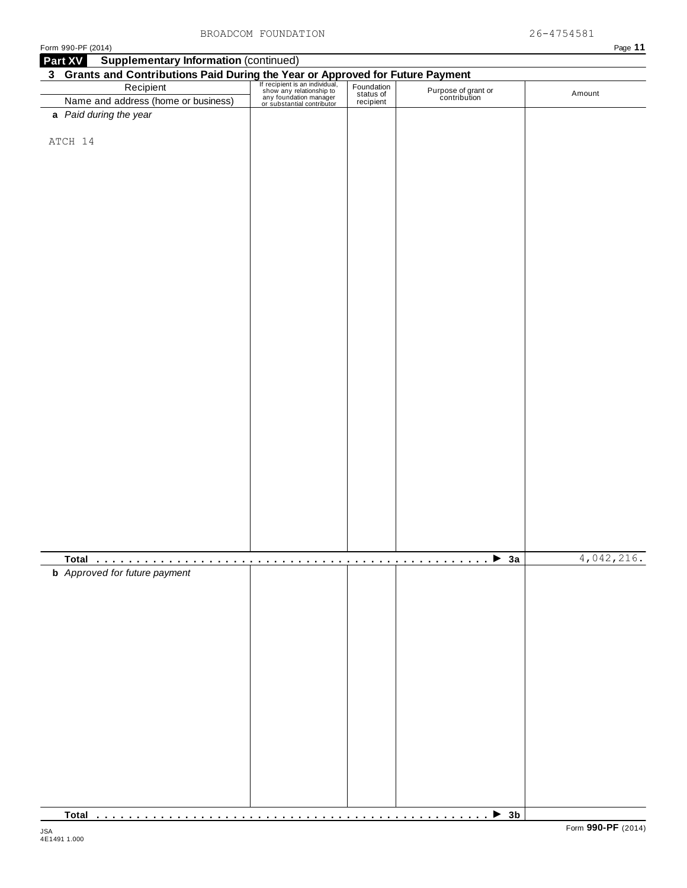| Form 990-PF (2014)                                                                                                                                                                                                               |  |                                     | Page 11    |
|----------------------------------------------------------------------------------------------------------------------------------------------------------------------------------------------------------------------------------|--|-------------------------------------|------------|
| <b>Supplementary Information (continued)</b><br>Part XV                                                                                                                                                                          |  |                                     |            |
| 3 Grants and Contributions Paid During the Year or Approved for Future Payment<br>Recipient Fection of the Secure of the Secure of the Secure of the Secure of the Secure of the Secure of the Secure of the Secure of the Secur |  |                                     |            |
|                                                                                                                                                                                                                                  |  | Purpose of grant or<br>contribution | Amount     |
|                                                                                                                                                                                                                                  |  |                                     |            |
| a Paid during the year                                                                                                                                                                                                           |  |                                     |            |
| ATCH 14                                                                                                                                                                                                                          |  |                                     |            |
|                                                                                                                                                                                                                                  |  |                                     |            |
|                                                                                                                                                                                                                                  |  |                                     |            |
|                                                                                                                                                                                                                                  |  |                                     |            |
|                                                                                                                                                                                                                                  |  |                                     |            |
|                                                                                                                                                                                                                                  |  |                                     |            |
|                                                                                                                                                                                                                                  |  |                                     |            |
|                                                                                                                                                                                                                                  |  |                                     |            |
|                                                                                                                                                                                                                                  |  |                                     |            |
|                                                                                                                                                                                                                                  |  |                                     |            |
|                                                                                                                                                                                                                                  |  |                                     |            |
|                                                                                                                                                                                                                                  |  |                                     |            |
|                                                                                                                                                                                                                                  |  |                                     |            |
|                                                                                                                                                                                                                                  |  |                                     |            |
|                                                                                                                                                                                                                                  |  |                                     |            |
|                                                                                                                                                                                                                                  |  |                                     |            |
|                                                                                                                                                                                                                                  |  |                                     |            |
|                                                                                                                                                                                                                                  |  |                                     |            |
|                                                                                                                                                                                                                                  |  |                                     |            |
|                                                                                                                                                                                                                                  |  |                                     |            |
|                                                                                                                                                                                                                                  |  |                                     |            |
|                                                                                                                                                                                                                                  |  |                                     |            |
|                                                                                                                                                                                                                                  |  |                                     |            |
|                                                                                                                                                                                                                                  |  |                                     |            |
|                                                                                                                                                                                                                                  |  |                                     |            |
|                                                                                                                                                                                                                                  |  |                                     |            |
|                                                                                                                                                                                                                                  |  |                                     |            |
|                                                                                                                                                                                                                                  |  |                                     |            |
|                                                                                                                                                                                                                                  |  |                                     | 4,042,216. |
| <b>b</b> Approved for future payment                                                                                                                                                                                             |  |                                     |            |
|                                                                                                                                                                                                                                  |  |                                     |            |
|                                                                                                                                                                                                                                  |  |                                     |            |
|                                                                                                                                                                                                                                  |  |                                     |            |
|                                                                                                                                                                                                                                  |  |                                     |            |
|                                                                                                                                                                                                                                  |  |                                     |            |
|                                                                                                                                                                                                                                  |  |                                     |            |
|                                                                                                                                                                                                                                  |  |                                     |            |
|                                                                                                                                                                                                                                  |  |                                     |            |
|                                                                                                                                                                                                                                  |  |                                     |            |
|                                                                                                                                                                                                                                  |  |                                     |            |
|                                                                                                                                                                                                                                  |  |                                     |            |
|                                                                                                                                                                                                                                  |  |                                     |            |
|                                                                                                                                                                                                                                  |  |                                     |            |
|                                                                                                                                                                                                                                  |  |                                     |            |
|                                                                                                                                                                                                                                  |  |                                     |            |
|                                                                                                                                                                                                                                  |  |                                     |            |

**Total** m m m m m m m m m m m m m m m m m m m m m m m m m m m m m m m m m m m m m m m m m m m m m m m m m <sup>I</sup> **3b**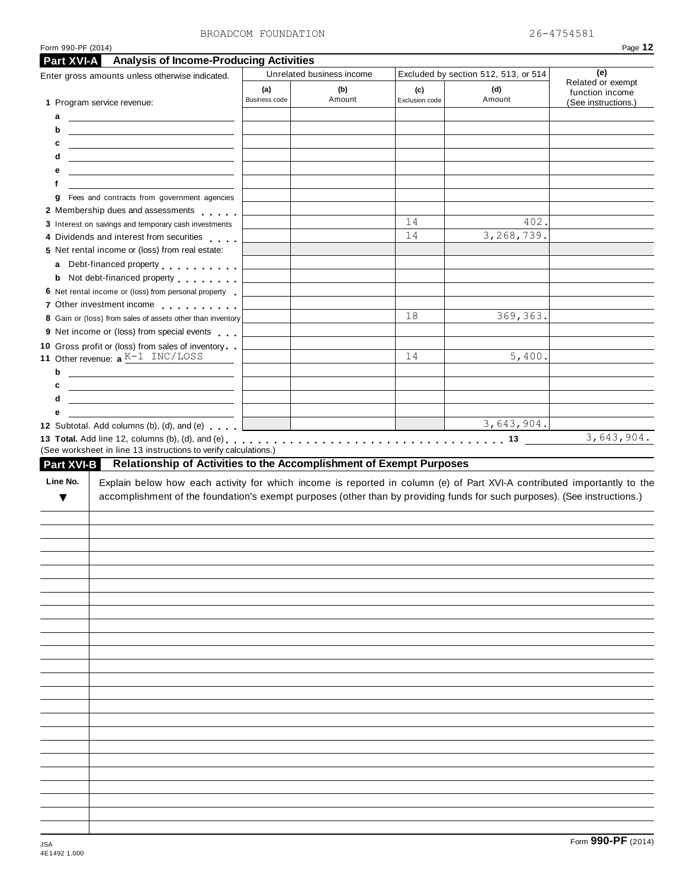| Enter gross amounts unless otherwise indicated.                                                                                                                                                                                                                       | <b>Part XVI-A</b> Analysis of Income-Producing Activities | Unrelated business income |                       | Excluded by section 512, 513, or 514 |                                      |  |
|-----------------------------------------------------------------------------------------------------------------------------------------------------------------------------------------------------------------------------------------------------------------------|-----------------------------------------------------------|---------------------------|-----------------------|--------------------------------------|--------------------------------------|--|
|                                                                                                                                                                                                                                                                       | (a)<br>Business code                                      | (b)<br>Amount             | (c)<br>Exclusion code | (d)<br>Amount                        | Related or exempt<br>function income |  |
| 1 Program service revenue:                                                                                                                                                                                                                                            |                                                           |                           |                       |                                      | (See instructions.)                  |  |
| а<br><u> 1989 - Johann Harry Harry Harry Harry Harry Harry Harry Harry Harry Harry Harry Harry Harry Harry Harry Harry</u>                                                                                                                                            |                                                           |                           |                       |                                      |                                      |  |
| b<br><u>and the state of the state of the state of the state of the state of the state of the state of the state of the state of the state of the state of the state of the state of the state of the state of the state of the state</u>                             |                                                           |                           |                       |                                      |                                      |  |
| c<br><u> 1989 - Johann Barn, mars ann an t-Amhain Aonaich an t-Aonaich an t-Aonaich ann an t-Aonaich ann an t-Aonaich</u>                                                                                                                                             |                                                           |                           |                       |                                      |                                      |  |
| d<br><u> 1989 - Johann Stein, mars an deutscher Stein und der Stein und der Stein und der Stein und der Stein und der</u>                                                                                                                                             |                                                           |                           |                       |                                      |                                      |  |
| е<br><u> 1989 - Johann Harry Harry Harry Harry Harry Harry Harry Harry Harry Harry Harry Harry Harry Harry Harry Harry</u>                                                                                                                                            |                                                           |                           |                       |                                      |                                      |  |
| f                                                                                                                                                                                                                                                                     |                                                           |                           |                       |                                      |                                      |  |
| Fees and contracts from government agencies<br>g                                                                                                                                                                                                                      |                                                           |                           |                       |                                      |                                      |  |
| 2 Membership dues and assessments                                                                                                                                                                                                                                     |                                                           |                           |                       |                                      |                                      |  |
| 3 Interest on savings and temporary cash investments                                                                                                                                                                                                                  |                                                           |                           | 14                    | 402.                                 |                                      |  |
| 4 Dividends and interest from securities                                                                                                                                                                                                                              |                                                           |                           | 14                    | 3,268,739.                           |                                      |  |
| 5 Net rental income or (loss) from real estate:                                                                                                                                                                                                                       |                                                           |                           |                       |                                      |                                      |  |
| a Debt-financed property                                                                                                                                                                                                                                              |                                                           |                           |                       |                                      |                                      |  |
| <b>b</b> Not debt-financed property                                                                                                                                                                                                                                   |                                                           |                           |                       |                                      |                                      |  |
| 6 Net rental income or (loss) from personal property                                                                                                                                                                                                                  |                                                           |                           |                       |                                      |                                      |  |
| 7 Other investment income                                                                                                                                                                                                                                             |                                                           |                           |                       |                                      |                                      |  |
| 8 Gain or (loss) from sales of assets other than inventory                                                                                                                                                                                                            |                                                           |                           | 18                    | 369, 363.                            |                                      |  |
| 9 Net income or (loss) from special events                                                                                                                                                                                                                            |                                                           |                           |                       |                                      |                                      |  |
| 10 Gross profit or (loss) from sales of inventory                                                                                                                                                                                                                     |                                                           |                           |                       |                                      |                                      |  |
| 11 Other revenue: $a K-1$ INC/LOSS                                                                                                                                                                                                                                    |                                                           |                           | 14                    | 5,400.                               |                                      |  |
| b<br><u> 1989 - Johann Barn, mars ann an t-Amhain Aonaich an t-Aonaich an t-Aonaich ann an t-Aonaich ann an t-Aonaich</u>                                                                                                                                             |                                                           |                           |                       |                                      |                                      |  |
| c<br><u> 1989 - Andrea State Barbara, amerikan personal di personal dengan personal dengan personal dengan personal de</u>                                                                                                                                            |                                                           |                           |                       |                                      |                                      |  |
| d                                                                                                                                                                                                                                                                     |                                                           |                           |                       |                                      |                                      |  |
| е                                                                                                                                                                                                                                                                     |                                                           |                           |                       |                                      |                                      |  |
| 12 Subtotal. Add columns (b), (d), and (e)                                                                                                                                                                                                                            |                                                           |                           |                       | 3,643,904.                           |                                      |  |
| Line No.<br>Explain below how each activity for which income is reported in column (e) of Part XVI-A contributed importantly to the<br>accomplishment of the foundation's exempt purposes (other than by providing funds for such purposes). (See instructions.)<br>▼ |                                                           |                           |                       |                                      |                                      |  |
|                                                                                                                                                                                                                                                                       |                                                           |                           |                       |                                      |                                      |  |
|                                                                                                                                                                                                                                                                       |                                                           |                           |                       |                                      |                                      |  |
|                                                                                                                                                                                                                                                                       |                                                           |                           |                       |                                      |                                      |  |
|                                                                                                                                                                                                                                                                       |                                                           |                           |                       |                                      |                                      |  |
|                                                                                                                                                                                                                                                                       |                                                           |                           |                       |                                      |                                      |  |
|                                                                                                                                                                                                                                                                       |                                                           |                           |                       |                                      |                                      |  |
|                                                                                                                                                                                                                                                                       |                                                           |                           |                       |                                      |                                      |  |
|                                                                                                                                                                                                                                                                       |                                                           |                           |                       |                                      |                                      |  |
|                                                                                                                                                                                                                                                                       |                                                           |                           |                       |                                      |                                      |  |
|                                                                                                                                                                                                                                                                       |                                                           |                           |                       |                                      |                                      |  |
|                                                                                                                                                                                                                                                                       |                                                           |                           |                       |                                      |                                      |  |
|                                                                                                                                                                                                                                                                       |                                                           |                           |                       |                                      |                                      |  |
|                                                                                                                                                                                                                                                                       |                                                           |                           |                       |                                      |                                      |  |
|                                                                                                                                                                                                                                                                       |                                                           |                           |                       |                                      |                                      |  |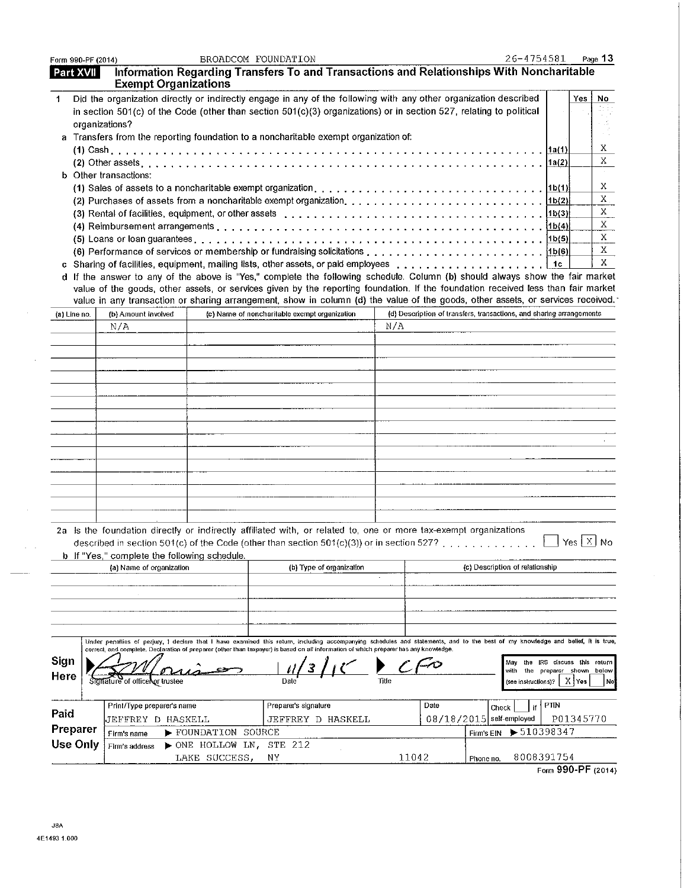| Form 990-PF (2014) |                                                                                                                                                                                                                                                                                                                                                                                                                                                                                                                                                                                                                                                                                                                                                                                                                                                                                                                                                                                                                            |                  | BROADCOM FOUNDATION                                                                      |                          |     |       | 26-4754581                                                            |                              |                      | Page 13                                                    |
|--------------------|----------------------------------------------------------------------------------------------------------------------------------------------------------------------------------------------------------------------------------------------------------------------------------------------------------------------------------------------------------------------------------------------------------------------------------------------------------------------------------------------------------------------------------------------------------------------------------------------------------------------------------------------------------------------------------------------------------------------------------------------------------------------------------------------------------------------------------------------------------------------------------------------------------------------------------------------------------------------------------------------------------------------------|------------------|------------------------------------------------------------------------------------------|--------------------------|-----|-------|-----------------------------------------------------------------------|------------------------------|----------------------|------------------------------------------------------------|
| <b>Part XVII</b>   | <b>Exempt Organizations</b>                                                                                                                                                                                                                                                                                                                                                                                                                                                                                                                                                                                                                                                                                                                                                                                                                                                                                                                                                                                                |                  | Information Regarding Transfers To and Transactions and Relationships With Noncharitable |                          |     |       |                                                                       |                              |                      |                                                            |
| 1                  | Did the organization directly or indirectly engage in any of the following with any other organization described<br>in section 501(c) of the Code (other than section 501(c)(3) organizations) or in section 527, relating to political<br>organizations?<br>a Transfers from the reporting foundation to a noncharitable exempt organization of:<br><b>b</b> Other transactions:<br>(5) Loans or loan guarantees enterprise on the set of the set of the set of the set of $(5)$ Loans or loan guarantees enterprise on the set of the set of the set of the set of the set of the set of the set of the set of t<br>d If the answer to any of the above is "Yes," complete the following schedule. Column (b) should always show the fair market<br>value of the goods, other assets, or services given by the reporting foundation. If the foundation received less than fair market<br>value in any transaction or sharing arrangement, show in column (d) the value of the goods, other assets, or services received. |                  |                                                                                          |                          |     |       |                                                                       | 1a(2)<br>1b(6)<br>$\vert$ 1c | Yes.                 | No<br>Χ<br>Χ<br>Χ<br>$X_{\cdot}$<br>X<br>X<br>X<br>X<br>X. |
| (a) Line no.       | (b) Amount involved                                                                                                                                                                                                                                                                                                                                                                                                                                                                                                                                                                                                                                                                                                                                                                                                                                                                                                                                                                                                        |                  | (c) Name of noncharitable exempt organization                                            |                          |     |       | (d) Description of transfers, transactions, and sharing arrangements  |                              |                      |                                                            |
|                    | N/A<br>2a Is the foundation directly or indirectly affiliated with, or related to, one or more tax-exempt organizations<br>described in section 501(c) of the Code (other than section 501(c)(3)) or in section 527?                                                                                                                                                                                                                                                                                                                                                                                                                                                                                                                                                                                                                                                                                                                                                                                                       |                  |                                                                                          |                          | N/A |       |                                                                       |                              | $Yes \mid X \mid No$ |                                                            |
|                    | <b>b</b> If "Yes," complete the following schedule.                                                                                                                                                                                                                                                                                                                                                                                                                                                                                                                                                                                                                                                                                                                                                                                                                                                                                                                                                                        |                  |                                                                                          |                          |     |       | (c) Description of relationship                                       |                              |                      |                                                            |
| Sign<br>Here       | (a) Name of organization<br>Under penallies of periury, I declare that I have examined this retum, including accompanying schedules and statements, and to the best of my knowledge and belief, it is true,<br>correct, and complete. Declaration of preparer (other than taxpayer) is based on all information of which preparer has any knowledge.<br>Signature of officer or trustee                                                                                                                                                                                                                                                                                                                                                                                                                                                                                                                                                                                                                                    |                  |                                                                                          | (b) Type of organization |     |       | May the IRS discuss this return<br>with<br>ihe<br>(see instructions)? | preparer shown               | XYes                 | below<br>No.                                               |
|                    | Print/Type preparer's name                                                                                                                                                                                                                                                                                                                                                                                                                                                                                                                                                                                                                                                                                                                                                                                                                                                                                                                                                                                                 |                  | Preparer's signature                                                                     |                          |     | Date  | if<br>Check                                                           | PTIN                         |                      |                                                            |
| Paid               | JEFFREY D HASKELL                                                                                                                                                                                                                                                                                                                                                                                                                                                                                                                                                                                                                                                                                                                                                                                                                                                                                                                                                                                                          |                  | JEFFREY D HASKELL                                                                        |                          |     |       | 08/18/2015 self-employed                                              |                              | P01345770            |                                                            |
| Preparer           | Firm's name                                                                                                                                                                                                                                                                                                                                                                                                                                                                                                                                                                                                                                                                                                                                                                                                                                                                                                                                                                                                                | FOUNDATION       | SOURCE                                                                                   |                          |     |       | $\blacktriangleright$ 510398347<br>Firm's EIN                         |                              |                      |                                                            |
| Use Only           | Firm's address                                                                                                                                                                                                                                                                                                                                                                                                                                                                                                                                                                                                                                                                                                                                                                                                                                                                                                                                                                                                             | > ONE HOLLOW LN, | STE 212                                                                                  |                          |     |       |                                                                       |                              |                      |                                                            |
|                    |                                                                                                                                                                                                                                                                                                                                                                                                                                                                                                                                                                                                                                                                                                                                                                                                                                                                                                                                                                                                                            | LAKE SUCCESS,    | ΝY                                                                                       |                          |     | 11042 | 8008391754<br>Phone no.                                               |                              |                      |                                                            |

 $\sim$   $\sim$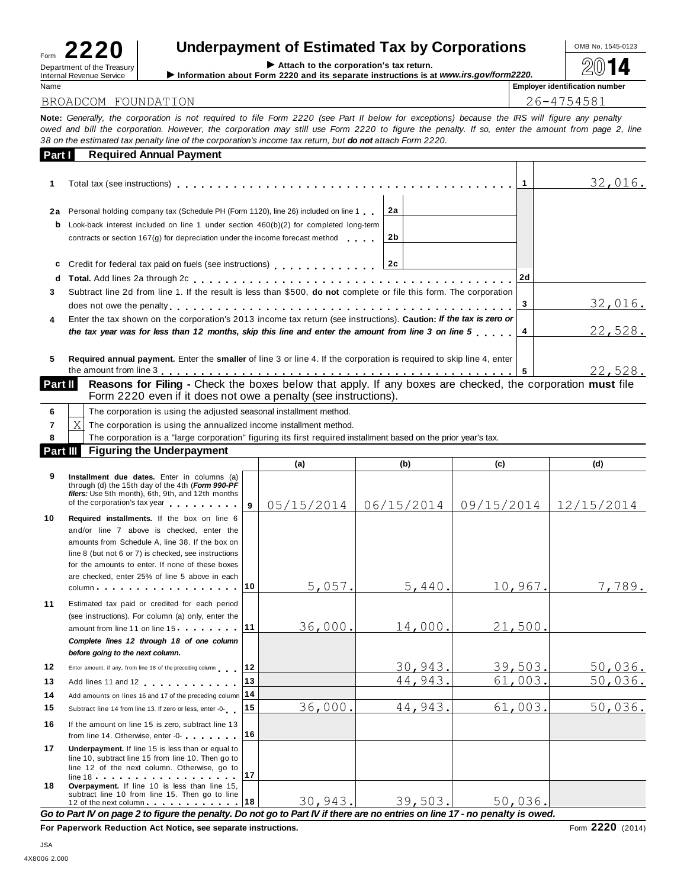| Form                            | . | . . |                            |  |
|---------------------------------|---|-----|----------------------------|--|
| <b>Internal Revenue Service</b> |   |     | Department of the Treasury |  |

# Underpayment of Estimated Tax by Corporations <br>
Attach to the corporation's tax return.

Form **ZZZU**<br>Department of the Treasury Internal Revenue Service III information about Form 2220 and its separate instructions is at *www.irs.gov/form2220.* <u>2</u>014

### BROADCOM FOUNDATION

Name **Employer identification number**

| 26-4754581 |  |  |  |  |
|------------|--|--|--|--|
|            |  |  |  |  |

| Part I | <b>Required Annual Payment</b>                                                                                       |    |                |
|--------|----------------------------------------------------------------------------------------------------------------------|----|----------------|
|        |                                                                                                                      |    | 32,016.        |
| 2a     | Personal holding company tax (Schedule PH (Form 1120), line 26) included on line 1<br>l 2a                           |    |                |
| b      | Look-back interest included on line 1 under section $460(b)(2)$ for completed long-term                              |    |                |
|        | 2b<br>contracts or section 167(g) for depreciation under the income forecast method                                  |    |                |
| c      | Credit for federal tax paid on fuels (see instructions) contained the contract of 2c                                 |    |                |
| d      |                                                                                                                      | 2d |                |
| 3      | Subtract line 2d from line 1. If the result is less than \$500, do not complete or file this form. The corporation   |    |                |
|        |                                                                                                                      |    | <u>32,016.</u> |
| 4      | Enter the tax shown on the corporation's 2013 income tax return (see instructions). Caution: If the tax is zero or   |    |                |
|        | the tax year was for less than 12 months, skip this line and enter the amount from line 3 on line 5                  |    | 22,528.        |
| 5      | Required annual payment. Enter the smaller of line 3 or line 4. If the corporation is required to skip line 4, enter |    |                |
|        |                                                                                                                      |    | 22,528.        |

| Form 2220 even if it does not owe a penalty (see instructions). |  |
|-----------------------------------------------------------------|--|

|          |       | The corporation is using the adjusted seasonal installment method.                                              |  |  |
|----------|-------|-----------------------------------------------------------------------------------------------------------------|--|--|
|          | - X ' | The corporation is using the annualized income installment method.                                              |  |  |
|          |       | The corporation is a "large corporation" figuring its first required installment based on the prior year's tax. |  |  |
| Part III |       | <b>Figuring the Underpayment</b>                                                                                |  |  |
|          |       |                                                                                                                 |  |  |

| 7        | X<br>The corporation is using the annualized income installment method.                                                                                                                                                                                                                                   |              |            |                     |            |                  |
|----------|-----------------------------------------------------------------------------------------------------------------------------------------------------------------------------------------------------------------------------------------------------------------------------------------------------------|--------------|------------|---------------------|------------|------------------|
| 8        | The corporation is a "large corporation" figuring its first required installment based on the prior year's tax.                                                                                                                                                                                           |              |            |                     |            |                  |
| Part III | <b>Figuring the Underpayment</b>                                                                                                                                                                                                                                                                          |              |            |                     |            |                  |
|          |                                                                                                                                                                                                                                                                                                           |              | (a)        | (b)                 | (c)        | (d)              |
| 9        | Installment due dates. Enter in columns (a)<br>through (d) the 15th day of the 4th (Form 990-PF<br>filers: Use 5th month), 6th, 9th, and 12th months<br>of the corporation's tax year                                                                                                                     | $\mathbf{q}$ | 05/15/2014 | 06/15/2014          | 09/15/2014 | 12/15/2014       |
| 10       | Required installments. If the box on line 6<br>and/or line 7 above is checked, enter the<br>amounts from Schedule A, line 38. If the box on<br>line 8 (but not 6 or 7) is checked, see instructions<br>for the amounts to enter. If none of these boxes<br>are checked, enter 25% of line 5 above in each |              |            |                     |            |                  |
|          | $column \dots \dots \dots \dots \dots$                                                                                                                                                                                                                                                                    | 10           | 5,057.     | 5,440.              | 10,967.    | 7,789.           |
| 11       | Estimated tax paid or credited for each period<br>(see instructions). For column (a) only, enter the<br>amount from line 11 on line 15 <b>11</b><br>Complete lines 12 through 18 of one column<br>before going to the next column.                                                                        |              | 36,000.    | 14,000.             | 21,500.    |                  |
| 12       | Enter amount, if any, from line 18 of the preceding column                                                                                                                                                                                                                                                | 12           |            | 30,943.             | 39,503.    | 50,036.          |
| 13<br>14 | Add lines 11 and 12<br>Add amounts on lines 16 and 17 of the preceding column                                                                                                                                                                                                                             | 13<br>14     |            | 44,943.             | 61,003.    | 50,036.          |
| 15       | Subtract line 14 from line 13. If zero or less, enter -0-                                                                                                                                                                                                                                                 | 15           | 36,000.    | 44,943.             | 61,003.    | 50,036.          |
| 16       | If the amount on line 15 is zero, subtract line 13<br>from line 14. Otherwise, enter -0-                                                                                                                                                                                                                  | 16           |            |                     |            |                  |
| 17       | Underpayment. If line 15 is less than or equal to<br>line 10, subtract line 15 from line 10. Then go to<br>line 12 of the next column. Otherwise, go to                                                                                                                                                   | 17           |            |                     |            |                  |
| 18       | Overpayment. If line 10 is less than line 15,<br>subtract line 10 from line 15. Then go to line<br>12 of the next column 18                                                                                                                                                                               |              |            | $30,943.$ $39,503.$ | 50,036.    |                  |
|          | Go to Part IV on page 2 to figure the penalty. Do not go to Part IV if there are no entries on line 17 - no penalty is owed.<br>Pro Bronomical Britisher Art Nights, are concerted included                                                                                                               |              |            |                     |            | $2220 \text{ m}$ |

**For Paperwork Reduction Act Notice, see separate instructions.** The set of the set of the set of 2220 (2014)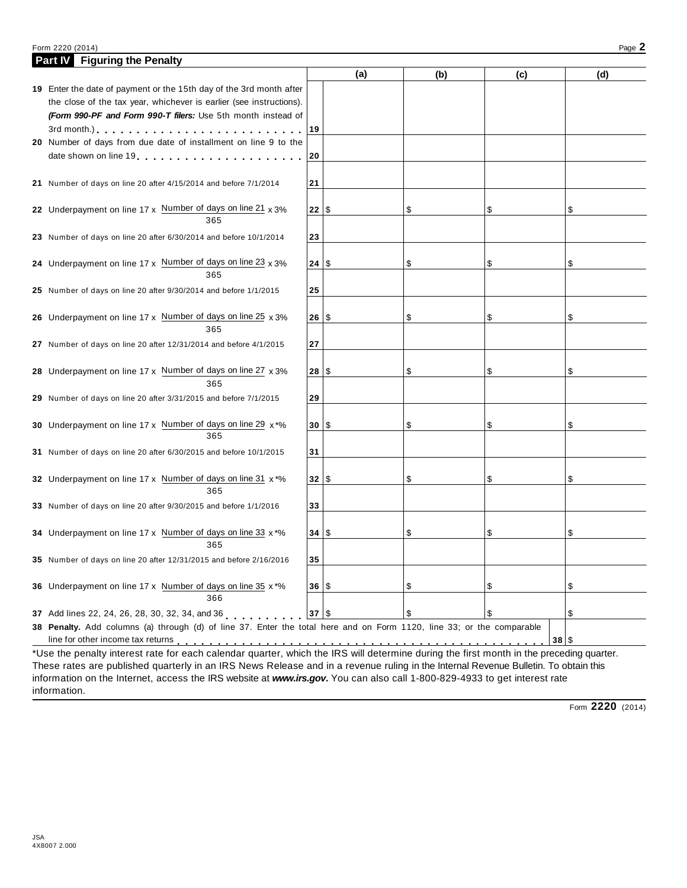#### Form 2220 (2014) Page **2**

| <b>Part IV</b> Figuring the Penalty                                                                                                                                                                                                                                                                                                                                       |           |     |     |     |      |
|---------------------------------------------------------------------------------------------------------------------------------------------------------------------------------------------------------------------------------------------------------------------------------------------------------------------------------------------------------------------------|-----------|-----|-----|-----|------|
|                                                                                                                                                                                                                                                                                                                                                                           |           | (a) | (b) | (c) | (d)  |
| 19 Enter the date of payment or the 15th day of the 3rd month after                                                                                                                                                                                                                                                                                                       |           |     |     |     |      |
| the close of the tax year, whichever is earlier (see instructions).                                                                                                                                                                                                                                                                                                       |           |     |     |     |      |
| (Form 990-PF and Form 990-T filers: Use 5th month instead of                                                                                                                                                                                                                                                                                                              |           |     |     |     |      |
| 3rd month.) $\cdots$                                                                                                                                                                                                                                                                                                                                                      | 19        |     |     |     |      |
| 20 Number of days from due date of installment on line 9 to the                                                                                                                                                                                                                                                                                                           |           |     |     |     |      |
| date shown on line 19 [10] [10] [10] and the shown on line 19 [10] [10] and the same state in the same state in the state in the state in the state in the state in the state in the state in the state in the state in the st                                                                                                                                            | 20        |     |     |     |      |
|                                                                                                                                                                                                                                                                                                                                                                           |           |     |     |     |      |
| 21 Number of days on line 20 after 4/15/2014 and before 7/1/2014                                                                                                                                                                                                                                                                                                          | 21        |     |     |     |      |
|                                                                                                                                                                                                                                                                                                                                                                           |           |     |     |     |      |
| 22 Underpayment on line $17 \times$ Number of days on line $21 \times 3\%$                                                                                                                                                                                                                                                                                                | 22   \$   |     | \$  | \$  | \$   |
| 365                                                                                                                                                                                                                                                                                                                                                                       |           |     |     |     |      |
| 23 Number of days on line 20 after 6/30/2014 and before 10/1/2014                                                                                                                                                                                                                                                                                                         | 23        |     |     |     |      |
|                                                                                                                                                                                                                                                                                                                                                                           |           |     |     |     |      |
| 24 Underpayment on line $17 \times$ Number of days on line 23 $\times$ 3%                                                                                                                                                                                                                                                                                                 | 24 \$     |     | \$  | \$  | \$   |
| 365                                                                                                                                                                                                                                                                                                                                                                       |           |     |     |     |      |
| 25 Number of days on line 20 after 9/30/2014 and before 1/1/2015                                                                                                                                                                                                                                                                                                          | 25        |     |     |     |      |
|                                                                                                                                                                                                                                                                                                                                                                           |           |     |     |     |      |
| 26 Underpayment on line 17 x Number of days on line 25 x 3%                                                                                                                                                                                                                                                                                                               | 26 \$     |     | \$  | \$  | \$   |
| 365                                                                                                                                                                                                                                                                                                                                                                       |           |     |     |     |      |
| 27 Number of days on line 20 after 12/31/2014 and before 4/1/2015                                                                                                                                                                                                                                                                                                         | 27        |     |     |     |      |
|                                                                                                                                                                                                                                                                                                                                                                           |           |     |     |     |      |
| 28 Underpayment on line 17 x Number of days on line 27 x 3%                                                                                                                                                                                                                                                                                                               | $28  $ \$ |     | \$  | \$  | \$   |
| 365                                                                                                                                                                                                                                                                                                                                                                       |           |     |     |     |      |
| 29 Number of days on line 20 after 3/31/2015 and before 7/1/2015                                                                                                                                                                                                                                                                                                          | 29        |     |     |     |      |
|                                                                                                                                                                                                                                                                                                                                                                           |           |     |     |     |      |
| 30 Underpayment on line 17 x Number of days on line 29 x*%                                                                                                                                                                                                                                                                                                                | 30 S      |     | \$  | \$  | \$   |
| 365                                                                                                                                                                                                                                                                                                                                                                       |           |     |     |     |      |
| 31 Number of days on line 20 after 6/30/2015 and before 10/1/2015                                                                                                                                                                                                                                                                                                         | 31        |     |     |     |      |
|                                                                                                                                                                                                                                                                                                                                                                           |           |     |     |     |      |
| 32 Underpayment on line 17 x Number of days on line 31 x*%                                                                                                                                                                                                                                                                                                                | 32 \$     |     | \$  | \$  | \$   |
| 365                                                                                                                                                                                                                                                                                                                                                                       |           |     |     |     |      |
| 33 Number of days on line 20 after 9/30/2015 and before 1/1/2016                                                                                                                                                                                                                                                                                                          | 33        |     |     |     |      |
|                                                                                                                                                                                                                                                                                                                                                                           |           |     |     |     |      |
| 34 Underpayment on line 17 x Number of days on line 33 x *%                                                                                                                                                                                                                                                                                                               | 34 \$     |     | \$  | \$  | \$   |
| 365                                                                                                                                                                                                                                                                                                                                                                       |           |     |     |     |      |
|                                                                                                                                                                                                                                                                                                                                                                           |           |     |     |     |      |
| 35 Number of days on line 20 after 12/31/2015 and before 2/16/2016                                                                                                                                                                                                                                                                                                        | 35        |     |     |     |      |
|                                                                                                                                                                                                                                                                                                                                                                           |           |     |     |     |      |
| 36 Underpayment on line 17 x Number of days on line 35 x*%<br>366                                                                                                                                                                                                                                                                                                         | 36 S      |     | \$  | \$  | \$   |
|                                                                                                                                                                                                                                                                                                                                                                           |           |     |     |     |      |
| 37 Add lines 22, 24, 26, 28, 30, 32, 34, and 36                                                                                                                                                                                                                                                                                                                           | 37 \$     |     | \$  | \$  | \$   |
| 38 Penalty. Add columns (a) through (d) of line 37. Enter the total here and on Form 1120, line 33; or the comparable                                                                                                                                                                                                                                                     |           |     |     |     |      |
| line for other income tax returns with the state of the state of the state of the state of the state of the state of the state of the state of the state of the state of the state of the state of the state of the state of t<br>*Use the penalty interest rate for each calendar quarter, which the IRS will determine during the first month in the preceding quarter. |           |     |     |     | 38 S |

These rates are published quarterly in an IRS News Release and in a revenue ruling in the Internal Revenue Bulletin. To obtain this information on the Internet, access the IRS website at *www.irs.gov***.** You can also call 1-800-829-4933 to get interest rate information.

Form **2220** (2014)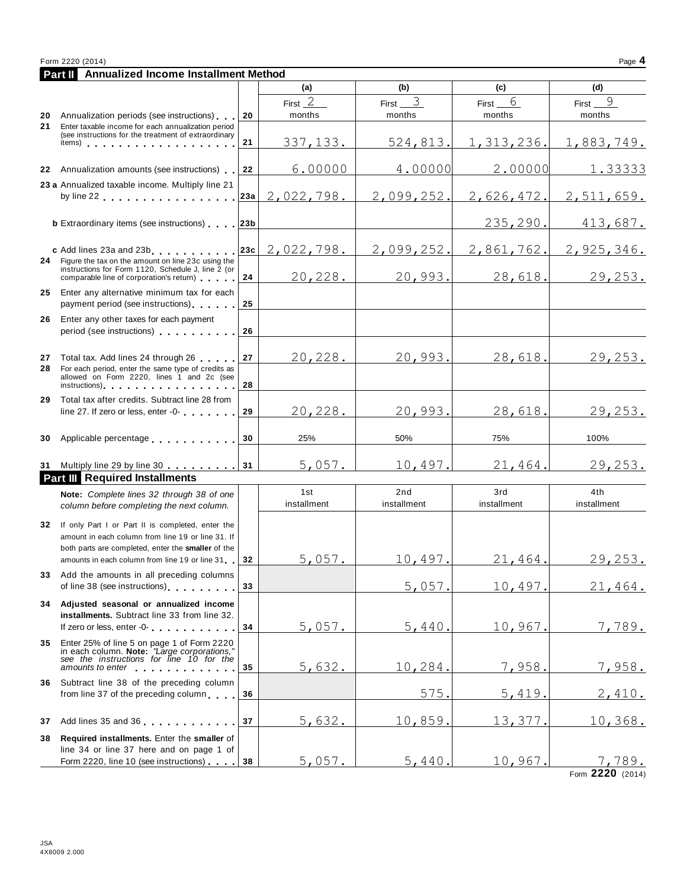|    | Form 2220 (2014)<br>Annualized Income Installment Method                                                                                                                                                                                                                                                                          |     |                     |                     |                     | Page 4              |
|----|-----------------------------------------------------------------------------------------------------------------------------------------------------------------------------------------------------------------------------------------------------------------------------------------------------------------------------------|-----|---------------------|---------------------|---------------------|---------------------|
|    | Part II                                                                                                                                                                                                                                                                                                                           |     | (a)                 | (b)                 | (c)                 | (d)                 |
|    | <b>20</b> Annualization periods (see instructions)                                                                                                                                                                                                                                                                                | 20  | First $2$<br>months | First $3$<br>months | $First_6$<br>months | First $9$<br>months |
| 21 | Enter taxable income for each annualization period<br>(see instructions for the treatment of extraordinary<br>items) $\cdots$ $\cdots$ $\cdots$ $\cdots$ $\cdots$ $\cdots$ $\cdots$                                                                                                                                               | 21  | 337, 133.           | 524,813.            | 1, 313, 236.        | 1,883,749.          |
|    |                                                                                                                                                                                                                                                                                                                                   |     | 6.00000             |                     |                     |                     |
|    | 22 Annualization amounts (see instructions)                                                                                                                                                                                                                                                                                       | 22  |                     | 4.00000             | 2.00000             | 1.33333             |
|    | 23 a Annualized taxable income. Multiply line 21<br>by line 22 experience and the set of the set of the set of the set of the set of the set of the set of the set of the set of the set of the set of the set of the set of the set of the set of the set of the set of the set o                                                | 23a | 2,022,798.          | 2,099,252.          | 2,626,472.          | 2,511,659.          |
|    | <b>b</b> Extraordinary items (see instructions) 23b                                                                                                                                                                                                                                                                               |     |                     |                     | 235,290.            | 413,687.            |
|    | c Add lines 23a and 23b                                                                                                                                                                                                                                                                                                           | 23c | 2,022,798.          | 2,099,252.          | 2,861,762.          | 2,925,346.          |
|    | 24 Figure the tax on the amount on line 23c using the<br>instructions for Form 1120, Schedule J, line 2 (or<br>comparable line of corporation's return)                                                                                                                                                                           | 24  | 20,228.             | 20,993.             | 28,618.             | 29,253.             |
| 25 | Enter any alternative minimum tax for each<br>payment period (see instructions)                                                                                                                                                                                                                                                   | 25  |                     |                     |                     |                     |
| 26 | Enter any other taxes for each payment<br>period (see instructions)                                                                                                                                                                                                                                                               | 26  |                     |                     |                     |                     |
|    | 27 Total tax. Add lines 24 through 26                                                                                                                                                                                                                                                                                             | 27  | 20,228.             | 20,993.             | 28,618.             | 29,253.             |
| 28 | For each period, enter the same type of credits as<br>allowed on Form 2220, lines 1 and 2c (see<br>instructions) and the contract of the contract of the contract of the contract of the contract of the contract of the contract of the contract of the contract of the contract of the contract of the contract of the contract | 28  |                     |                     |                     |                     |
| 29 | Total tax after credits. Subtract line 28 from<br>line 27. If zero or less, enter -0-                                                                                                                                                                                                                                             | 29  | 20,228.             | 20,993.             | 28,618.             | 29, 253.            |
|    | 30 Applicable percentage                                                                                                                                                                                                                                                                                                          | 30  | 25%                 | 50%                 | 75%                 | 100%                |
|    | 31 Multiply line 29 by line 30 <b></b> 31                                                                                                                                                                                                                                                                                         |     | 5,057.              | 10,497              | 21,464.             | 29,253.             |
|    | <b>Part III</b> Required Installments                                                                                                                                                                                                                                                                                             |     |                     |                     |                     |                     |
|    | Note: Complete lines 32 through 38 of one<br>column before completing the next column.                                                                                                                                                                                                                                            |     | 1st<br>installment  | 2nd<br>installment  | 3rd<br>installment  | 4th<br>installment  |
|    | 32 If only Part I or Part II is completed, enter the<br>amount in each column from line 19 or line 31. If<br>both parts are completed, enter the smaller of the                                                                                                                                                                   |     |                     |                     |                     |                     |
|    | amounts in each column from line 19 or line 31                                                                                                                                                                                                                                                                                    | 32  | 5,057.              | 10,497              | 21,464              | 29, 253.            |
| 33 | Add the amounts in all preceding columns<br>of line 38 (see instructions)                                                                                                                                                                                                                                                         | 33  |                     | 5,057.              | 10,497.             | 21,464.             |
| 34 | Adjusted seasonal or annualized income<br>installments. Subtract line 33 from line 32.<br>If zero or less, enter -0-                                                                                                                                                                                                              | 34  | 5,057.              | 5,440               | 10,967              | 7,789.              |
| 35 | Enter 25% of line 5 on page 1 of Form 2220<br>in each column. <b>Note:</b> "Large corporations,"<br>see the instructions for line 10 for the                                                                                                                                                                                      |     |                     |                     |                     |                     |

- 
- 

**32** If only Part I or Part II is completed, enter the **35** in each column. **Note:** *"Large corporations," see the instructions for line 10 for the* from line 37 of the preceding column 36 **37 38 Required installments.** Enter the **smaller** of **38** of line 38 (see instructions)<br>**34 Adjusted seasonal or annualized income**<br>**but allowstrated income income income income income income income income income income income in the 30 35** Enter 25% of line 5 on page 1 of Form 2220 **amounts to example the manualized income**<br> **amounts in the solution of the solution**<br> **amounts to enter** of the preceding corrections, the preceding column of the preceding column of the preceding column<br> **amounts to ente** installments. Subtract line 33 from line 32.<br>If zero or less, enter -0-<br>Enter 25% of line 5 on page 1 of Form 2220<br>in each column. **Note:** "Large corporations,"<br>see the instructions for line 10 for the<br>amounts to enter<br>Sub **35** Enter 25% of line 5 on page 1 of Form 2220<br>in each column. **Note:** "Large corporations,"<br>see the instructions for line 10 for the<br>amounts to enter<br>**36** Subtract line 38 of the preceding column<br>from line 37 of the prec line 34 or line 37 here and on page 1 of Subtract line 38 of the preceding column<br>
from line 37 of the preceding column<br>
Add lines 35 and 36<br>
Required installments. Enter the smaller of<br>
line 34 or line 37 here and on page 1 of<br>
Form 2220, line 10 (see instructio 5,632. 10,284. 7,958. 7,958.  $575.$   $5,419.$   $2,410.$ <u>5,632. 10,859. 13,377. 10,368.</u>  $\begin{array}{|c|c|c|c|c|c|}\n5,057. & 5,440. & 10,967. & 7,789. \ \hline\n\end{array}$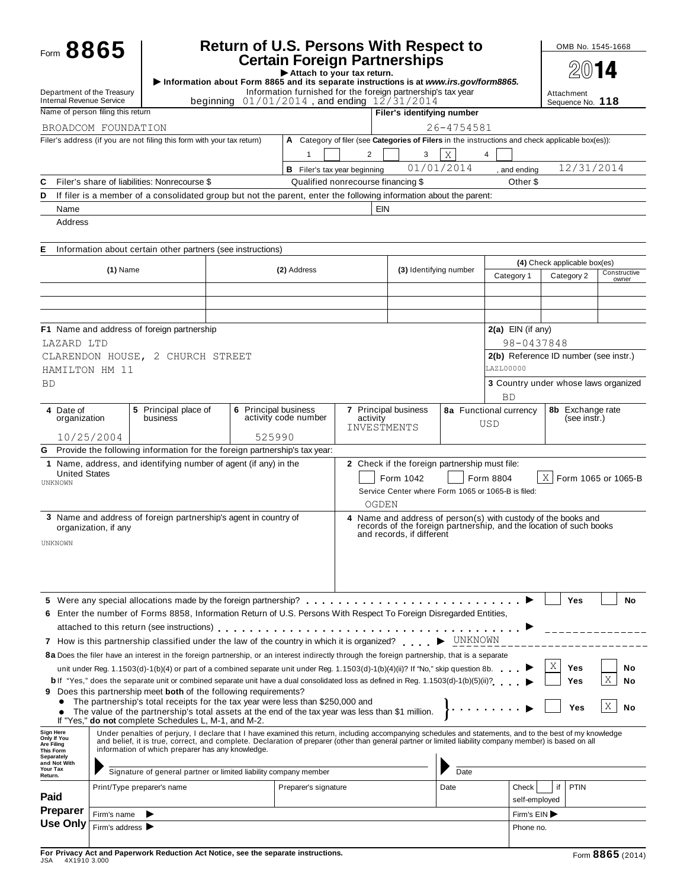|                                                                                                                                                               | Form 8865            |                                                                                                                                                                                                                                                                                   | <b>Return of U.S. Persons With Respect to</b> |                                                                                                        |                                                                                                                                                                  |                                               |            |                                                                                                  | OMB No. 1545-1668                     |                       |
|---------------------------------------------------------------------------------------------------------------------------------------------------------------|----------------------|-----------------------------------------------------------------------------------------------------------------------------------------------------------------------------------------------------------------------------------------------------------------------------------|-----------------------------------------------|--------------------------------------------------------------------------------------------------------|------------------------------------------------------------------------------------------------------------------------------------------------------------------|-----------------------------------------------|------------|--------------------------------------------------------------------------------------------------|---------------------------------------|-----------------------|
|                                                                                                                                                               |                      | Information about Form 8865 and its separate instructions is at www.irs.gov/form8865.                                                                                                                                                                                             |                                               | <b>Certain Foreign Partnerships</b><br>Attach to your tax return.                                      |                                                                                                                                                                  |                                               |            |                                                                                                  |                                       |                       |
| Department of the Treasury<br>Internal Revenue Service                                                                                                        |                      | beginning                                                                                                                                                                                                                                                                         |                                               | Information furnished for the foreign partnership's tax year<br>$01/01/2014$ , and ending $12/31/2014$ |                                                                                                                                                                  |                                               |            |                                                                                                  | Attachment<br>Sequence No. 118        |                       |
| Name of person filing this return                                                                                                                             |                      |                                                                                                                                                                                                                                                                                   |                                               |                                                                                                        |                                                                                                                                                                  | Filer's identifying number                    |            |                                                                                                  |                                       |                       |
| BROADCOM FOUNDATION                                                                                                                                           |                      |                                                                                                                                                                                                                                                                                   |                                               |                                                                                                        |                                                                                                                                                                  |                                               | 26-4754581 |                                                                                                  |                                       |                       |
|                                                                                                                                                               |                      | Filer's address (if you are not filing this form with your tax return)                                                                                                                                                                                                            |                                               |                                                                                                        |                                                                                                                                                                  |                                               |            | A Category of filer (see Categories of Filers in the instructions and check applicable box(es)): |                                       |                       |
|                                                                                                                                                               |                      |                                                                                                                                                                                                                                                                                   |                                               | 1                                                                                                      | 2                                                                                                                                                                | 3                                             | X          | 4                                                                                                |                                       |                       |
|                                                                                                                                                               |                      |                                                                                                                                                                                                                                                                                   |                                               | <b>B</b> Filer's tax year beginning                                                                    |                                                                                                                                                                  |                                               | 01/01/2014 | and ending                                                                                       | 12/31/2014                            |                       |
| C<br>D                                                                                                                                                        |                      | Filer's share of liabilities: Nonrecourse \$<br>If filer is a member of a consolidated group but not the parent, enter the following information about the parent:                                                                                                                |                                               |                                                                                                        | Qualified nonrecourse financing \$                                                                                                                               |                                               |            | Other \$                                                                                         |                                       |                       |
| Name                                                                                                                                                          |                      |                                                                                                                                                                                                                                                                                   |                                               |                                                                                                        | <b>EIN</b>                                                                                                                                                       |                                               |            |                                                                                                  |                                       |                       |
| Address                                                                                                                                                       |                      |                                                                                                                                                                                                                                                                                   |                                               |                                                                                                        |                                                                                                                                                                  |                                               |            |                                                                                                  |                                       |                       |
|                                                                                                                                                               |                      |                                                                                                                                                                                                                                                                                   |                                               |                                                                                                        |                                                                                                                                                                  |                                               |            |                                                                                                  |                                       |                       |
| Е                                                                                                                                                             |                      | Information about certain other partners (see instructions)                                                                                                                                                                                                                       |                                               |                                                                                                        |                                                                                                                                                                  |                                               |            |                                                                                                  |                                       |                       |
|                                                                                                                                                               | $(1)$ Name           |                                                                                                                                                                                                                                                                                   |                                               | (2) Address                                                                                            |                                                                                                                                                                  | (3) Identifying number                        |            |                                                                                                  | (4) Check applicable box(es)          |                       |
|                                                                                                                                                               |                      |                                                                                                                                                                                                                                                                                   |                                               |                                                                                                        |                                                                                                                                                                  |                                               |            | Category 1                                                                                       | Category 2                            | Constructive<br>owner |
|                                                                                                                                                               |                      |                                                                                                                                                                                                                                                                                   |                                               |                                                                                                        |                                                                                                                                                                  |                                               |            |                                                                                                  |                                       |                       |
|                                                                                                                                                               |                      |                                                                                                                                                                                                                                                                                   |                                               |                                                                                                        |                                                                                                                                                                  |                                               |            |                                                                                                  |                                       |                       |
|                                                                                                                                                               |                      | F1 Name and address of foreign partnership                                                                                                                                                                                                                                        |                                               |                                                                                                        |                                                                                                                                                                  |                                               |            | $2(a)$ EIN (if any)                                                                              |                                       |                       |
| LAZARD LTD                                                                                                                                                    |                      |                                                                                                                                                                                                                                                                                   |                                               |                                                                                                        |                                                                                                                                                                  |                                               |            | 98-0437848                                                                                       |                                       |                       |
|                                                                                                                                                               |                      | CLARENDON HOUSE, 2 CHURCH STREET                                                                                                                                                                                                                                                  |                                               |                                                                                                        |                                                                                                                                                                  |                                               |            |                                                                                                  | 2(b) Reference ID number (see instr.) |                       |
| HAMILTON HM 11                                                                                                                                                |                      |                                                                                                                                                                                                                                                                                   |                                               |                                                                                                        |                                                                                                                                                                  |                                               |            | LAZL00000                                                                                        |                                       |                       |
| <b>BD</b>                                                                                                                                                     |                      |                                                                                                                                                                                                                                                                                   |                                               |                                                                                                        |                                                                                                                                                                  |                                               |            |                                                                                                  | 3 Country under whose laws organized  |                       |
|                                                                                                                                                               |                      |                                                                                                                                                                                                                                                                                   |                                               |                                                                                                        |                                                                                                                                                                  |                                               |            | <b>BD</b>                                                                                        |                                       |                       |
| 4 Date of<br>organization                                                                                                                                     |                      | 5 Principal place of<br>business                                                                                                                                                                                                                                                  | 6 Principal business                          | activity code number                                                                                   | 7 Principal business<br>activity                                                                                                                                 |                                               |            | 8a Functional currency                                                                           | 8b Exchange rate<br>(see instr.)      |                       |
|                                                                                                                                                               | 10/25/2004           |                                                                                                                                                                                                                                                                                   | 525990                                        |                                                                                                        | INVESTMENTS                                                                                                                                                      |                                               |            | USD                                                                                              |                                       |                       |
|                                                                                                                                                               |                      | G Provide the following information for the foreign partnership's tax year:                                                                                                                                                                                                       |                                               |                                                                                                        |                                                                                                                                                                  |                                               |            |                                                                                                  |                                       |                       |
|                                                                                                                                                               |                      | 1 Name, address, and identifying number of agent (if any) in the                                                                                                                                                                                                                  |                                               |                                                                                                        |                                                                                                                                                                  | 2 Check if the foreign partnership must file: |            |                                                                                                  |                                       |                       |
| <b>United States</b><br>UNKNOWN                                                                                                                               |                      |                                                                                                                                                                                                                                                                                   |                                               |                                                                                                        |                                                                                                                                                                  | Form 1042                                     |            | Form 8804                                                                                        | $X \mid$                              | Form 1065 or 1065-B   |
|                                                                                                                                                               |                      |                                                                                                                                                                                                                                                                                   |                                               |                                                                                                        |                                                                                                                                                                  |                                               |            | Service Center where Form 1065 or 1065-B is filed:                                               |                                       |                       |
|                                                                                                                                                               |                      |                                                                                                                                                                                                                                                                                   |                                               |                                                                                                        | OGDEN                                                                                                                                                            |                                               |            |                                                                                                  |                                       |                       |
|                                                                                                                                                               | organization, if any | 3 Name and address of foreign partnership's agent in country of                                                                                                                                                                                                                   |                                               |                                                                                                        | 4 Name and address of person(s) with custody of the books and<br>records of the foreign partnership, and the location of such books<br>and records, if different |                                               |            |                                                                                                  |                                       |                       |
|                                                                                                                                                               |                      |                                                                                                                                                                                                                                                                                   |                                               |                                                                                                        |                                                                                                                                                                  |                                               |            |                                                                                                  |                                       |                       |
| UNKNOWN                                                                                                                                                       |                      |                                                                                                                                                                                                                                                                                   |                                               |                                                                                                        |                                                                                                                                                                  |                                               |            |                                                                                                  |                                       |                       |
|                                                                                                                                                               |                      |                                                                                                                                                                                                                                                                                   |                                               |                                                                                                        |                                                                                                                                                                  |                                               |            |                                                                                                  |                                       |                       |
|                                                                                                                                                               |                      |                                                                                                                                                                                                                                                                                   |                                               |                                                                                                        |                                                                                                                                                                  |                                               |            |                                                                                                  |                                       |                       |
|                                                                                                                                                               |                      |                                                                                                                                                                                                                                                                                   |                                               |                                                                                                        |                                                                                                                                                                  |                                               |            |                                                                                                  |                                       |                       |
|                                                                                                                                                               |                      |                                                                                                                                                                                                                                                                                   |                                               |                                                                                                        |                                                                                                                                                                  |                                               |            |                                                                                                  | Yes                                   | No                    |
|                                                                                                                                                               |                      | 6 Enter the number of Forms 8858, Information Return of U.S. Persons With Respect To Foreign Disregarded Entities,                                                                                                                                                                |                                               |                                                                                                        |                                                                                                                                                                  |                                               |            |                                                                                                  |                                       |                       |
|                                                                                                                                                               |                      |                                                                                                                                                                                                                                                                                   |                                               |                                                                                                        |                                                                                                                                                                  |                                               |            |                                                                                                  |                                       |                       |
|                                                                                                                                                               |                      | 7 How is this partnership classified under the law of the country in which it is organized? > UNKNOWN                                                                                                                                                                             |                                               |                                                                                                        |                                                                                                                                                                  |                                               |            |                                                                                                  |                                       |                       |
|                                                                                                                                                               |                      | 8a Does the filer have an interest in the foreign partnership, or an interest indirectly through the foreign partnership, that is a separate                                                                                                                                      |                                               |                                                                                                        |                                                                                                                                                                  |                                               |            |                                                                                                  | Χ                                     |                       |
|                                                                                                                                                               |                      | unit under Reg. 1.1503(d)-1(b)(4) or part of a combined separate unit under Reg. 1.1503(d)-1(b)(4)(ii)? If "No," skip question 8b.<br><b>b</b> If "Yes," does the separate unit or combined separate unit have a dual consolidated loss as defined in Reg. 1.1503(d)-1(b)(5)(ii)? |                                               |                                                                                                        |                                                                                                                                                                  |                                               |            |                                                                                                  | Yes<br>Yes                            | No<br>Χ<br>No         |
|                                                                                                                                                               |                      | <b>9</b> Does this partnership meet <b>both</b> of the following requirements?                                                                                                                                                                                                    |                                               |                                                                                                        |                                                                                                                                                                  |                                               |            |                                                                                                  |                                       |                       |
|                                                                                                                                                               |                      | The partnership's total receipts for the tax year were less than \$250,000 and                                                                                                                                                                                                    |                                               |                                                                                                        |                                                                                                                                                                  |                                               |            |                                                                                                  | Yes                                   | Χ<br>No               |
|                                                                                                                                                               |                      | The value of the partnership's total assets at the end of the tax year was less than \$1 million.<br>If "Yes," do not complete Schedules L, M-1, and M-2.                                                                                                                         |                                               |                                                                                                        |                                                                                                                                                                  |                                               |            |                                                                                                  |                                       |                       |
|                                                                                                                                                               |                      | Under penalties of perjury, I declare that I have examined this return, including accompanying schedules and statements, and to the best of my knowledge                                                                                                                          |                                               |                                                                                                        |                                                                                                                                                                  |                                               |            |                                                                                                  |                                       |                       |
|                                                                                                                                                               |                      | and belief, it is true, correct, and complete. Declaration of preparer (other than general partner or limited liability company member) is based on all<br>information of which preparer has any knowledge.                                                                       |                                               |                                                                                                        |                                                                                                                                                                  |                                               |            |                                                                                                  |                                       |                       |
|                                                                                                                                                               |                      |                                                                                                                                                                                                                                                                                   |                                               |                                                                                                        |                                                                                                                                                                  |                                               |            |                                                                                                  |                                       |                       |
|                                                                                                                                                               |                      | Signature of general partner or limited liability company member                                                                                                                                                                                                                  |                                               |                                                                                                        |                                                                                                                                                                  |                                               | Date       |                                                                                                  |                                       |                       |
|                                                                                                                                                               |                      | Print/Type preparer's name                                                                                                                                                                                                                                                        |                                               | Preparer's signature                                                                                   |                                                                                                                                                                  |                                               | Date       | Check<br>self-employed                                                                           | if<br><b>PTIN</b>                     |                       |
|                                                                                                                                                               | Firm's name          |                                                                                                                                                                                                                                                                                   |                                               |                                                                                                        |                                                                                                                                                                  |                                               |            | Firm's EIN                                                                                       |                                       |                       |
| <b>Sign Here</b><br>Only If You<br>Are Filing<br><b>This Form</b><br>Separately<br>and Not With<br>Your Tax<br>Return.<br>Paid<br><b>Preparer</b><br>Use Only | Firm's address ▶     |                                                                                                                                                                                                                                                                                   |                                               |                                                                                                        |                                                                                                                                                                  |                                               |            | Phone no.                                                                                        |                                       |                       |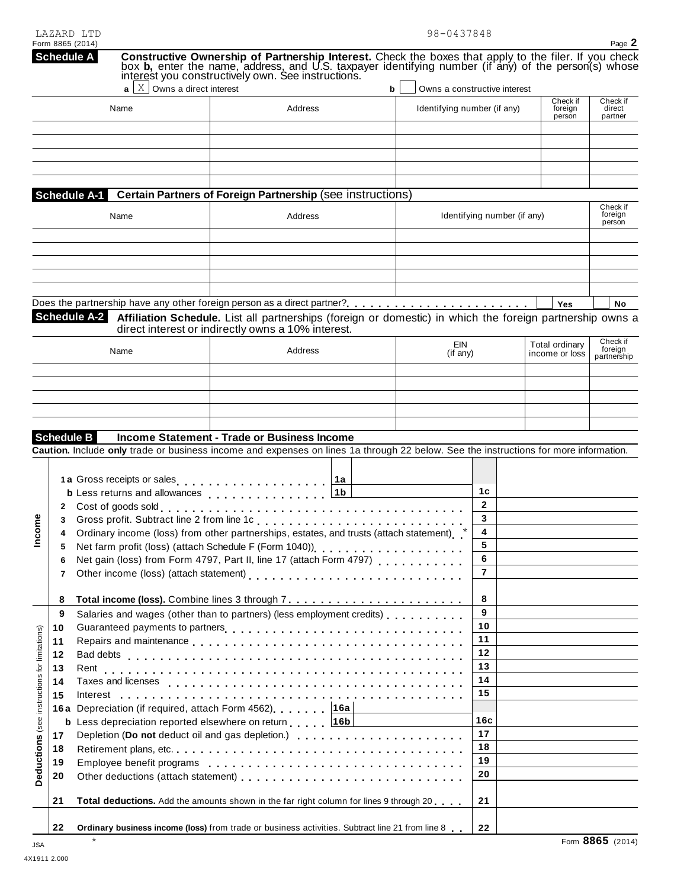| LAZARD LTD       | 98-0437848 |
|------------------|------------|
| Form 8865 (2014) |            |

|                                                                                                    | Form 8865 (2014)<br><b>Schedule A</b> |                                  | <b>Constructive Ownership of Partnership Interest.</b> Check the boxes that apply to the filer. If you check box <b>b</b> , enter the name, address, and U.S. taxpayer identifying number (if any) of the person(s) whose interest you co                                                                                                                                                                                                                         |                                                                  |                                                                |                                  | Page 2                             |
|----------------------------------------------------------------------------------------------------|---------------------------------------|----------------------------------|-------------------------------------------------------------------------------------------------------------------------------------------------------------------------------------------------------------------------------------------------------------------------------------------------------------------------------------------------------------------------------------------------------------------------------------------------------------------|------------------------------------------------------------------|----------------------------------------------------------------|----------------------------------|------------------------------------|
|                                                                                                    | Name                                  | $X$ Owns a direct interest<br>al | Address                                                                                                                                                                                                                                                                                                                                                                                                                                                           | Owns a constructive interest<br>b<br>Identifying number (if any) |                                                                | Check if<br>foreign<br>person    | Check if<br>direct<br>partner      |
|                                                                                                    | Schedule A-1<br>Name                  |                                  | Certain Partners of Foreign Partnership (see instructions)<br>Address                                                                                                                                                                                                                                                                                                                                                                                             |                                                                  | Identifying number (if any)                                    |                                  | Check if<br>foreign                |
|                                                                                                    |                                       |                                  |                                                                                                                                                                                                                                                                                                                                                                                                                                                                   |                                                                  |                                                                |                                  | person                             |
|                                                                                                    | <b>Schedule A-2</b>                   |                                  | Affiliation Schedule. List all partnerships (foreign or domestic) in which the foreign partnership owns a<br>direct interest or indirectly owns a 10% interest.                                                                                                                                                                                                                                                                                                   |                                                                  |                                                                | Yes                              | No                                 |
|                                                                                                    | Name                                  |                                  | Address                                                                                                                                                                                                                                                                                                                                                                                                                                                           | EIN<br>$($ if any $)$                                            |                                                                | Total ordinary<br>income or loss | Check if<br>foreign<br>partnership |
|                                                                                                    | <b>Schedule B</b>                     |                                  | Income Statement - Trade or Business Income                                                                                                                                                                                                                                                                                                                                                                                                                       |                                                                  |                                                                |                                  |                                    |
| 2<br>3<br>4<br>5<br>6<br>7<br>8                                                                    |                                       |                                  | Caution. Include only trade or business income and expenses on lines 1a through 22 below. See the instructions for more information.<br>1a Gross receipts or sales<br>1a<br>1 <sub>b</sub><br><b>b</b> Less returns and allowances<br>Ordinary income (loss) from other partnerships, estates, and trusts (attach statement)<br>Net farm profit (loss) (attach Schedule F (Form 1040))<br><br>Net gain (loss) from Form 4797, Part II, line 17 (attach Form 4797) |                                                                  | 1 <sub>c</sub><br>$\mathbf{2}$<br>3<br>4<br>5<br>6<br>8        |                                  |                                    |
| 9<br>10<br>Deductions (see instructions for limitations)<br>11<br>12<br>13<br>14<br>15<br>17<br>18 |                                       |                                  | Salaries and wages (other than to partners) (less employment credits)<br>16a Depreciation (if required, attach Form 4562) 46a<br><b>b</b> Less depreciation reported elsewhere on return 16b                                                                                                                                                                                                                                                                      |                                                                  | 9<br>10<br>11<br>12<br>13<br>14<br>15<br>16c<br>17<br>18<br>19 |                                  |                                    |
| 19<br>20<br>21                                                                                     |                                       |                                  | Total deductions. Add the amounts shown in the far right column for lines 9 through 20                                                                                                                                                                                                                                                                                                                                                                            |                                                                  | 20<br>21                                                       |                                  |                                    |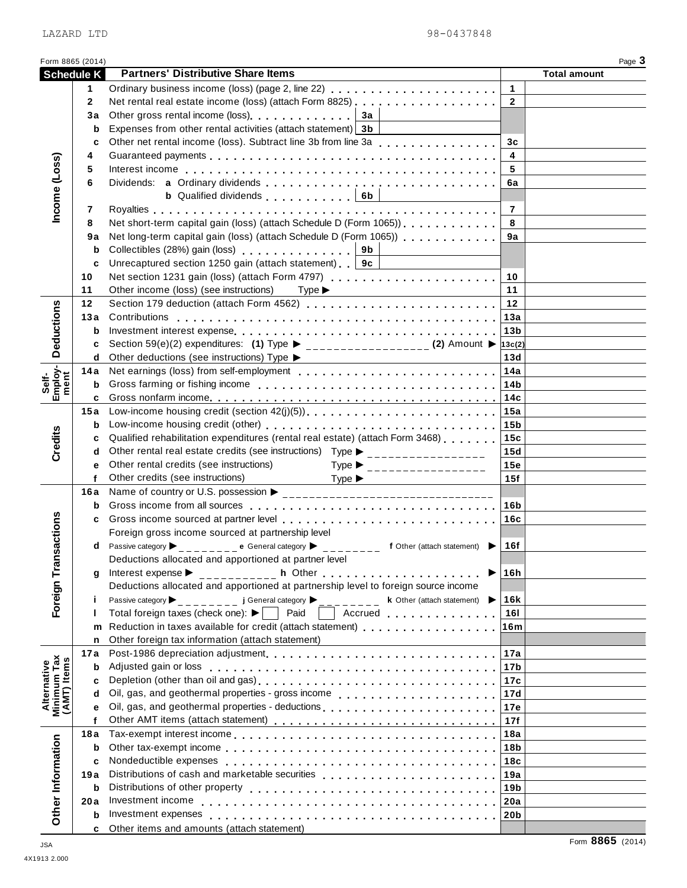L.

|                                           | LAZARD LTD        | 98-0437848                                                                                                                                                                                                                                                                                                                                         |                                  |                     |                |
|-------------------------------------------|-------------------|----------------------------------------------------------------------------------------------------------------------------------------------------------------------------------------------------------------------------------------------------------------------------------------------------------------------------------------------------|----------------------------------|---------------------|----------------|
| Form 8865 (2014)                          |                   |                                                                                                                                                                                                                                                                                                                                                    |                                  |                     | Page 3         |
|                                           | <b>Schedule K</b> | <b>Partners' Distributive Share Items</b>                                                                                                                                                                                                                                                                                                          |                                  | <b>Total amount</b> |                |
|                                           | 1.                | Ordinary business income (loss) (page 2, line 22)                                                                                                                                                                                                                                                                                                  | $\mathbf{1}$<br>$\overline{2}$   |                     |                |
|                                           | $\mathbf{2}$      |                                                                                                                                                                                                                                                                                                                                                    |                                  |                     |                |
|                                           | Зa                | Other gross rental income (loss) example and a state of 3a<br>Expenses from other rental activities (attach statement) 3b                                                                                                                                                                                                                          |                                  |                     |                |
|                                           | b<br>C            |                                                                                                                                                                                                                                                                                                                                                    |                                  |                     |                |
|                                           | 4                 | Other net rental income (loss). Subtract line 3b from line 3a                                                                                                                                                                                                                                                                                      | 3 <sub>c</sub><br>$\overline{4}$ |                     |                |
|                                           | 5                 |                                                                                                                                                                                                                                                                                                                                                    | 5                                |                     |                |
| Income (Loss)                             | 6                 |                                                                                                                                                                                                                                                                                                                                                    | 6a                               |                     |                |
|                                           |                   | <b>b</b> Qualified dividends $\begin{bmatrix} 6b \end{bmatrix}$                                                                                                                                                                                                                                                                                    |                                  |                     |                |
|                                           | 7                 |                                                                                                                                                                                                                                                                                                                                                    | $\overline{7}$                   |                     |                |
|                                           | 8                 | Net short-term capital gain (loss) (attach Schedule D (Form 1065))                                                                                                                                                                                                                                                                                 | 8                                |                     |                |
|                                           | 9a                | Net long-term capital gain (loss) (attach Schedule D (Form 1065))                                                                                                                                                                                                                                                                                  | 9a                               |                     |                |
|                                           | b                 | Collectibles (28%) gain (loss)<br>9b                                                                                                                                                                                                                                                                                                               |                                  |                     |                |
|                                           | C                 | Unrecaptured section 1250 gain (attach statement)   9c                                                                                                                                                                                                                                                                                             |                                  |                     |                |
|                                           | 10                | Net section 1231 gain (loss) (attach Form 4797)                                                                                                                                                                                                                                                                                                    | 10                               |                     |                |
|                                           | 11                | Other income (loss) (see instructions)<br>$Type \blacktriangleright$                                                                                                                                                                                                                                                                               | 11                               |                     |                |
|                                           | 12                |                                                                                                                                                                                                                                                                                                                                                    | 12                               |                     |                |
|                                           | 13а               | Contributions                                                                                                                                                                                                                                                                                                                                      | 13a                              |                     |                |
| <b>Deductions</b>                         | b                 |                                                                                                                                                                                                                                                                                                                                                    | 13 <sub>b</sub>                  |                     |                |
|                                           | c                 | Section 59(e)(2) expenditures: (1) Type ▶ ____________________ (2) Amount ▶ $13c(2)$                                                                                                                                                                                                                                                               |                                  |                     |                |
|                                           | d                 | Other deductions (see instructions) Type ▶                                                                                                                                                                                                                                                                                                         | 13d                              |                     |                |
| Employ-<br>ment                           | 14 a              |                                                                                                                                                                                                                                                                                                                                                    | 14a                              |                     |                |
| Self-                                     | b                 |                                                                                                                                                                                                                                                                                                                                                    | 14b                              |                     |                |
|                                           | c                 |                                                                                                                                                                                                                                                                                                                                                    |                                  |                     |                |
|                                           | 15a               |                                                                                                                                                                                                                                                                                                                                                    | 15a                              |                     |                |
|                                           | b                 |                                                                                                                                                                                                                                                                                                                                                    | 15 <sub>b</sub>                  |                     |                |
| Credits                                   | c                 | Qualified rehabilitation expenditures (rental real estate) (attach Form 3468) [169]                                                                                                                                                                                                                                                                | 15c                              |                     |                |
|                                           | d                 | Other rental real estate credits (see instructions) Type ▶ __________________                                                                                                                                                                                                                                                                      | 15d                              |                     |                |
|                                           | e<br>$\mathbf{f}$ | Other rental credits (see instructions)<br>Type $\blacktriangleright$<br>_________________<br>Other credits (see instructions)                                                                                                                                                                                                                     | 15e<br>15f                       |                     |                |
|                                           | 16 a              | Type $\blacktriangleright$<br>Name of country or U.S. possession ▶                                                                                                                                                                                                                                                                                 |                                  |                     |                |
|                                           |                   |                                                                                                                                                                                                                                                                                                                                                    | 16b                              |                     |                |
|                                           | c                 |                                                                                                                                                                                                                                                                                                                                                    | 16c                              |                     |                |
| Foreign Transactions                      |                   | Foreign gross income sourced at partnership level                                                                                                                                                                                                                                                                                                  |                                  |                     |                |
|                                           | d                 | Passive category ▶ _ _ _ _ _ _ _ e General category ▶ _ _ _ _ _ _ _ _ f Other (attach statement) ▶                                                                                                                                                                                                                                                 | 16f                              |                     |                |
|                                           |                   | Deductions allocated and apportioned at partner level                                                                                                                                                                                                                                                                                              |                                  |                     |                |
|                                           | q                 | ▶                                                                                                                                                                                                                                                                                                                                                  | 16h                              |                     |                |
|                                           |                   | Deductions allocated and apportioned at partnership level to foreign source income                                                                                                                                                                                                                                                                 |                                  |                     |                |
|                                           | j.                | Passive category<br>$\overline{a}$ $=$ $\overline{a}$ J General category $\overline{a}$ $=$ $\overline{a}$ $=$ $\overline{a}$ $=$ $\overline{a}$ $=$ $\overline{a}$ $=$ $\overline{a}$ $=$ $\overline{a}$ $=$ $\overline{a}$ $=$ $\overline{a}$ $=$ $\overline{a}$ $=$ $\overline{a}$ $=$ $\overline{a}$ $=$ $\overline{a}$ $=$ $\overline{a}$ $=$ | <b>16k</b>                       |                     |                |
|                                           |                   | Total foreign taxes (check one): ▶   Paid     Accrued                                                                                                                                                                                                                                                                                              | 161                              |                     |                |
|                                           | m                 | Reduction in taxes available for credit (attach statement) [10] [10] Reduction in taxes available for credit (attach statement)                                                                                                                                                                                                                    | 16m                              |                     |                |
|                                           | n                 | Other foreign tax information (attach statement)                                                                                                                                                                                                                                                                                                   |                                  |                     |                |
|                                           | 17 a              |                                                                                                                                                                                                                                                                                                                                                    | 17a                              |                     |                |
| Alternative<br>Minimum Tax<br>(AMT) Items | b                 |                                                                                                                                                                                                                                                                                                                                                    | 17b                              |                     |                |
|                                           | c<br>d            |                                                                                                                                                                                                                                                                                                                                                    | 17c<br>17d                       |                     |                |
|                                           | е                 | Oil, gas, and geothermal properties - deductions                                                                                                                                                                                                                                                                                                   | 17e                              |                     |                |
|                                           | f                 |                                                                                                                                                                                                                                                                                                                                                    | 17f                              |                     |                |
|                                           | 18a               |                                                                                                                                                                                                                                                                                                                                                    | 18a                              |                     |                |
|                                           | b                 |                                                                                                                                                                                                                                                                                                                                                    | 18b                              |                     |                |
|                                           | c                 |                                                                                                                                                                                                                                                                                                                                                    | 18c                              |                     |                |
|                                           | 19 a              | Distributions of cash and marketable securities                                                                                                                                                                                                                                                                                                    | 19a                              |                     |                |
|                                           | b                 |                                                                                                                                                                                                                                                                                                                                                    | 19b                              |                     |                |
|                                           | 20 a              |                                                                                                                                                                                                                                                                                                                                                    | 20a                              |                     |                |
| Other Information                         | b                 |                                                                                                                                                                                                                                                                                                                                                    | 20b                              |                     |                |
|                                           | c                 | Other items and amounts (attach statement)                                                                                                                                                                                                                                                                                                         |                                  |                     | $OOCE$ $(0.01$ |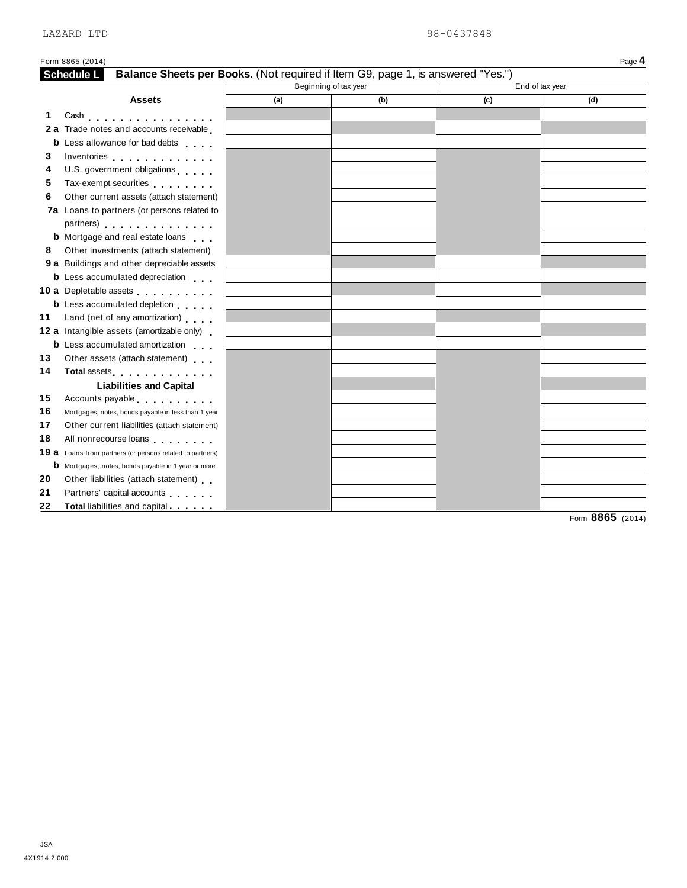| Balance Sheets per Books. (Not required if Item G9, page 1, is answered "Yes.")<br>Schedule L                                                                                                                                        |                       |     |                 |     |
|--------------------------------------------------------------------------------------------------------------------------------------------------------------------------------------------------------------------------------------|-----------------------|-----|-----------------|-----|
|                                                                                                                                                                                                                                      | Beginning of tax year |     | End of tax year |     |
| <b>Assets</b>                                                                                                                                                                                                                        | (a)                   | (b) | (c)             | (d) |
| 1<br>Cash                                                                                                                                                                                                                            |                       |     |                 |     |
| 2 a Trade notes and accounts receivable                                                                                                                                                                                              |                       |     |                 |     |
| <b>b</b> Less allowance for bad debts                                                                                                                                                                                                |                       |     |                 |     |
| 3<br>Inventories experience and the set of the set of the set of the set of the set of the set of the set of the set of the set of the set of the set of the set of the set of the set of the set of the set of the set of the set   |                       |     |                 |     |
| U.S. government obligations<br>4                                                                                                                                                                                                     |                       |     |                 |     |
| 5<br>Tax-exempt securities                                                                                                                                                                                                           |                       |     |                 |     |
| 6<br>Other current assets (attach statement)                                                                                                                                                                                         |                       |     |                 |     |
| 7a Loans to partners (or persons related to                                                                                                                                                                                          |                       |     |                 |     |
| partners) expansion and the set of the set of the set of the set of the set of the set of the set of the set of the set of the set of the set of the set of the set of the set of the set of the set of the set of the set of        |                       |     |                 |     |
| <b>b</b> Mortgage and real estate loans                                                                                                                                                                                              |                       |     |                 |     |
| Other investments (attach statement)<br>8                                                                                                                                                                                            |                       |     |                 |     |
| 9 a Buildings and other depreciable assets                                                                                                                                                                                           |                       |     |                 |     |
| <b>b</b> Less accumulated depreciation                                                                                                                                                                                               |                       |     |                 |     |
| 10 a Depletable assets                                                                                                                                                                                                               |                       |     |                 |     |
| <b>b</b> Less accumulated depletion                                                                                                                                                                                                  |                       |     |                 |     |
| Land (net of any amortization)<br>11                                                                                                                                                                                                 |                       |     |                 |     |
| 12 a Intangible assets (amortizable only)                                                                                                                                                                                            |                       |     |                 |     |
| <b>b</b> Less accumulated amortization                                                                                                                                                                                               |                       |     |                 |     |
| Other assets (attach statement)<br>13                                                                                                                                                                                                |                       |     |                 |     |
| 14<br>Total assets <b>All According to the Contract of Table 1</b>                                                                                                                                                                   |                       |     |                 |     |
| <b>Liabilities and Capital</b>                                                                                                                                                                                                       |                       |     |                 |     |
| 15<br>Accounts payable expression and the set of the set of the set of the set of the set of the set of the set of the set of the set of the set of the set of the set of the set of the set of the set of the set of the set of the |                       |     |                 |     |
| 16<br>Mortgages, notes, bonds payable in less than 1 year                                                                                                                                                                            |                       |     |                 |     |
| 17<br>Other current liabilities (attach statement)                                                                                                                                                                                   |                       |     |                 |     |
| All nonrecourse loans<br>18                                                                                                                                                                                                          |                       |     |                 |     |
| 19 a Loans from partners (or persons related to partners)                                                                                                                                                                            |                       |     |                 |     |
|                                                                                                                                                                                                                                      |                       |     |                 |     |
| <b>b</b> Mortgages, notes, bonds payable in 1 year or more                                                                                                                                                                           |                       |     |                 |     |
| 20<br>Other liabilities (attach statement)                                                                                                                                                                                           |                       |     |                 |     |
| 21<br>Partners' capital accounts<br>Total liabilities and capital<br>22                                                                                                                                                              |                       |     |                 |     |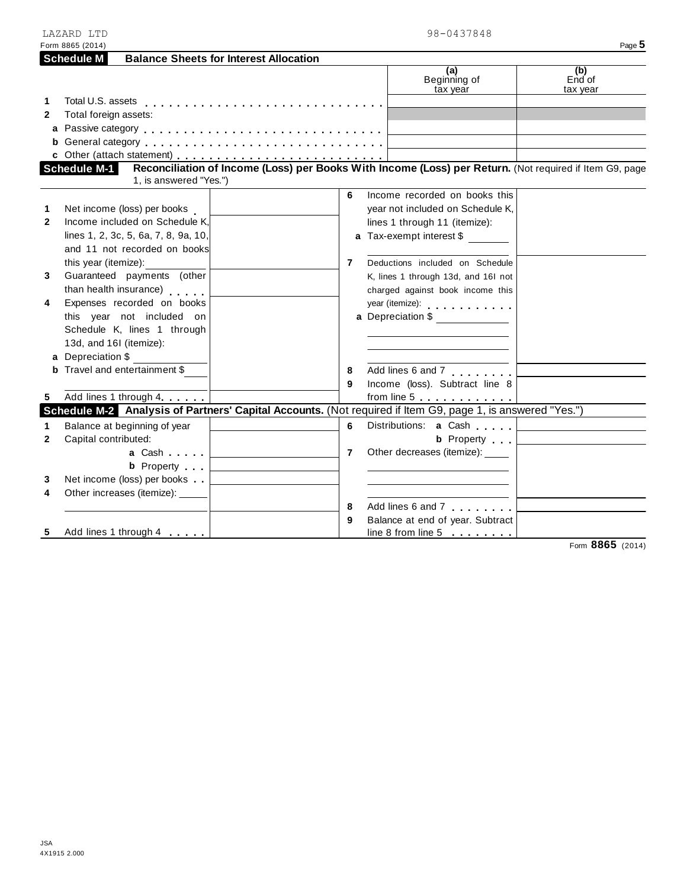| LAZARD LTD                                                         | 98-0437848                                                                                                 |
|--------------------------------------------------------------------|------------------------------------------------------------------------------------------------------------|
| Form 8865 (2014)                                                   | Page 5                                                                                                     |
| <b>Balance Sheets for Interest Allocation</b><br><b>Schedule M</b> |                                                                                                            |
|                                                                    | (a)<br>(b)<br>End of<br>Beginning of<br>tax year<br>tax year                                               |
| 1                                                                  |                                                                                                            |
| Total foreign assets:<br>$\mathbf{2}$                              |                                                                                                            |
|                                                                    |                                                                                                            |
|                                                                    |                                                                                                            |
|                                                                    |                                                                                                            |
| Schedule M-1                                                       | Reconciliation of Income (Loss) per Books With Income (Loss) per Return. (Not required if Item G9, page    |
| 1, is answered "Yes.")                                             |                                                                                                            |
|                                                                    | 6<br>Income recorded on books this                                                                         |
| Net income (loss) per books<br>1                                   | year not included on Schedule K,                                                                           |
| Income included on Schedule K.<br>$\mathbf{2}$                     | lines 1 through 11 (itemize):                                                                              |
| lines 1, 2, 3c, 5, 6a, 7, 8, 9a, 10,                               | <b>a</b> Tax-exempt interest \$                                                                            |
| and 11 not recorded on books                                       |                                                                                                            |
| this year (itemize):                                               | Deductions included on Schedule<br>7                                                                       |
| Guaranteed payments (other<br>3                                    | K, lines 1 through 13d, and 16I not                                                                        |
| than health insurance)                                             | charged against book income this                                                                           |
| Expenses recorded on books<br>4                                    | year (itemize):                                                                                            |
| this year not included on                                          | a Depreciation \$                                                                                          |
| Schedule K, lines 1 through                                        |                                                                                                            |
| 13d, and 16I (itemize):                                            |                                                                                                            |
|                                                                    |                                                                                                            |
| a Depreciation \$                                                  |                                                                                                            |
| <b>b</b> Travel and entertainment \$                               | $\overline{\mathsf{Add}}$ lines 6 and 7<br>8                                                               |
|                                                                    | Income (loss). Subtract line 8<br>9                                                                        |
| Add lines 1 through 4<br>5                                         | from line $5 \ldots \ldots \ldots \ldots$                                                                  |
|                                                                    | Schedule M-2 Analysis of Partners' Capital Accounts. (Not required if Item G9, page 1, is answered "Yes.") |
| Balance at beginning of year<br>1                                  | Distributions: a Cash<br>6                                                                                 |
| Capital contributed:<br>$\mathbf{2}$                               | <b>b</b> Property                                                                                          |
| a Cashella a l                                                     | Other decreases (itemize): _____<br>$\overline{7}$                                                         |
| <b>b</b> Property                                                  |                                                                                                            |
| Net income (loss) per books<br>3                                   |                                                                                                            |
| Other increases (itemize): _____<br>4                              |                                                                                                            |
|                                                                    | Add lines 6 and 7<br>8                                                                                     |
|                                                                    | Balance at end of year. Subtract<br>9                                                                      |
| Add lines 1 through 4<br>5                                         | line 8 from line 5                                                                                         |
|                                                                    | Form 8865 (2014)                                                                                           |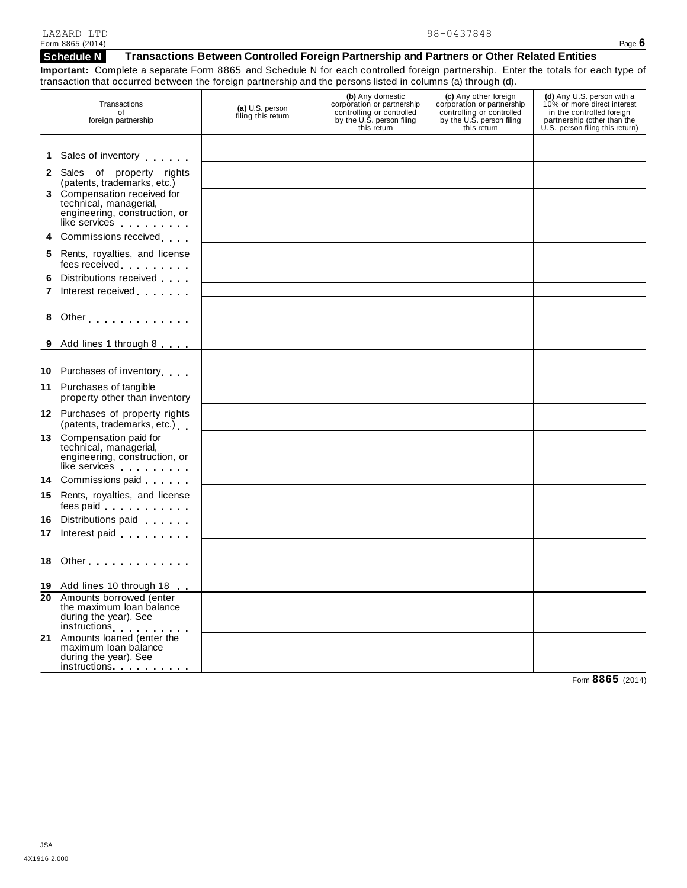#### **Schedule N Transactions Between Controlled Foreign Partnership and Partners or Other Related Entities**

**Important:** Complete a separate Form 8865 and Schedule N for each controlled foreign partnership. Enter the totals for each type of transaction that occurred between the foreign partnership and the persons listed in columns (a) through (d).

|   | Transactions<br>of<br>foreign partnership                                                                                                                                                                                                                               | (a) U.S. person<br>filing this return                                                                                 | (b) Any domestic<br>corporation or partnership<br>controlling or controlled<br>by the U.S. person filing<br>this return | (c) Any other foreign<br>corporation or partnership<br>controlling or controlled<br>by the U.S. person filing<br>this return | (d) Any U.S. person with a<br>10% or more direct interest<br>in the controlled foreign<br>partnership (other than the<br>U.S. person filing this return) |
|---|-------------------------------------------------------------------------------------------------------------------------------------------------------------------------------------------------------------------------------------------------------------------------|-----------------------------------------------------------------------------------------------------------------------|-------------------------------------------------------------------------------------------------------------------------|------------------------------------------------------------------------------------------------------------------------------|----------------------------------------------------------------------------------------------------------------------------------------------------------|
|   | 1 Sales of inventory                                                                                                                                                                                                                                                    |                                                                                                                       |                                                                                                                         |                                                                                                                              |                                                                                                                                                          |
|   | 2 Sales of property rights<br>(patents, trademarks, etc.)                                                                                                                                                                                                               |                                                                                                                       |                                                                                                                         |                                                                                                                              |                                                                                                                                                          |
|   | 3 Compensation received for<br>technical, managerial,<br>engineering, construction, or<br>like services                                                                                                                                                                 |                                                                                                                       |                                                                                                                         |                                                                                                                              |                                                                                                                                                          |
|   | 4 Commissions received                                                                                                                                                                                                                                                  |                                                                                                                       |                                                                                                                         |                                                                                                                              |                                                                                                                                                          |
|   | 5 Rents, royalties, and license<br>fees received <b>the contract of the contract of the contract of the contract of the contract of the contract of the contract of the contract of the contract of the contract of the contract of the contract of the contract of</b> | <u> 1989 - Johann Stoff, deutscher Stoff, der Stoff, der Stoff, der Stoff, der Stoff, der Stoff, der Stoff, der S</u> |                                                                                                                         |                                                                                                                              |                                                                                                                                                          |
| 6 | Distributions received<br>7 Interest received                                                                                                                                                                                                                           | the control of the control of the control of the control of the control of                                            |                                                                                                                         |                                                                                                                              |                                                                                                                                                          |
| 8 | Other                                                                                                                                                                                                                                                                   |                                                                                                                       |                                                                                                                         |                                                                                                                              |                                                                                                                                                          |
|   | 9 Add lines 1 through 8                                                                                                                                                                                                                                                 |                                                                                                                       |                                                                                                                         |                                                                                                                              |                                                                                                                                                          |
|   | 10 Purchases of inventory                                                                                                                                                                                                                                               |                                                                                                                       |                                                                                                                         |                                                                                                                              |                                                                                                                                                          |
|   | 11 Purchases of tangible<br>property other than inventory                                                                                                                                                                                                               |                                                                                                                       |                                                                                                                         |                                                                                                                              |                                                                                                                                                          |
|   | 12 Purchases of property rights<br>(patents, trademarks, etc.)                                                                                                                                                                                                          |                                                                                                                       |                                                                                                                         |                                                                                                                              |                                                                                                                                                          |
|   | 13 Compensation paid for<br>technical, managerial,<br>engineering, construction, or<br>like services                                                                                                                                                                    |                                                                                                                       |                                                                                                                         |                                                                                                                              |                                                                                                                                                          |
|   | 14 Commissions paid                                                                                                                                                                                                                                                     |                                                                                                                       |                                                                                                                         |                                                                                                                              |                                                                                                                                                          |
|   | 15 Rents, royalties, and license<br>fees paid experience and the set of the set of the set of the set of the set of the set of the set of the set of the set of the set of the set of the set of the set of the set of the set of the set of the set of the set of      | <u> 1989 - Johann Barn, mars et al. 1989 - Anna ann an t-Alban ann an t-Alban ann an t-Alban ann an t-Alban ann a</u> |                                                                                                                         |                                                                                                                              |                                                                                                                                                          |
|   | 16 Distributions paid<br>17 Interest paid<br>interest paid                                                                                                                                                                                                              |                                                                                                                       |                                                                                                                         |                                                                                                                              |                                                                                                                                                          |
|   | 18 Other <b>Manual</b>                                                                                                                                                                                                                                                  |                                                                                                                       |                                                                                                                         |                                                                                                                              |                                                                                                                                                          |
|   |                                                                                                                                                                                                                                                                         |                                                                                                                       |                                                                                                                         |                                                                                                                              |                                                                                                                                                          |
|   | 19 Add lines 10 through 18                                                                                                                                                                                                                                              |                                                                                                                       |                                                                                                                         |                                                                                                                              |                                                                                                                                                          |
|   | 20 Amounts borrowed (enter<br>the maximum loan balance<br>during the year). See<br>instructions                                                                                                                                                                         |                                                                                                                       |                                                                                                                         |                                                                                                                              |                                                                                                                                                          |
|   | 21 Amounts loaned (enter the<br>maximum loan balance<br>during the year). See<br>instructions <b>intervalsed</b>                                                                                                                                                        |                                                                                                                       |                                                                                                                         |                                                                                                                              |                                                                                                                                                          |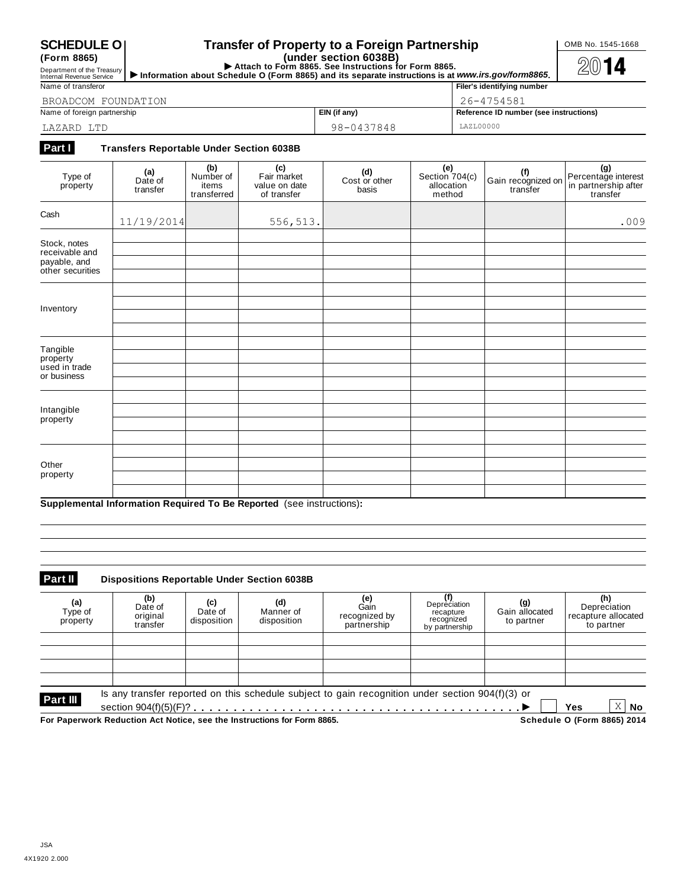**(Form 8865)**

#### **SCHEDULE O Transfer of Property to a Foreign Partnership COMB No. 1545-1668**

(Form 8865)<br>
Department of the Treasury **Department of the Treasury Department of the Treasury Department of the Treasury Department of the Treasury Department of the Treasury <b>Department of the Treasury Department of the** 

| Name of transferor          | Filer's identifying number |                                        |
|-----------------------------|----------------------------|----------------------------------------|
| BROADCOM FOUNDATION         | 26-4754581                 |                                        |
| Name of foreign partnership | EIN (if any)               | Reference ID number (see instructions) |
| LAZARD LTD                  | 98-0437848                 | LAZL00000                              |

#### **Part I Transfers Reportable Under Section 6038B**

| Type of<br>property                                                | (a)<br>Date of<br>transfer | (b)<br>Number of<br>items<br>transferred | (c)<br>Fair market<br>value on date<br>of transfer | $(d)$<br>Cost or other<br>basis | $(e)$<br>Section 704(c)<br>allocation<br>method | (f)<br>Gain recognized on<br>transfer | (g)<br>Percentage interest<br>in partnership after<br>transfer |
|--------------------------------------------------------------------|----------------------------|------------------------------------------|----------------------------------------------------|---------------------------------|-------------------------------------------------|---------------------------------------|----------------------------------------------------------------|
| Cash                                                               | 11/19/2014                 |                                          | 556,513.                                           |                                 |                                                 |                                       | .009                                                           |
| Stock, notes<br>receivable and<br>payable, and<br>other securities |                            |                                          |                                                    |                                 |                                                 |                                       |                                                                |
| Inventory                                                          |                            |                                          |                                                    |                                 |                                                 |                                       |                                                                |
| Tangible<br>property<br>used in trade<br>or business               |                            |                                          |                                                    |                                 |                                                 |                                       |                                                                |
| Intangible<br>property                                             |                            |                                          |                                                    |                                 |                                                 |                                       |                                                                |
| Other<br>property                                                  |                            |                                          |                                                    |                                 |                                                 |                                       |                                                                |

**Supplemental Information Required To Be Reported** (see instructions)**:**

### **Part II Dispositions Reportable Under Section 6038B**

| (a)<br>Type of<br>property | (b)<br>Date of<br>original<br>transfer | (c)<br>Date of<br>disposition | (d)<br>Manner of<br>disposition                                         | <b>(e)</b><br>Gain<br>recognized by<br>partnership                                               | (f)<br>Depreciation<br>recapture<br>recognized<br>by partnership | (g)<br>Gain allocated<br>to partner | (h)<br>Depreciation<br>recapture allocated<br>to partner |
|----------------------------|----------------------------------------|-------------------------------|-------------------------------------------------------------------------|--------------------------------------------------------------------------------------------------|------------------------------------------------------------------|-------------------------------------|----------------------------------------------------------|
|                            |                                        |                               |                                                                         |                                                                                                  |                                                                  |                                     |                                                          |
|                            |                                        |                               |                                                                         |                                                                                                  |                                                                  |                                     |                                                          |
| Part III                   |                                        |                               |                                                                         | Is any transfer reported on this schedule subject to gain recognition under section 904(f)(3) or |                                                                  |                                     | Χ<br>No<br><b>Yes</b>                                    |
|                            |                                        |                               | For Paperwork Reduction Act Notice, see the Instructions for Form 8865. |                                                                                                  |                                                                  |                                     | Schedule O (Form 8865) 2014                              |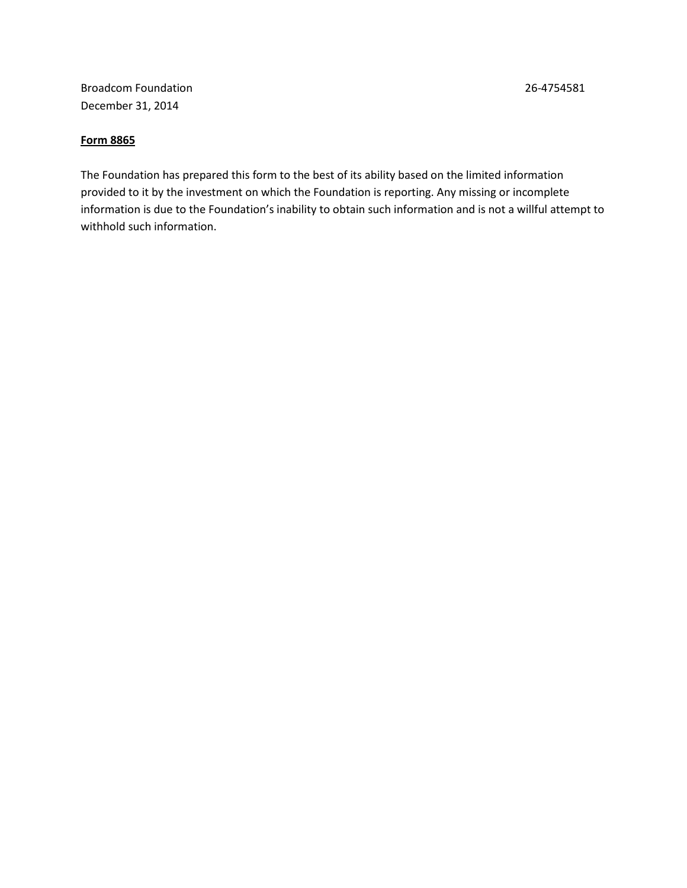Broadcom Foundation 26-4754581 December 31, 2014

#### **Form 8865**

The Foundation has prepared this form to the best of its ability based on the limited information provided to it by the investment on which the Foundation is reporting. Any missing or incomplete information is due to the Foundation's inability to obtain such information and is not a willful attempt to withhold such information.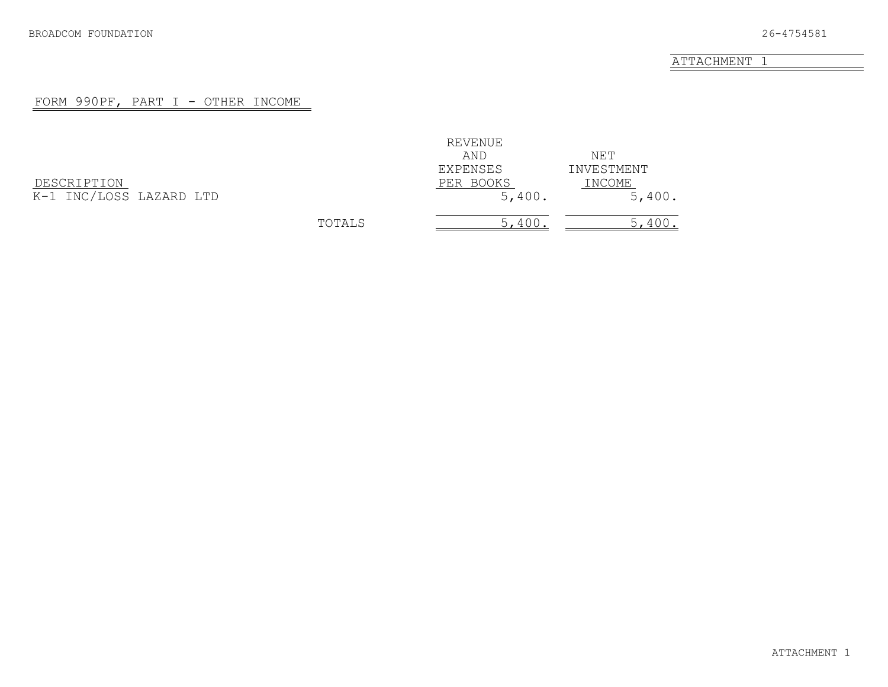#### FORM 990PF, PART I - OTHER INCOME

<span id="page-24-0"></span>

| DESCRIPTION             |  |
|-------------------------|--|
| K-1 INC/LOSS LAZARD LTD |  |

|                         |        | REVENUE   |            |
|-------------------------|--------|-----------|------------|
|                         |        | AND       | NET        |
|                         |        | EXPENSES  | INVESTMENT |
| DESCRIPTION             |        | PER BOOKS | INCOME     |
| K-1 INC/LOSS LAZARD LTD |        | 5,400.    | 5,400.     |
|                         | TOTALS | 5,400     | 5,400.     |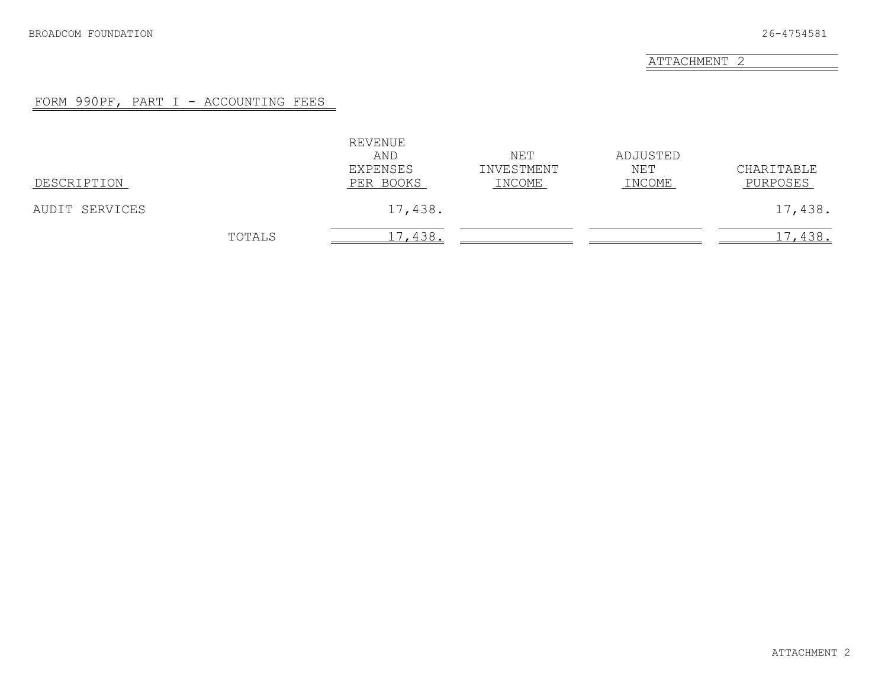#### FORM 990PF, PART I - ACCOUNTING FEES

<span id="page-25-0"></span>

| DESCRIPTION    |        | REVENUE<br>AND<br>EXPENSES<br>PER BOOKS | NET<br>INVESTMENT<br>INCOME | ADJUSTED<br>NET<br>INCOME | CHARITABLE<br>PURPOSES |
|----------------|--------|-----------------------------------------|-----------------------------|---------------------------|------------------------|
| AUDIT SERVICES |        | 17,438.                                 |                             |                           | 17,438.                |
|                | TOTALS | 17,438.                                 |                             |                           | 17,438.                |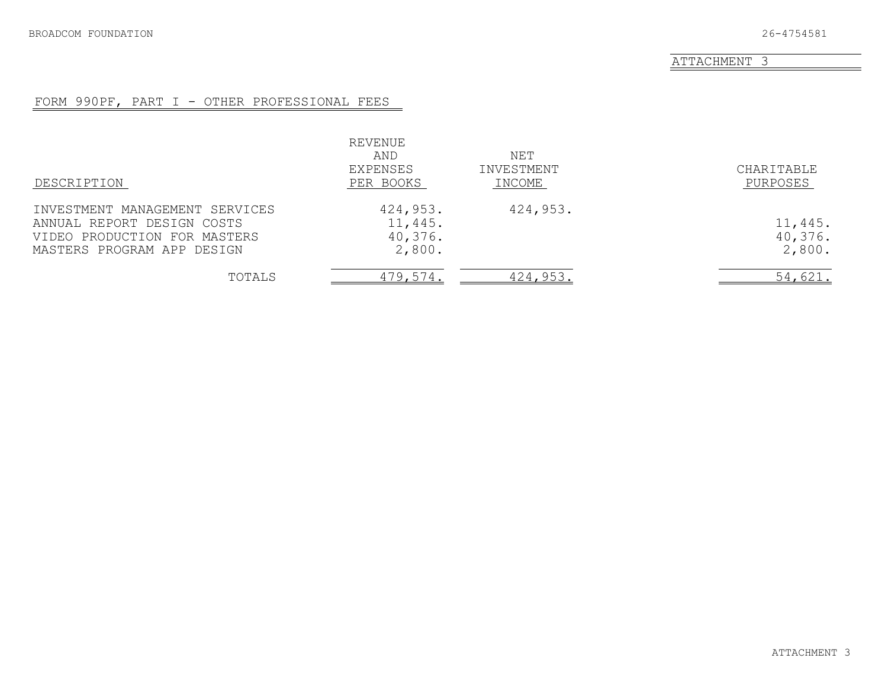### FORM 990PF, PART I - OTHER PROFESSIONAL FEES

<span id="page-26-0"></span>

| DESCRIPTION                                                                                                                | REVENUE<br>AND<br>EXPENSES<br>PER BOOKS  | NET<br>INVESTMENT<br>INCOME | CHARITABLE<br>PURPOSES       |
|----------------------------------------------------------------------------------------------------------------------------|------------------------------------------|-----------------------------|------------------------------|
| INVESTMENT MANAGEMENT SERVICES<br>ANNUAL REPORT DESIGN COSTS<br>VIDEO PRODUCTION FOR MASTERS<br>MASTERS PROGRAM APP DESIGN | 424,953.<br>11,445.<br>40,376.<br>2,800. | 424,953.                    | 11,445.<br>40,376.<br>2,800. |
| TOTALS                                                                                                                     | 479,574.                                 | 424,953.                    | 54,621.                      |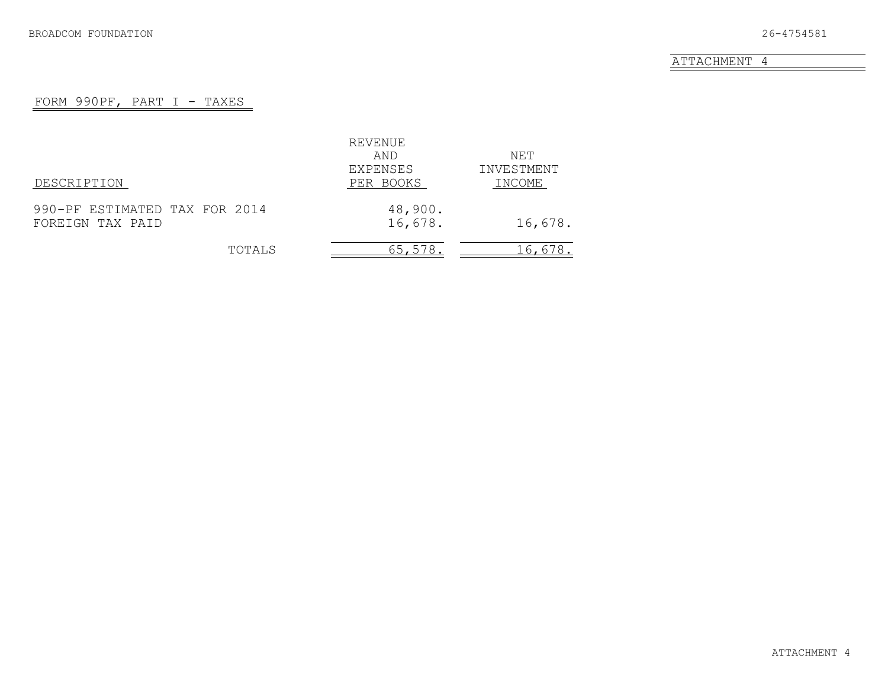#### FORM 990PF, PART I - TAXES

<span id="page-27-0"></span>

|                               | REVENUE   |            |
|-------------------------------|-----------|------------|
|                               | AND       | NET        |
|                               | EXPENSES  | INVESTMENT |
| DESCRIPTION                   | PER BOOKS | INCOME     |
| 990-PF ESTIMATED TAX FOR 2014 | 48,900.   |            |
| FOREIGN TAX PAID              | 16,678.   | 16,678.    |
| TOTALS                        | 65,578.   | 16,678.    |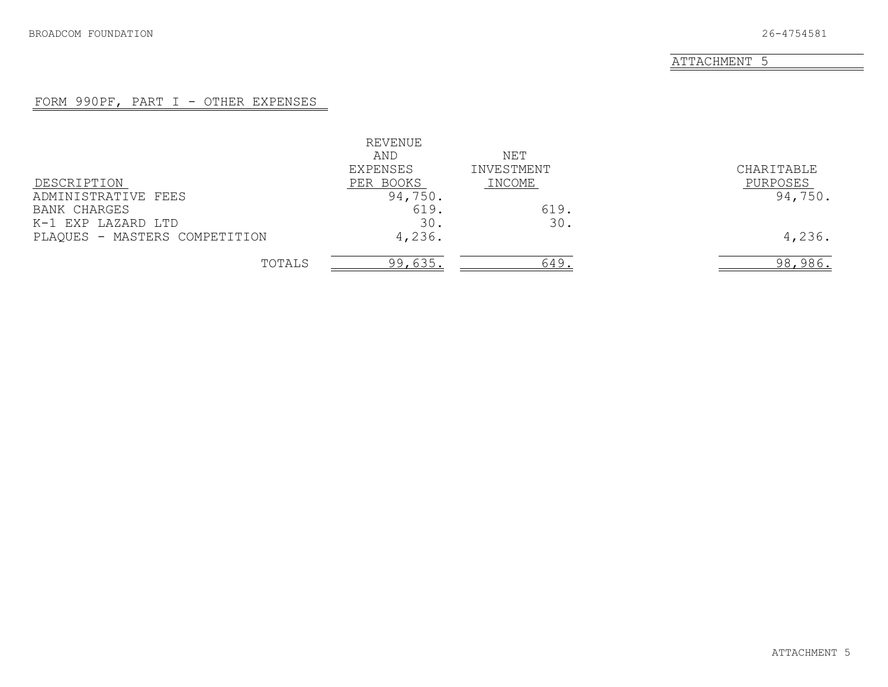#### FORM 990PF, PART I - OTHER EXPENSES

<span id="page-28-0"></span>

|                               | REVENUE   |            |            |
|-------------------------------|-----------|------------|------------|
|                               | AND       | NET        |            |
|                               | EXPENSES  | INVESTMENT | CHARITABLE |
| DESCRIPTION                   | PER BOOKS | INCOME     | PURPOSES   |
| ADMINISTRATIVE FEES           | 94,750.   |            | 94,750.    |
| <b>BANK CHARGES</b>           | 619.      | 619.       |            |
| K-1 EXP LAZARD LTD            | 30.       | 30.        |            |
| PLAQUES - MASTERS COMPETITION | 4,236.    |            | 4,236.     |
| TOTALS                        | 99,635.   | 649        | 98,986.    |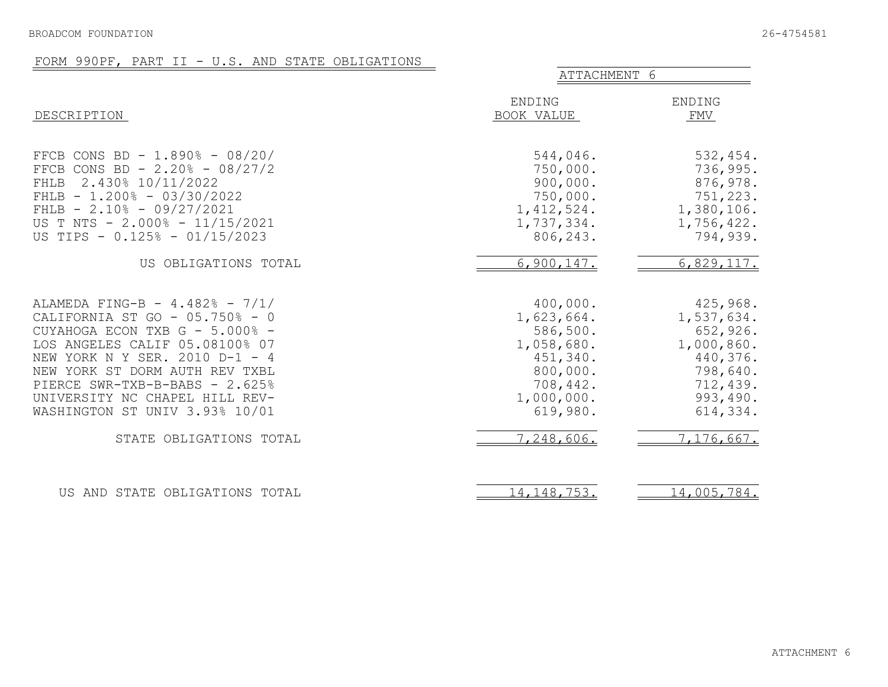#### FORM 990PF, PART II - U.S. AND STATE OBLIGATIONS

<span id="page-29-0"></span>

|                                                                                                                                                                                                                                                                                                                                                | ATTACHMENT 6                                                                                                                 |                                                                                                                            |
|------------------------------------------------------------------------------------------------------------------------------------------------------------------------------------------------------------------------------------------------------------------------------------------------------------------------------------------------|------------------------------------------------------------------------------------------------------------------------------|----------------------------------------------------------------------------------------------------------------------------|
| DESCRIPTION                                                                                                                                                                                                                                                                                                                                    | ENDING<br>BOOK VALUE                                                                                                         | ENDING<br>FMV                                                                                                              |
| FFCB CONS BD - 1.890% - 08/20/<br>FFCB CONS BD - $2.20\%$ - 08/27/2<br>2.430% 10/11/2022<br>FHLB<br>FHLB $- 1.200$ % $- 03/30/2022$<br>FHLB $- 2.10$ <sup>8</sup> - 09/27/2021<br>US T NTS - 2.000% - 11/15/2021<br>US TIPS - 0.125% - 01/15/2023                                                                                              | 544,046.<br>750,000.<br>900,000.<br>750,000.<br>1,412,524.<br>1,737,334.<br>806,243.                                         | 532,454.<br>736,995.<br>876,978.<br>751,223.<br>1,380,106.<br>1,756,422.<br>794,939.                                       |
| US OBLIGATIONS TOTAL                                                                                                                                                                                                                                                                                                                           | 6,900,147.                                                                                                                   | 6,829,117.                                                                                                                 |
| ALAMEDA FING-B - $4.482\%$ - $7/1/$<br>CALIFORNIA ST GO - 05.750% - 0<br>CUYAHOGA ECON TXB G - 5.000% -<br>LOS ANGELES CALIF 05.08100% 07<br>NEW YORK N Y SER. 2010 D-1 - 4<br>NEW YORK ST DORM AUTH REV TXBL<br>PIERCE SWR-TXB-B-BABS - 2.625%<br>UNIVERSITY NC CHAPEL HILL REV-<br>WASHINGTON ST UNIV 3.93% 10/01<br>STATE OBLIGATIONS TOTAL | 400,000.<br>1,623,664.<br>586,500.<br>1,058,680.<br>451,340.<br>800,000.<br>708,442.<br>1,000,000.<br>619,980.<br>7,248,606. | 425,968.<br>1,537,634.<br>652,926.<br>1,000,860.<br>440,376.<br>798,640.<br>712,439.<br>993,490.<br>614,334.<br>7,176,667. |
| US AND STATE OBLIGATIONS TOTAL                                                                                                                                                                                                                                                                                                                 | 14, 148, 753.                                                                                                                | 14,005,784.                                                                                                                |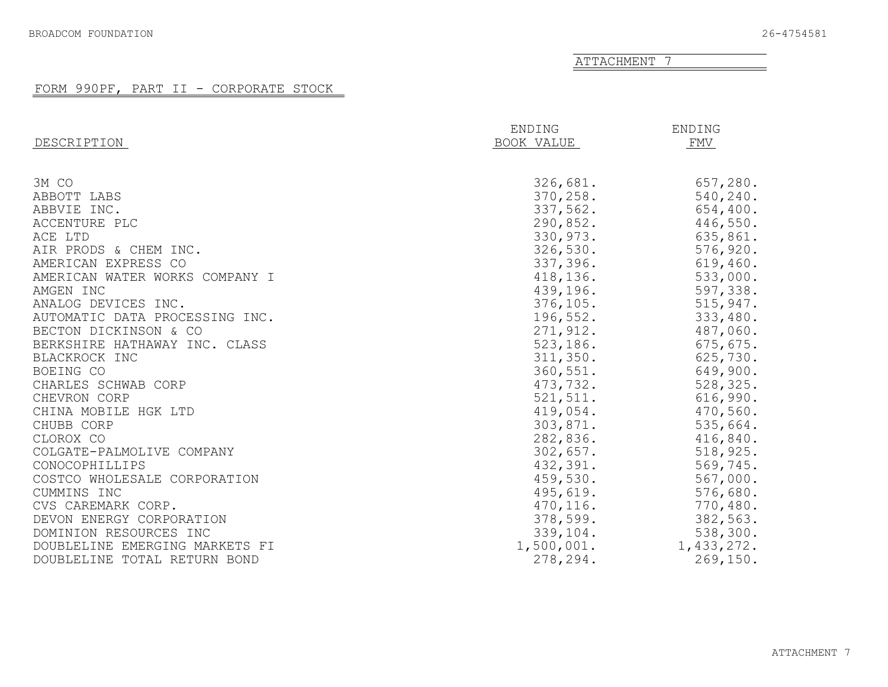<span id="page-30-0"></span>

|                                | ENDING     | ENDING     |
|--------------------------------|------------|------------|
| DESCRIPTION                    | BOOK VALUE | FMV        |
|                                |            |            |
| 3M CO                          | 326,681.   | 657,280.   |
| ABBOTT LABS                    | 370, 258.  | 540,240.   |
| ABBVIE INC.                    | 337,562.   | 654,400.   |
| ACCENTURE PLC                  | 290,852.   | 446,550.   |
| ACE LTD                        | 330,973.   | 635,861.   |
| AIR PRODS & CHEM INC.          | 326,530.   | 576,920.   |
| AMERICAN EXPRESS CO            | 337,396.   | 619,460.   |
| AMERICAN WATER WORKS COMPANY I | 418,136.   | 533,000.   |
| AMGEN INC                      | 439,196.   | 597,338.   |
| ANALOG DEVICES INC.            | 376, 105.  | 515,947.   |
| AUTOMATIC DATA PROCESSING INC. | 196,552.   | 333,480.   |
| BECTON DICKINSON & CO          | 271,912.   | 487,060.   |
| BERKSHIRE HATHAWAY INC. CLASS  | 523,186.   | 675, 675.  |
| BLACKROCK INC                  | 311,350.   | 625,730.   |
| BOEING CO                      | 360, 551.  | 649,900.   |
| CHARLES SCHWAB CORP            | 473,732.   | 528,325.   |
| CHEVRON CORP                   | 521, 511.  | 616,990.   |
| CHINA MOBILE HGK LTD           | 419,054.   | 470,560.   |
| CHUBB CORP                     | 303,871.   | 535,664.   |
| CLOROX CO                      | 282,836.   | 416,840.   |
| COLGATE-PALMOLIVE COMPANY      | 302,657.   | 518,925.   |
| CONOCOPHILLIPS                 | 432,391.   | 569,745.   |
| COSTCO WHOLESALE CORPORATION   | 459,530.   | 567,000.   |
| CUMMINS INC                    | 495,619.   | 576,680.   |
| CVS CAREMARK CORP.             | 470, 116.  | 770,480.   |
| DEVON ENERGY CORPORATION       | 378,599.   | 382,563.   |
| DOMINION RESOURCES INC         | 339,104.   | 538,300.   |
| DOUBLELINE EMERGING MARKETS FI | 1,500,001. | 1,433,272. |
| DOUBLELINE TOTAL RETURN BOND   | 278,294.   | 269,150.   |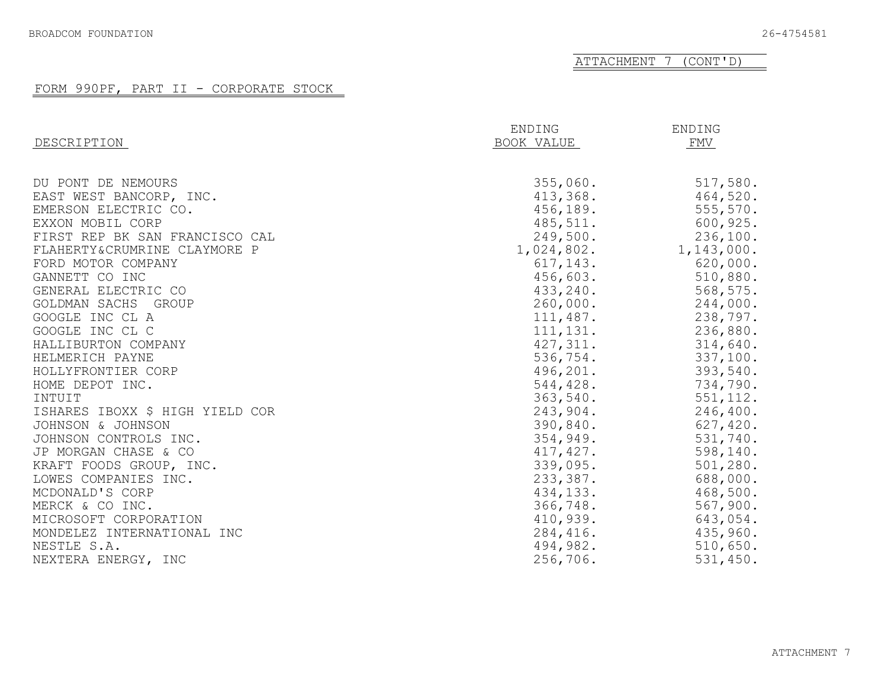ATTACHMENT 7 (CONT'D)

|                                 | ENDING     | ENDING     |
|---------------------------------|------------|------------|
| DESCRIPTION                     | BOOK VALUE | FMV        |
|                                 |            |            |
| DU PONT DE NEMOURS              | 355,060.   | 517,580.   |
| EAST WEST BANCORP, INC.         | 413,368.   | 464,520.   |
| EMERSON ELECTRIC CO.            | 456,189.   | 555, 570.  |
| EXXON MOBIL CORP                | 485,511.   | 600,925.   |
| FIRST REP BK SAN FRANCISCO CAL  | 249,500.   | 236,100.   |
| FLAHERTY&CRUMRINE CLAYMORE P    | 1,024,802. | 1,143,000. |
| FORD MOTOR COMPANY              | 617,143.   | 620,000.   |
| GANNETT CO INC                  | 456,603.   | 510,880.   |
| GENERAL ELECTRIC CO             | 433,240.   | 568,575.   |
| GOLDMAN SACHS<br>GROUP          | 260,000.   | 244,000.   |
| GOOGLE INC CL A                 | 111,487.   | 238,797.   |
| GOOGLE INC CL C                 | 111, 131.  | 236,880.   |
| HALLIBURTON COMPANY             | 427, 311.  | 314,640.   |
| HELMERICH PAYNE                 | 536,754.   | 337,100.   |
| HOLLYFRONTIER CORP              | 496,201.   | 393,540.   |
| HOME DEPOT INC.                 | 544,428.   | 734,790.   |
| INTUIT                          | 363,540.   | 551, 112.  |
| ISHARES IBOXX \$ HIGH YIELD COR | 243,904.   | 246,400.   |
| JOHNSON & JOHNSON               | 390,840.   | 627,420.   |
| JOHNSON CONTROLS INC.           | 354,949.   | 531,740.   |
| JP MORGAN CHASE & CO            | 417, 427.  | 598,140.   |
| KRAFT FOODS GROUP, INC.         | 339,095.   | 501, 280.  |
| LOWES COMPANIES INC.            | 233,387.   | 688,000.   |
| MCDONALD'S CORP                 | 434,133.   | 468,500.   |
| MERCK & CO INC.                 | 366,748.   | 567,900.   |
| MICROSOFT CORPORATION           | 410,939.   | 643,054.   |
| MONDELEZ INTERNATIONAL INC      | 284,416.   | 435,960.   |
| NESTLE S.A.                     | 494,982.   | 510,650.   |
| NEXTERA ENERGY, INC             | 256,706.   | 531,450.   |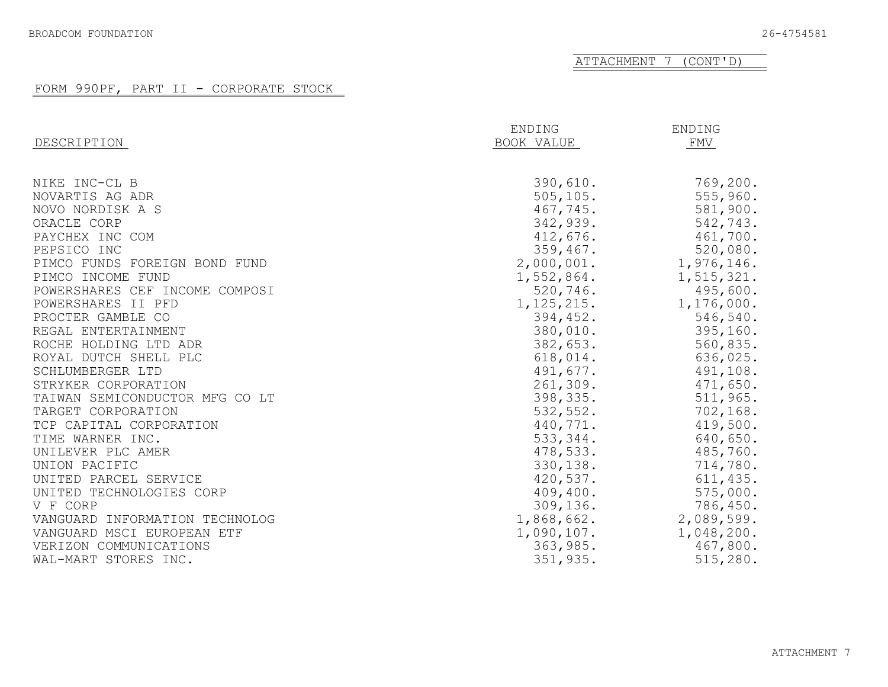#### ATTACHMENT 7 (CONT'D)

|                                | ENDING       | ENDING       |
|--------------------------------|--------------|--------------|
| DESCRIPTION                    | BOOK VALUE   | FMV          |
|                                |              |              |
| NIKE INC-CL B                  | 390,610.     | 769,200.     |
| NOVARTIS AG ADR                | 505, 105.    | 555,960.     |
| NOVO NORDISK A S               | 467,745.     | 581,900.     |
| ORACLE CORP                    | 342,939.     | 542,743.     |
| PAYCHEX INC COM                | 412,676.     | 461,700.     |
| PEPSICO INC                    | 359,467.     | 520,080.     |
| PIMCO FUNDS FOREIGN BOND FUND  | 2,000,001.   | 1,976,146.   |
| PIMCO INCOME FUND              | 1,552,864.   | 1, 515, 321. |
| POWERSHARES CEF INCOME COMPOSI | 520,746.     | 495,600.     |
| POWERSHARES II PFD             | 1, 125, 215. | 1,176,000.   |
| PROCTER GAMBLE CO              | 394,452.     | 546,540.     |
| REGAL ENTERTAINMENT            | 380,010.     | 395,160.     |
| ROCHE HOLDING LTD ADR          | 382,653.     | 560,835.     |
| ROYAL DUTCH SHELL PLC          | 618,014.     | 636,025.     |
| SCHLUMBERGER LTD               | 491,677.     | 491,108.     |
| STRYKER CORPORATION            | 261,309.     | 471,650.     |
| TAIWAN SEMICONDUCTOR MFG CO LT | 398,335.     | 511,965.     |
| TARGET CORPORATION             | 532,552.     | 702, 168.    |
| TCP CAPITAL CORPORATION        | 440,771.     | 419,500.     |
| TIME WARNER INC.               | 533,344.     | 640,650.     |
| UNILEVER PLC AMER              | 478,533.     | 485,760.     |
| UNION PACIFIC                  | 330, 138.    | 714,780.     |
| UNITED PARCEL SERVICE          | 420,537.     | 611, 435.    |
| UNITED TECHNOLOGIES CORP       | 409,400.     | 575,000.     |
| V F CORP                       | 309,136.     | 786,450.     |
| VANGUARD INFORMATION TECHNOLOG | 1,868,662.   | 2,089,599.   |
| VANGUARD MSCI EUROPEAN ETF     | 1,090,107.   | 1,048,200.   |
| VERIZON COMMUNICATIONS         | 363,985.     | 467,800.     |
| WAL-MART STORES INC.           | 351,935.     | 515,280.     |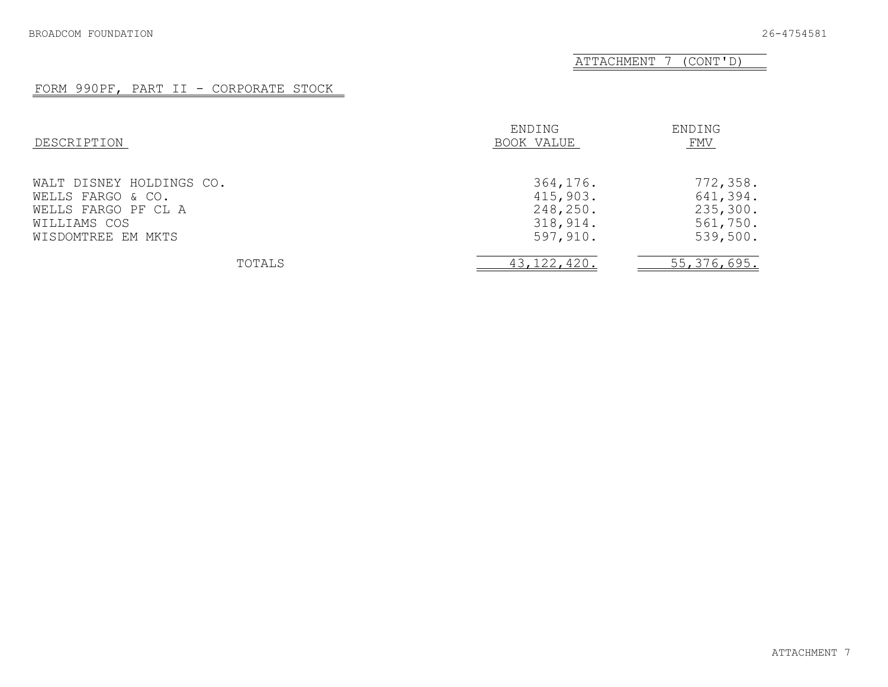ATTACHMENT 7 (CONT'D)

| DESCRIPTION                                                                                                | ENDING<br>BOOK VALUE                                     | ENDING<br>FMV                                            |
|------------------------------------------------------------------------------------------------------------|----------------------------------------------------------|----------------------------------------------------------|
| WALT DISNEY HOLDINGS CO.<br>WELLS FARGO & CO.<br>WELLS FARGO PF CL A<br>WILLIAMS COS<br>WISDOMTREE EM MKTS | 364,176.<br>415,903.<br>248,250.<br>318,914.<br>597,910. | 772,358.<br>641,394.<br>235,300.<br>561,750.<br>539,500. |
| TOTALS                                                                                                     | 43, 122, 420.                                            | 55, 376, 695.                                            |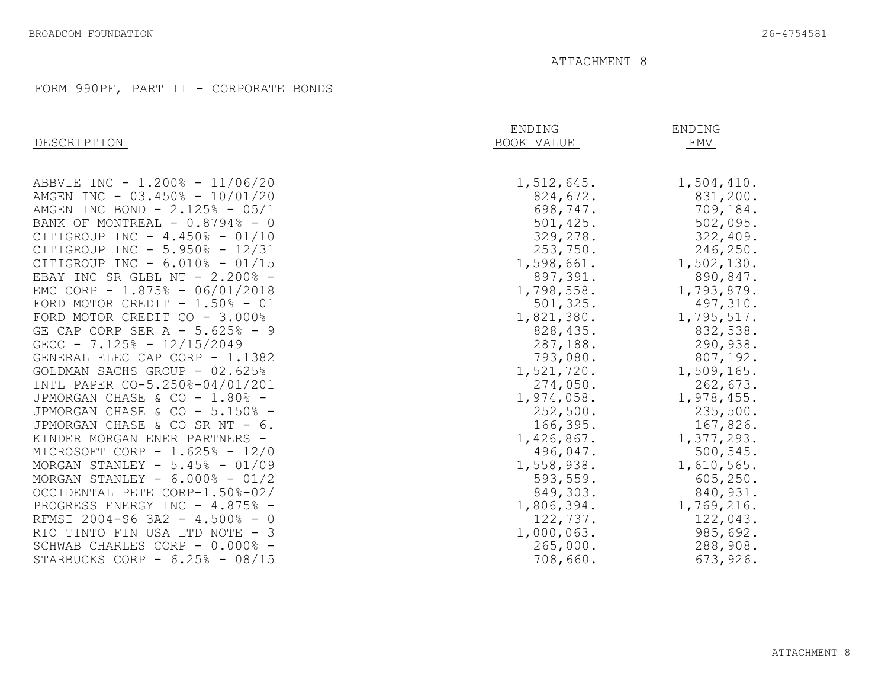#### FORM 990PF, PART II - CORPORATE BONDS

<span id="page-34-0"></span>

| DESCRIPTION                       | ENDING<br>BOOK VALUE | ENDING<br>FMV |
|-----------------------------------|----------------------|---------------|
| ABBVIE INC - 1.200% - 11/06/20    | 1,512,645.           | 1,504,410.    |
| AMGEN INC - 03.450% - 10/01/20    | 824,672.             | 831,200.      |
| AMGEN INC BOND - $2.125\% - 05/1$ | 698,747.             | 709,184.      |
| BANK OF MONTREAL $-0.8794$ - 0    | 501,425.             | 502,095.      |
| CITIGROUP INC - 4.450% - 01/10    | 329,278.             | 322,409.      |
| CITIGROUP INC - 5.950% - 12/31    | 253,750.             | 246,250.      |
| CITIGROUP INC - $6.010\%$ - 01/15 | 1,598,661.           | 1,502,130.    |
| EBAY INC SR GLBL NT - 2.200% -    | 897,391.             | 890,847.      |
| EMC CORP - 1.875% - 06/01/2018    | 1,798,558.           | 1,793,879.    |
| FORD MOTOR CREDIT - $1.50\%$ - 01 | 501, 325.            | 497,310.      |
| FORD MOTOR CREDIT CO - 3.000%     | 1,821,380.           | 1,795,517.    |
| GE CAP CORP SER A - 5.625% - 9    | 828,435.             | 832,538.      |
| GECC - $7.125% - 12/15/2049$      | 287,188.             | 290,938.      |
| GENERAL ELEC CAP CORP - 1.1382    | 793,080.             | 807,192.      |
| GOLDMAN SACHS GROUP - 02.625%     | 1,521,720.           | 1,509,165.    |
| INTL PAPER CO-5.250%-04/01/201    | 274,050.             | 262,673.      |
| JPMORGAN CHASE & CO - 1.80% -     | 1,974,058.           | 1,978,455.    |
| JPMORGAN CHASE & CO - 5.150% -    | 252,500.             | 235,500.      |
| JPMORGAN CHASE & CO SR NT - 6.    | 166,395.             | 167,826.      |
| KINDER MORGAN ENER PARTNERS -     | 1,426,867.           | 1,377,293.    |
| MICROSOFT CORP - 1.625% - 12/0    | 496,047.             | 500,545.      |
| MORGAN STANLEY - $5.45\%$ - 01/09 | 1,558,938.           | 1,610,565.    |
| MORGAN STANLEY - $6.000\% - 01/2$ | 593, 559.            | 605, 250.     |
| OCCIDENTAL PETE CORP-1.50%-02/    | 849,303.             | 840,931.      |
| PROGRESS ENERGY INC - 4.875% -    | 1,806,394.           | 1,769,216.    |
| RFMSI 2004-S6 3A2 - 4.500% - 0    | 122,737.             | 122,043.      |
| RIO TINTO FIN USA LTD NOTE - 3    | 1,000,063.           | 985,692.      |
| SCHWAB CHARLES CORP - 0.000% -    | 265,000.             | 288,908.      |
| STARBUCKS CORP - $6.25\%$ - 08/15 | 708,660.             | 673,926.      |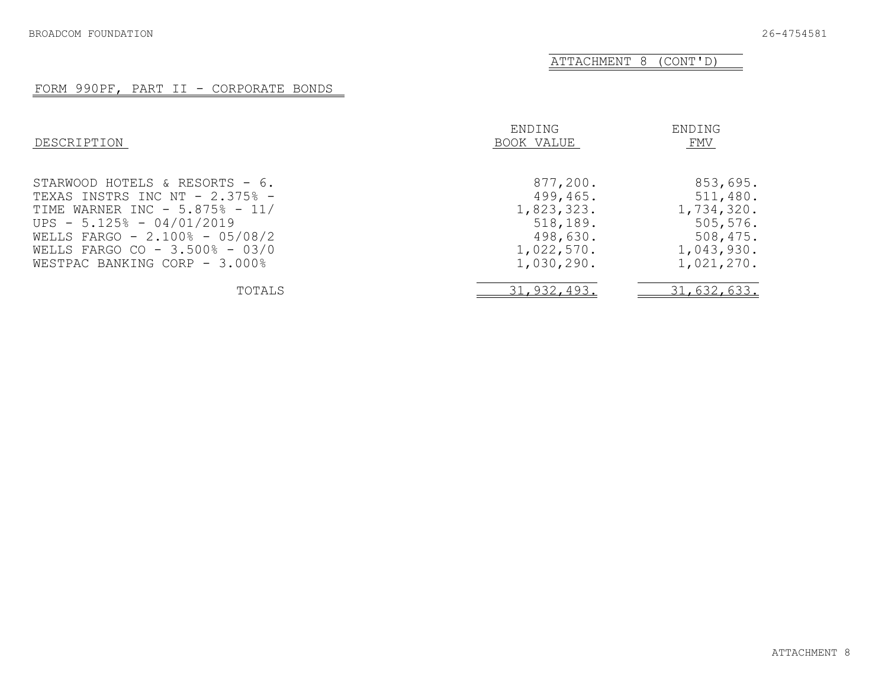ATTACHMENT 8 (CONT'D)

#### FORM 990PF, PART II - CORPORATE BONDS

| DESCRIPTION                       | ENDING<br>BOOK VALUE | ENDING<br>FMV |
|-----------------------------------|----------------------|---------------|
| STARWOOD HOTELS & RESORTS - 6.    | 877,200.             | 853,695.      |
| TEXAS INSTRS INC NT $-2.375$ $-$  | 499,465.             | 511,480.      |
| TIME WARNER INC - $5.875\%$ - 11/ | 1,823,323.           | 1,734,320.    |
| UPS - $5.125% - 04/01/2019$       | 518,189.             | 505, 576.     |
| WELLS FARGO - $2.100\% - 05/08/2$ | 498,630.             | 508,475.      |
| WELLS FARGO CO - 3.500% - 03/0    | 1,022,570.           | 1,043,930.    |
| WESTPAC BANKING CORP - 3.000%     | 1,030,290.           | 1,021,270.    |
| TOTALS                            | 31,932,493.          | 31,632,633.   |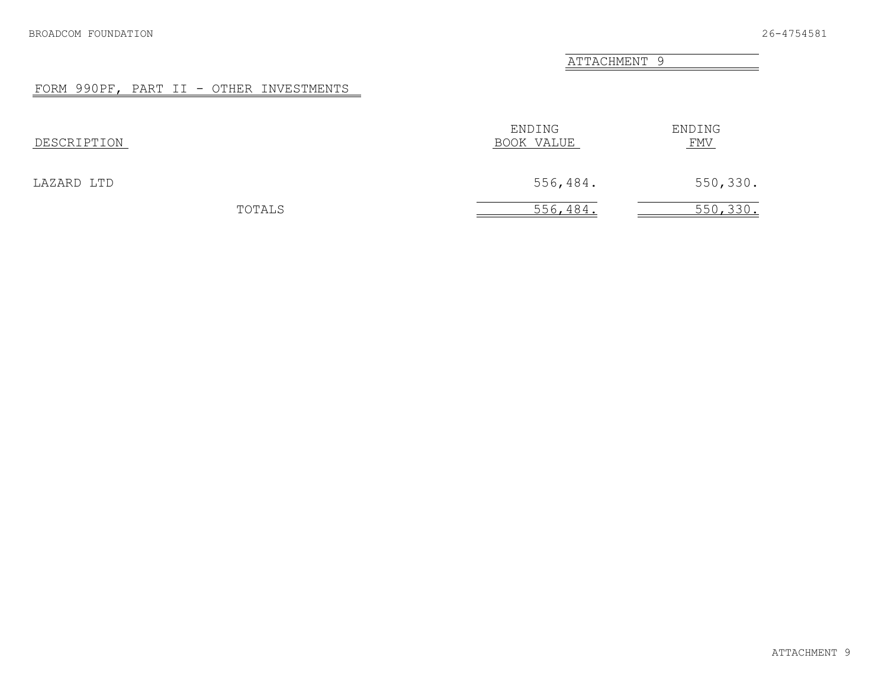ATTACHMENT 9

# FORM 990PF, PART II - OTHER INVESTMENTS

| DESCRIPTION | ENDING<br>BOOK VALUE | ENDING<br><u>FMV</u> |
|-------------|----------------------|----------------------|
| LAZARD LTD  | 556,484.             | 550,330.             |
| TOTALS      | 556,484.             | 550, 330.            |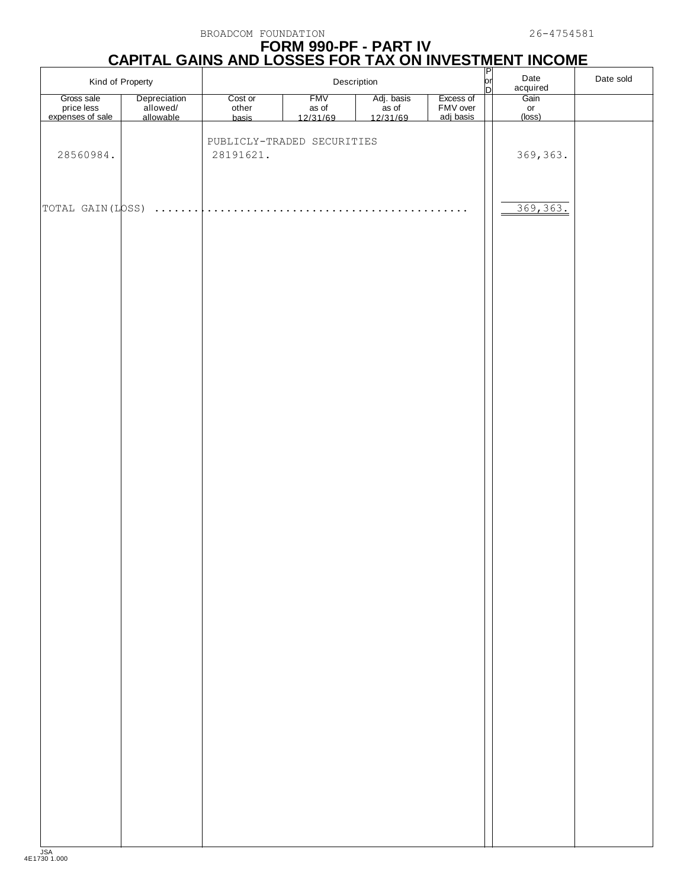# **FORM 990-PF - PART IV CAPITAL GAINS AND LOSSES FOR TAX ON INVESTMENT INCOME** P

|                                              | $\frac{P}{\rho r}$<br>Date<br>Kind of Property<br>Description<br>n |                           |                                 |                                 |                                    | acquired | Date sold            |  |
|----------------------------------------------|--------------------------------------------------------------------|---------------------------|---------------------------------|---------------------------------|------------------------------------|----------|----------------------|--|
| Gross sale<br>price less<br>expenses of sale | Depreciation<br>allowed/<br>allowable                              | Cost or<br>other<br>basis | <b>FMV</b><br>as of<br>12/31/69 | Adj. basis<br>as of<br>12/31/69 | Excess of<br>FMV over<br>adj basis |          | Gain<br>or<br>(loss) |  |
| 28560984.                                    |                                                                    | 28191621.                 | PUBLICLY-TRADED SECURITIES      |                                 |                                    |          | 369, 363.            |  |
| TOTAL GAIN(LOSS)                             | .                                                                  | .                         |                                 | .                               |                                    |          | 369, 363.            |  |
|                                              |                                                                    |                           |                                 |                                 |                                    |          |                      |  |
|                                              |                                                                    |                           |                                 |                                 |                                    |          |                      |  |
|                                              |                                                                    |                           |                                 |                                 |                                    |          |                      |  |
|                                              |                                                                    |                           |                                 |                                 |                                    |          |                      |  |
|                                              |                                                                    |                           |                                 |                                 |                                    |          |                      |  |
|                                              |                                                                    |                           |                                 |                                 |                                    |          |                      |  |
|                                              |                                                                    |                           |                                 |                                 |                                    |          |                      |  |
|                                              |                                                                    |                           |                                 |                                 |                                    |          |                      |  |
|                                              |                                                                    |                           |                                 |                                 |                                    |          |                      |  |
|                                              |                                                                    |                           |                                 |                                 |                                    |          |                      |  |
|                                              |                                                                    |                           |                                 |                                 |                                    |          |                      |  |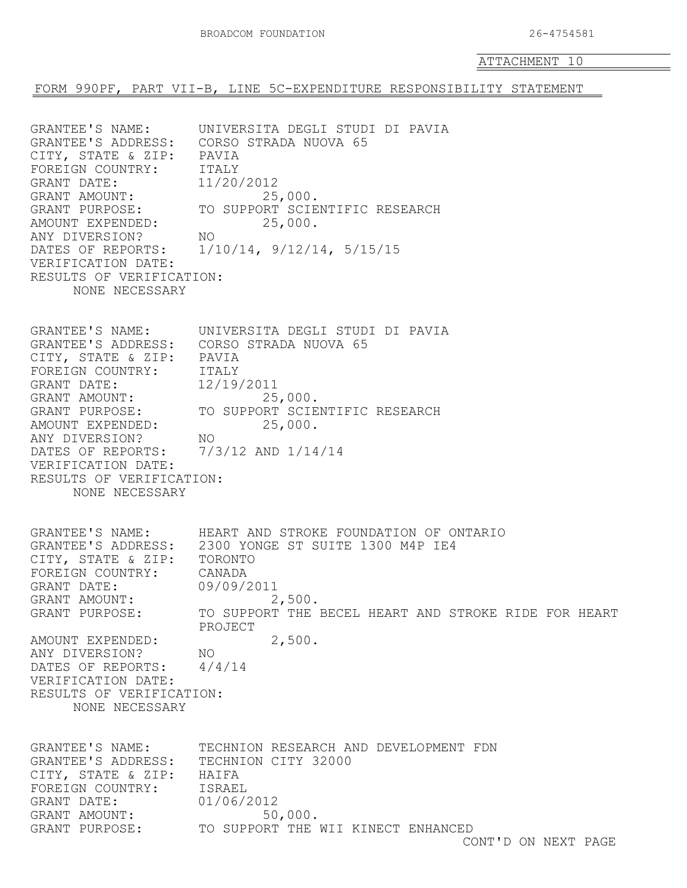÷,

ATTACHMENT 10

FORM 990PF, PART VII-B, LINE 5C-EXPENDITURE RESPONSIBILITY STATEMENT

| GRANTEE'S NAME:<br>CITY, STATE & ZIP: PAVIA<br>FOREIGN COUNTRY: ITALY<br>GRANT DATE: 11/2<br>GRANT AMOUNT: 11/2<br>GRANT PURPOSE: TO S'<br>AMOUNT EXPENDED:<br>ANY DIVERSION?<br>VERIFICATION DATE:<br>RESULTS OF VERIFICATION:<br>NONE NECESSARY                 | UNIVERSITA DEGLI STUDI DI PAVIA<br>GRANTEE'S ADDRESS: CORSO STRADA NUOVA 65<br>11/20/2012<br>25,000.<br>TO SUPPORT SCIENTIFIC RESEARCH<br>25,000.<br>NO.<br>DATES OF REPORTS: 1/10/14, 9/12/14, 5/15/15                                  |
|-------------------------------------------------------------------------------------------------------------------------------------------------------------------------------------------------------------------------------------------------------------------|------------------------------------------------------------------------------------------------------------------------------------------------------------------------------------------------------------------------------------------|
| CITY, STATE & ZIP: PAVIA<br>FOREIGN COUNTRY: ITALY<br>GRANT DATE: 12/<br>GRANT AMOUNT: 12/<br>GRANT PURPOSE: TO<br>AMOUNT EXPENDED:<br>ANY DIVERSION?<br>DATES OF REPORTS: 7/3/12 AND 1/14/14<br>VERIFICATION DATE:<br>RESULTS OF VERIFICATION:<br>NONE NECESSARY | GRANTEE'S NAME: UNIVERSITA DEGLI STUDI DI PAVIA<br>GRANTEE'S ADDRESS: CORSO STRADA NUOVA 65<br>12/19/2011<br>25,000.<br>TO SUPPORT SCIENTIFIC RESEARCH<br>25,000.<br>NO.                                                                 |
| GRANTEE'S NAME:<br>CITY, STATE & ZIP:<br>FOREIGN COUNTRY:<br>GRANT DATE:<br>GRANT AMOUNT:<br>GRANT PURPOSE:<br>AMOUNT EXPENDED:<br>ANY DIVERSION?<br>DATES OF REPORTS:<br>VERIFICATION DATE:<br>RESULTS OF VERIFICATION:<br>NONE NECESSARY                        | HEART AND STROKE FOUNDATION OF ONTARIO<br>GRANTEE'S ADDRESS: 2300 YONGE ST SUITE 1300 M4P IE4<br>TORONTO<br>CANADA<br>09/09/2011<br>2,500.<br>TO SUPPORT THE BECEL HEART AND STROKE RIDE FOR HEART<br>PROJECT<br>2,500.<br>NO.<br>4/4/14 |
| GRANTEE'S NAME:<br>GRANTEE'S ADDRESS:<br>CITY, STATE & ZIP:<br>FOREIGN COUNTRY:<br>GRANT DATE:<br>GRANT AMOUNT:<br>GRANT PURPOSE:                                                                                                                                 | TECHNION RESEARCH AND DEVELOPMENT FDN<br>TECHNION CITY 32000<br>HAIFA<br><b>ISRAEL</b><br>01/06/2012<br>50,000.<br>TO SUPPORT THE WII KINECT ENHANCED<br>CONT'D ON NEXT PAGE                                                             |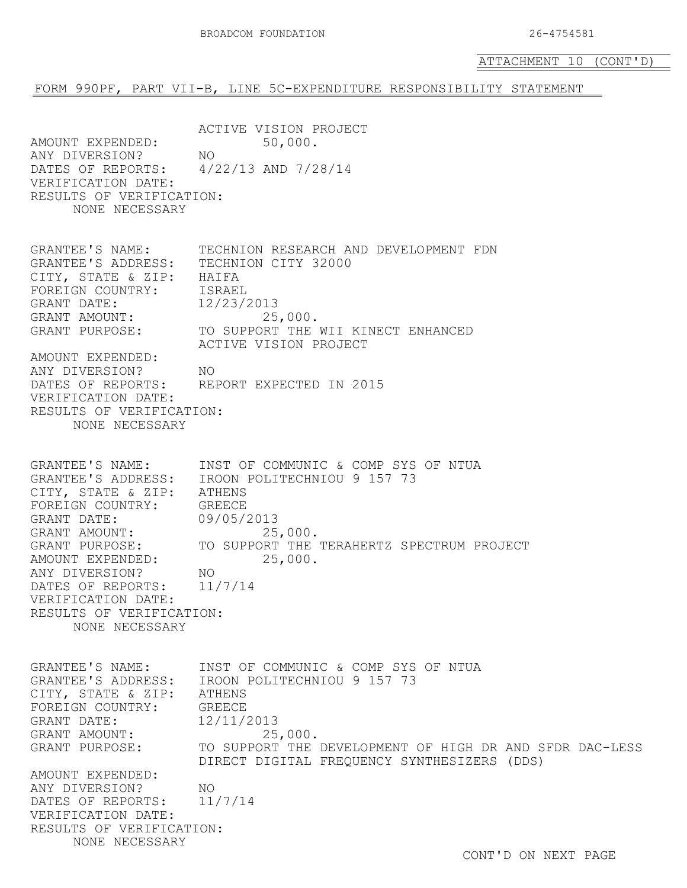#### FORM 990PF, PART VII-B, LINE 5C-EXPENDITURE RESPONSIBILITY STATEMENT

ACTIVE VISION PROJECT<br>50,000. AMOUNT EXPENDED:<br>ANY DIVERSION? NO ANY DIVERSION?<br>DATES OF REPORTS: DATES OF REPORTS: 4/22/13 AND 7/28/14 VERIFICATION DATE: RESULTS OF VERIFICATION: NONE NECESSARY GRANTEE'S NAME: TECHNION RESEARCH AND DEVELOPMENT FDN GRANTEE'S ADDRESS: TECHNION CITY 32000 CITY, STATE & ZIP: HAIFA<br>FOREIGN COUNTRY: ISRAEL FOREIGN COUNTRY: ISRAEL<br>GRANT DATE: 12/23/2013 GRANT DATE: 12/23/2013<br>GRANT AMOUNT: 25,000. GRANT AMOUNT:<br>GRANT PURPOSE: TO SUPPORT THE WII KINECT ENHANCED ACTIVE VISION PROJECT AMOUNT EXPENDED: ANY DIVERSION? NO<br>DATES OF REPORTS: REI REPORT EXPECTED IN 2015 VERIFICATION DATE: RESULTS OF VERIFICATION: NONE NECESSARY GRANTEE'S NAME: INST OF COMMUNIC & COMP SYS OF NTUA GRANTEE'S ADDRESS: IROON POLITECHNIOU 9 157 73 CITY, STATE & ZIP: ATHENS<br>FOREIGN COUNTRY: GREECE FOREIGN COUNTRY: GREECE<br>GRANT DATE: 09/05/2013 GRANT DATE: 09/05/2013<br>GRANT AMOUNT: 25,000. GRANT AMOUNT:<br>GRANT PURPOSE: TO SUPPORT THE TERAHERTZ SPECTRUM PROJECT<br>25,000. AMOUNT EXPENDED:<br>ANY DIVERSION? NO ANY DIVERSION? NO<br>DATES OF REPORTS: 11/7/14 DATES OF REPORTS: VERIFICATION DATE: RESULTS OF VERIFICATION: NONE NECESSARY GRANTEE'S NAME: INST OF COMMUNIC & COMP SYS OF NTUA GRANTEE'S ADDRESS: IROON POLITECHNIOU 9 157 73 CITY, STATE & ZIP: ATHENS<br>FOREIGN COUNTRY: GREECE FOREIGN COUNTRY: GREECE<br>GRANT DATE: 12/11/2013 GRANT DATE: 12/11/2013<br>GRANT AMOUNT: 25,000. GRANT AMOUNT:<br>GRANT PURPOSE: TO SUPPORT THE DEVELOPMENT OF HIGH DR AND SFDR DAC-LESS DIRECT DIGITAL FREQUENCY SYNTHESIZERS (DDS) AMOUNT EXPENDED: ANY DIVERSION? NO<br>DATES OF REPORTS: 11/7/14 DATES OF REPORTS: VERIFICATION DATE: RESULTS OF VERIFICATION: NONE NECESSARY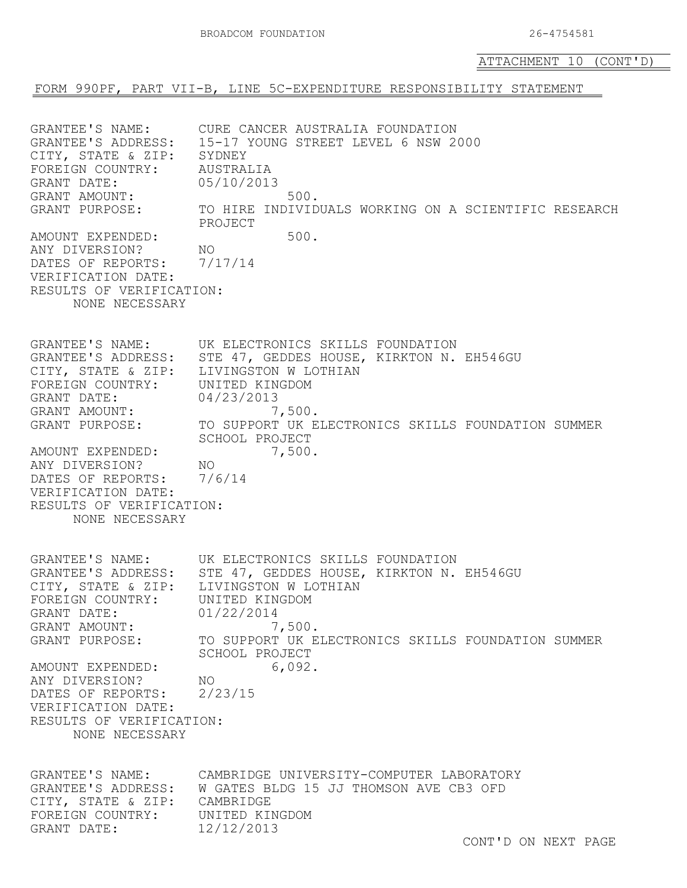FORM 990PF, PART VII-B, LINE 5C-EXPENDITURE RESPONSIBILITY STATEMENT

GRANTEE'S NAME: CURE CANCER AUSTRALIA FOUNDATION<br>GRANTEE'S ADDRESS: 15-17 YOUNG STREET LEVEL 6 NSW 2 15-17 YOUNG STREET LEVEL 6 NSW 2000 CITY, STATE & ZIP: SYDNEY<br>FOREIGN COUNTRY: AUSTRALIA FOREIGN COUNTRY: AUSTRALIA<br>GRANT DATE: 05/10/2013 GRANT DATE: GRANT AMOUNT: 500.<br>GRANT PURPOSE: TO HIRE INDIVID TO HIRE INDIVIDUALS WORKING ON A SCIENTIFIC RESEARCH PROJECT AMOUNT EXPENDED: 500.<br>
ANY DIVERSION? NO ANY DIVERSION? NO<br>DATES OF REPORTS: 7/17/14 DATES OF REPORTS: VERIFICATION DATE: RESULTS OF VERIFICATION: NONE NECESSARY GRANTEE'S NAME: UK ELECTRONICS SKILLS FOUNDATION GRANTEE'S ADDRESS: STE 47, GEDDES HOUSE, KIRKTON N. EH546GU CITY, STATE & ZIP: LIVINGSTON W LOTHIAN<br>FOREIGN COUNTRY: UNITED KINGDOM FOREIGN COUNTRY: UNITED KIN<br>GRANT DATE: 04/23/2013 GRANT DATE: 04/23/2013<br>GRANT AMOUNT: 7,500. GRANT AMOUNT:<br>GRANT PURPOSE: TO SUPPORT UK ELECTRONICS SKILLS FOUNDATION SUMMER SCHOOL PROJECT<br>7,500. AMOUNT EXPENDED:<br>ANY DIVERSION? NO ANY DIVERSION? NO<br>DATES OF REPORTS: 7/6/14 DATES OF REPORTS: VERIFICATION DATE: RESULTS OF VERIFICATION: NONE NECESSARY GRANTEE'S NAME: UK ELECTRONICS SKILLS FOUNDATION GRANTEE'S ADDRESS: STE 47, GEDDES HOUSE, KIRKTON N. EH546GU<br>CITY, STATE & ZIP: LIVINGSTON W LOTHIAN CITY, STATE & ZIP: LIVINGSTON W LOT<br>FOREIGN COUNTRY: UNITED KINGDOM FOREIGN COUNTRY: UNITED KING<br>GRANT DATE: 01/22/2014 GRANT DATE: 01/22/2014<br>GRANT AMOUNT: 7,500. GRANT AMOUNT:<br>GRANT PURPOSE: TO SUPPORT UK ELECTRONICS SKILLS FOUNDATION SUMMER SCHOOL PROJECT<br>6,092. AMOUNT EXPENDED:<br>
ANY DIVERSION? NO ANY DIVERSION? NO<br>DATES OF REPORTS: 2/23/15 DATES OF REPORTS: VERIFICATION DATE: RESULTS OF VERIFICATION: NONE NECESSARY GRANTEE'S NAME: CAMBRIDGE UNIVERSITY-COMPUTER LABORATORY<br>GRANTEE'S ADDRESS: W GATES BLDG 15 JJ THOMSON AVE CB3 OFD W GATES BLDG 15 JJ THOMSON AVE CB3 OFD<br>CAMBRIDGE CITY, STATE & ZIP: CAMBRIDGE<br>FOREIGN COUNTRY: UNITED KINGDOM FOREIGN COUNTRY: UNITED KING<br>GRANT DATE: 12/12/2013 GRANT DATE: 12/12/2013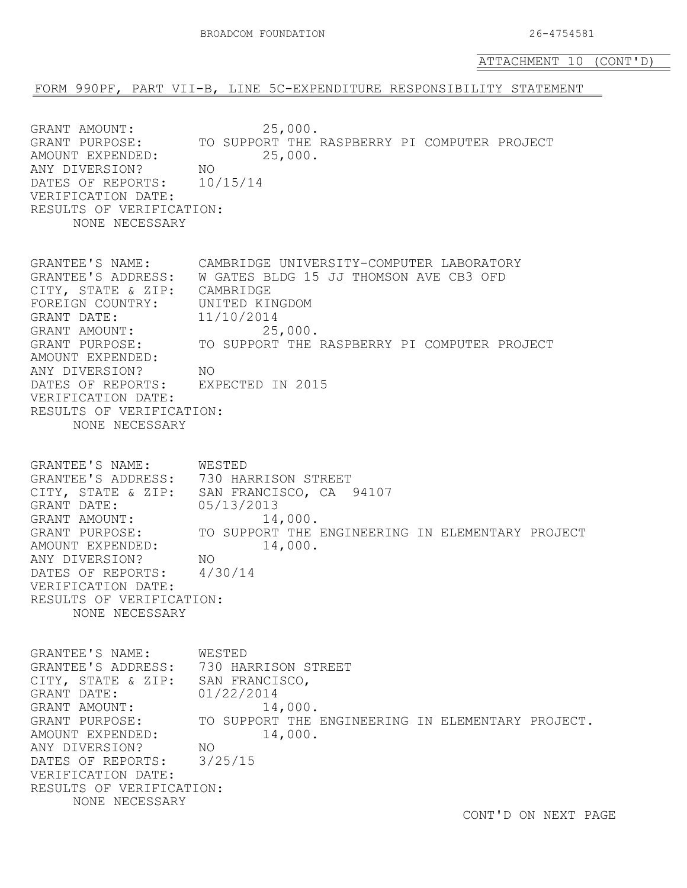#### FORM 990PF, PART VII-B, LINE 5C-EXPENDITURE RESPONSIBILITY STATEMENT

GRANT AMOUNT: 25,000.<br>
GRANT PURPOSE: TO SUPPORT THE TO SUPPORT THE RASPBERRY PI COMPUTER PROJECT<br>25,000. AMOUNT EXPENDED:<br>ANY DIVERSION? NO ANY DIVERSION? NO<br>DATES OF REPORTS: 10/15/14 DATES OF REPORTS: VERIFICATION DATE: RESULTS OF VERIFICATION: NONE NECESSARY GRANTEE'S NAME: CAMBRIDGE UNIVERSITY-COMPUTER LABORATORY GRANTEE'S ADDRESS: W GATES BLDG 15 JJ THOMSON AVE CB3 OFD CITY, STATE & ZIP: CAMBRIDGE<br>FOREIGN COUNTRY: UNITED KINGDOM FOREIGN COUNTRY: UNITED KIN<br>GRANT DATE: 11/10/2014 GRANT DATE: 11/10/2014<br>GRANT AMOUNT: 25,000. GRANT AMOUNT:<br>GRANT PURPOSE: TO SUPPORT THE RASPBERRY PI COMPUTER PROJECT AMOUNT EXPENDED: ANY DIVERSION? NO<br>DATES OF REPORTS: EXP EXPECTED IN 2015 VERIFICATION DATE: RESULTS OF VERIFICATION: NONE NECESSARY GRANTEE'S NAME: WESTED GRANTEE'S ADDRESS: 730 HARRISON STREET CITY, STATE & ZIP: SAN FRANCISCO, CA 94107<br>GRANT DATE: 05/13/2013 GRANT DATE: 05/13/2013<br>GRANT AMOUNT: 14,000. GRANT AMOUNT:<br>GRANT PURPOSE: TO SUPPORT THE ENGINEERING IN ELEMENTARY PROJECT 14,000. AMOUNT EXPENDED:<br>ANY DIVERSION? NO ANY DIVERSION? NO<br>DATES OF REPORTS: 4/30/14 DATES OF REPORTS: VERIFICATION DATE: RESULTS OF VERIFICATION: NONE NECESSARY GRANTEE'S NAME: WESTED GRANTEE'S ADDRESS: 730 HARRISON STREET CITY, STATE & ZIP: SAN FRANCISCO,<br>GRANT DATE: 01/22/2014 GRANT DATE: 01/22/2014<br>GRANT AMOUNT: 14,000. GRANT AMOUNT:<br>GRANT PURPOSE: TO SUPPORT THE ENGINEERING IN ELEMENTARY PROJECT.<br>14,000. AMOUNT EXPENDED:<br>ANY DIVERSION? NO ANY DIVERSION? NO<br>DATES OF REPORTS: 3/25/15 DATES OF REPORTS: VERIFICATION DATE: RESULTS OF VERIFICATION: NONE NECESSARY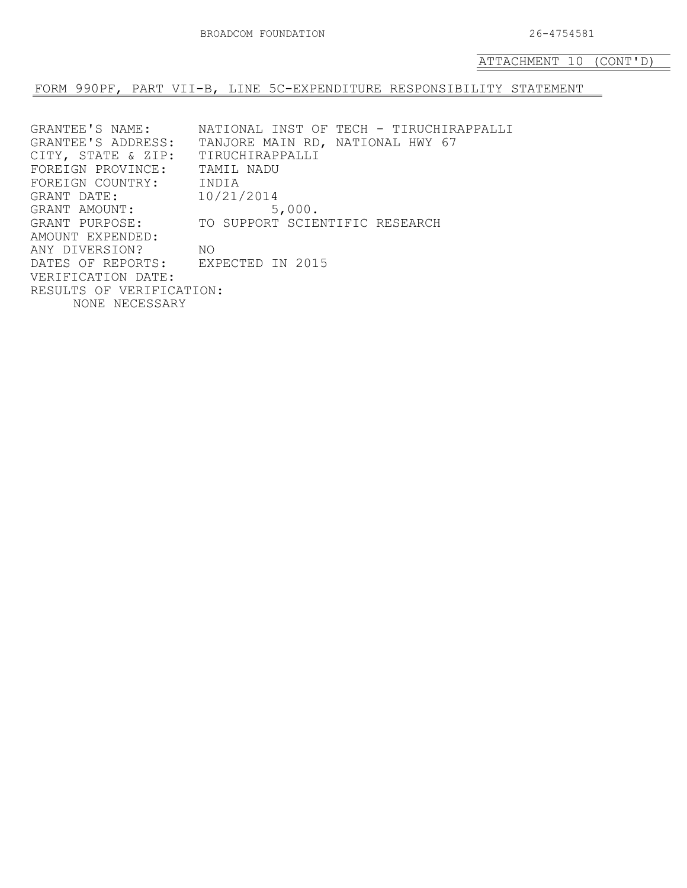FORM 990PF, PART VII-B, LINE 5C-EXPENDITURE RESPONSIBILITY STATEMENT

GRANTEE'S NAME: NATIONAL INST OF TECH - TIRUCHIRAPPALLI<br>GRANTEE'S ADDRESS: TANJORE MAIN RD, NATIONAL HWY 67 TANJORE MAIN RD, NATIONAL HWY 67 CITY, STATE & ZIP: TIRUCHIRAPPALLI<br>FOREIGN PROVINCE: TAMIL NADU FOREIGN PROVINCE: TAMIL<br>FOREIGN COUNTRY: INDIA FOREIGN COUNTRY: INDIA<br>GRANT DATE: 10/21/2014 GRANT DATE:  $10/21/2014$ <br>GRANT AMOUNT: 5,000. GRANT AMOUNT:<br>GRANT PURPOSE: TO SUPPORT SCIENTIFIC RESEARCH AMOUNT EXPENDED: ANY DIVERSION? NO<br>DATES OF REPORTS: EXP EXPECTED IN 2015 VERIFICATION DATE: RESULTS OF VERIFICATION: NONE NECESSARY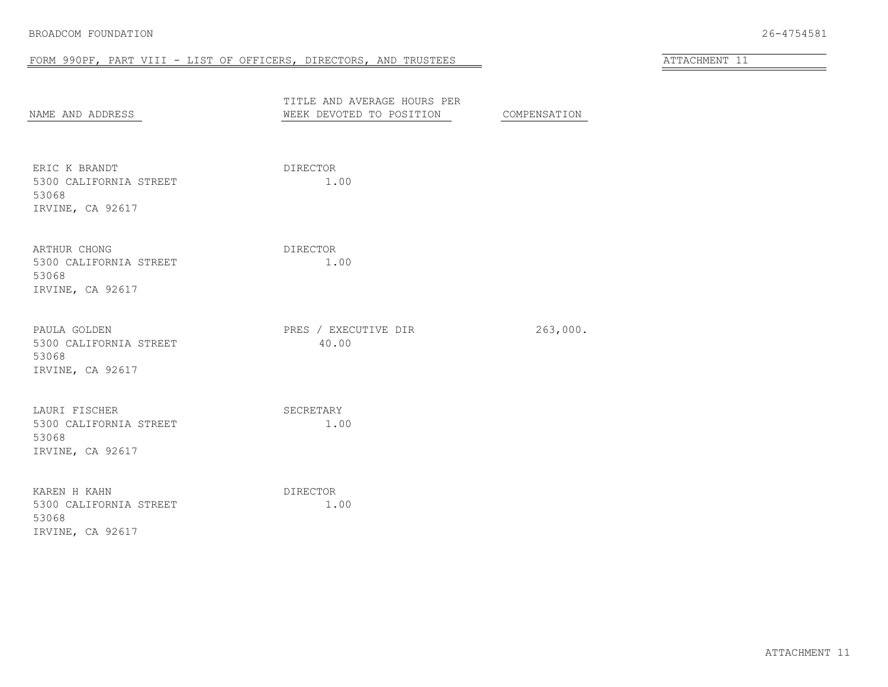# FORM 990PF, PART VIII - LIST OF OFFICERS, DIRECTORS, AND TRUSTEES AND AND AND ATTACHMENT 11

| NAME AND ADDRESS                                                     | TITLE AND AVERAGE HOURS PER<br>WEEK DEVOTED TO POSITION | COMPENSATION |
|----------------------------------------------------------------------|---------------------------------------------------------|--------------|
| ERIC K BRANDT<br>5300 CALIFORNIA STREET<br>53068<br>IRVINE, CA 92617 | DIRECTOR<br>1.00                                        |              |
| ARTHUR CHONG<br>5300 CALIFORNIA STREET<br>53068<br>IRVINE, CA 92617  | DIRECTOR<br>1.00                                        |              |
| PAULA GOLDEN<br>5300 CALIFORNIA STREET<br>53068<br>IRVINE, CA 92617  | PRES / EXECUTIVE DIR<br>40.00                           | 263,000.     |
| LAURI FISCHER<br>5300 CALIFORNIA STREET<br>53068<br>IRVINE, CA 92617 | SECRETARY<br>1.00                                       |              |
| KAREN H KAHN<br>5300 CALIFORNIA STREET<br>53068<br>IRVINE, CA 92617  | DIRECTOR<br>1.00                                        |              |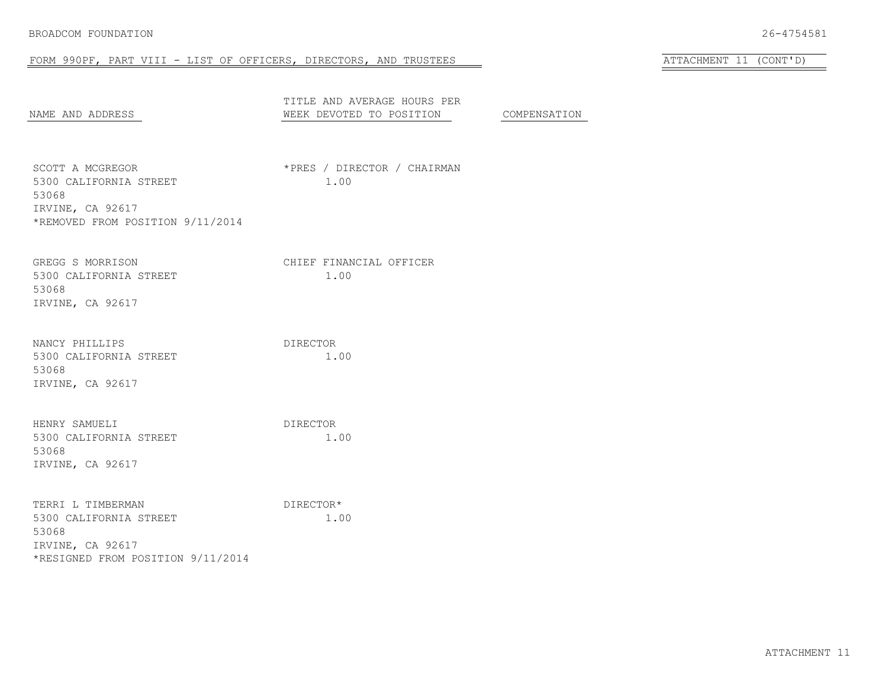## FORM 990PF, PART VIII - LIST OF OFFICERS, DIRECTORS, AND TRUSTEES AT AND ATTACHMENT 11 (CONT'D)

| NAME AND ADDRESS                                                                                              | TITLE AND AVERAGE HOURS PER<br>WEEK DEVOTED TO POSITION | COMPENSATION |
|---------------------------------------------------------------------------------------------------------------|---------------------------------------------------------|--------------|
| SCOTT A MCGREGOR<br>5300 CALIFORNIA STREET<br>53068<br>IRVINE, CA 92617<br>*REMOVED FROM POSITION 9/11/2014   | *PRES / DIRECTOR / CHAIRMAN<br>1.00                     |              |
| GREGG S MORRISON<br>5300 CALIFORNIA STREET<br>53068<br>IRVINE, CA 92617                                       | CHIEF FINANCIAL OFFICER<br>1.00                         |              |
| NANCY PHILLIPS<br>5300 CALIFORNIA STREET<br>53068<br>IRVINE, CA 92617                                         | DIRECTOR<br>1.00                                        |              |
| HENRY SAMUELI<br>5300 CALIFORNIA STREET<br>53068<br>IRVINE, CA 92617                                          | DIRECTOR<br>1.00                                        |              |
| TERRI L TIMBERMAN<br>5300 CALIFORNIA STREET<br>53068<br>IRVINE, CA 92617<br>*RESIGNED FROM POSITION 9/11/2014 | DIRECTOR*<br>1.00                                       |              |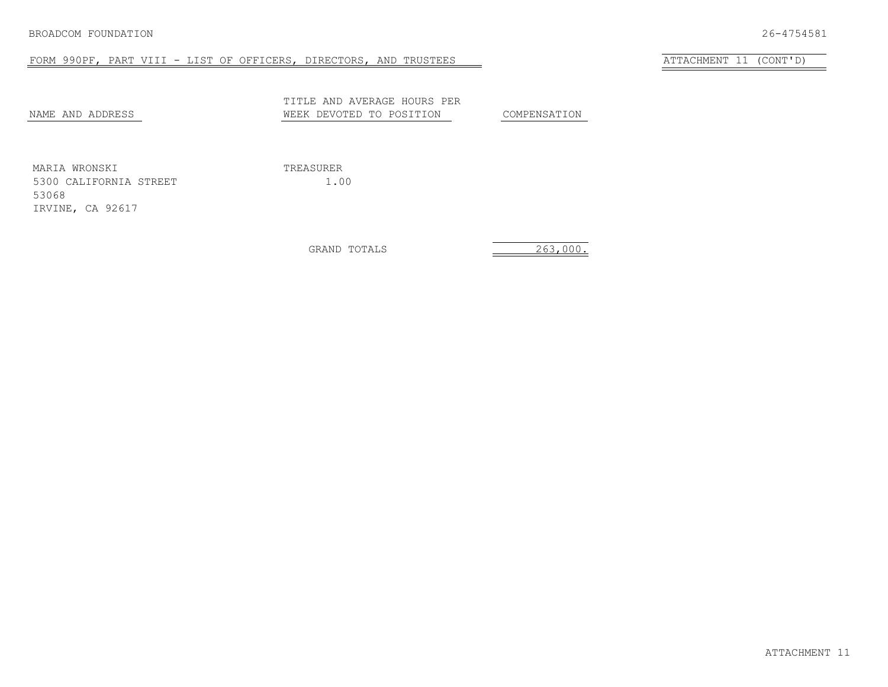# FORM 990PF, PART VIII - LIST OF OFFICERS, DIRECTORS, AND TRUSTEES ATTACHMENT 11 (CONT'D)

| NAME AND ADDRESS | TITLE AND AVERAGE HOURS PER<br>WEEK DEVOTED TO POSITION | COMPENSATION |
|------------------|---------------------------------------------------------|--------------|
| MARIA WRONSKI    | TREASURER                                               |              |

5300 CALIFORNIA STREET 1.00 53068 IRVINE, CA 92617

GRAND TOTALS 263,000.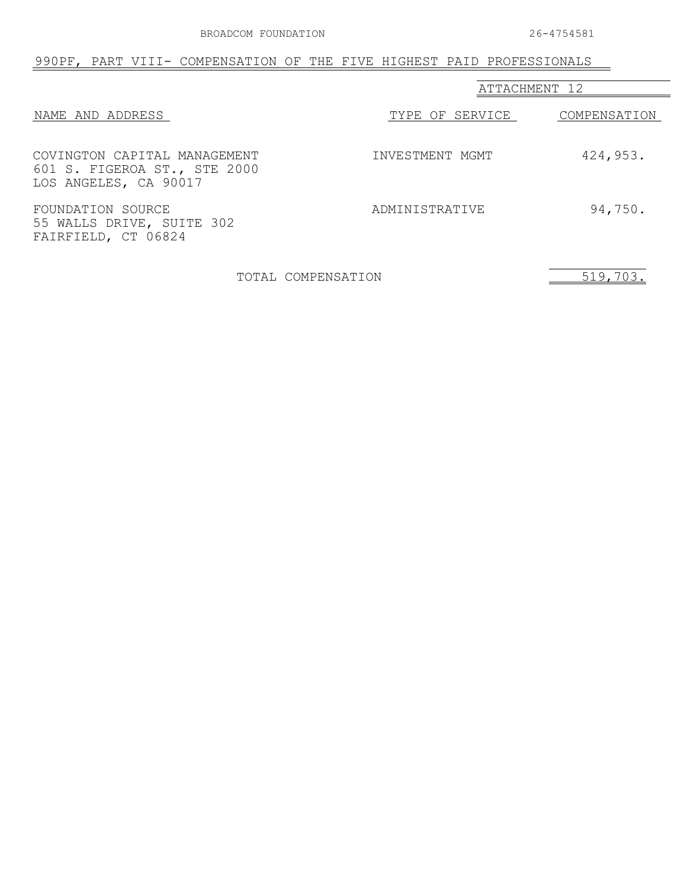# 990PF, PART VIII- COMPENSATION OF THE FIVE HIGHEST PAID PROFESSIONALS

|                                                                                       | ATTACHMENT 12   |              |
|---------------------------------------------------------------------------------------|-----------------|--------------|
| NAME AND ADDRESS                                                                      | TYPE OF SERVICE | COMPENSATION |
| COVINGTON CAPITAL MANAGEMENT<br>601 S. FIGEROA ST., STE 2000<br>LOS ANGELES, CA 90017 | INVESTMENT MGMT | 424,953.     |
| FOUNDATION SOURCE<br>55 WALLS DRIVE, SUITE 302<br>FAIRFIELD, CT 06824                 | ADMINISTRATIVE  | 94,750.      |

TOTAL COMPENSATION 519,703.

 $\overline{\phantom{0}}$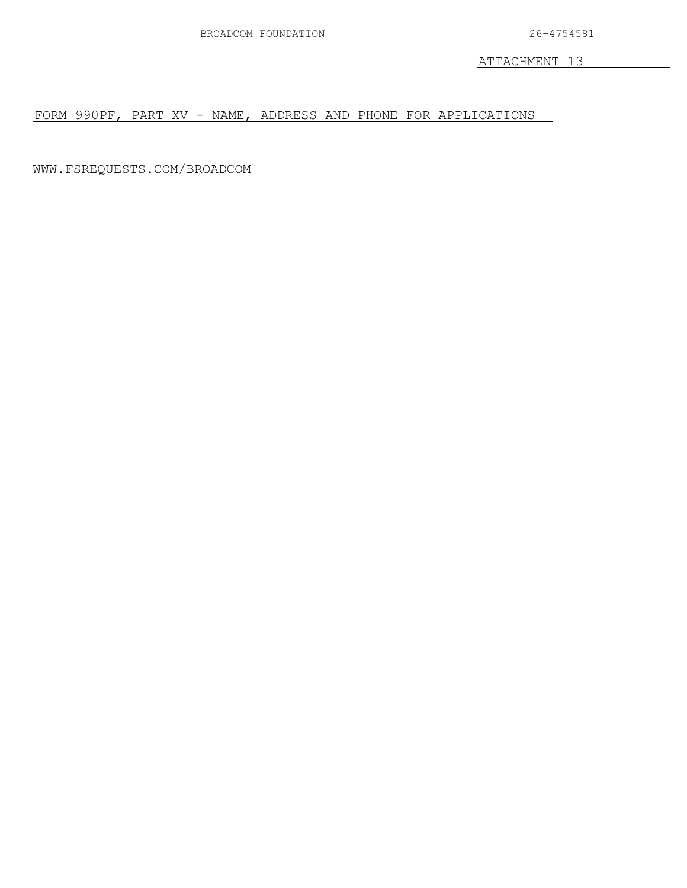ATTACHMENT 13

FORM 990PF, PART XV - NAME, ADDRESS AND PHONE FOR APPLICATIONS

WWW.FSREQUESTS.COM/BROADCOM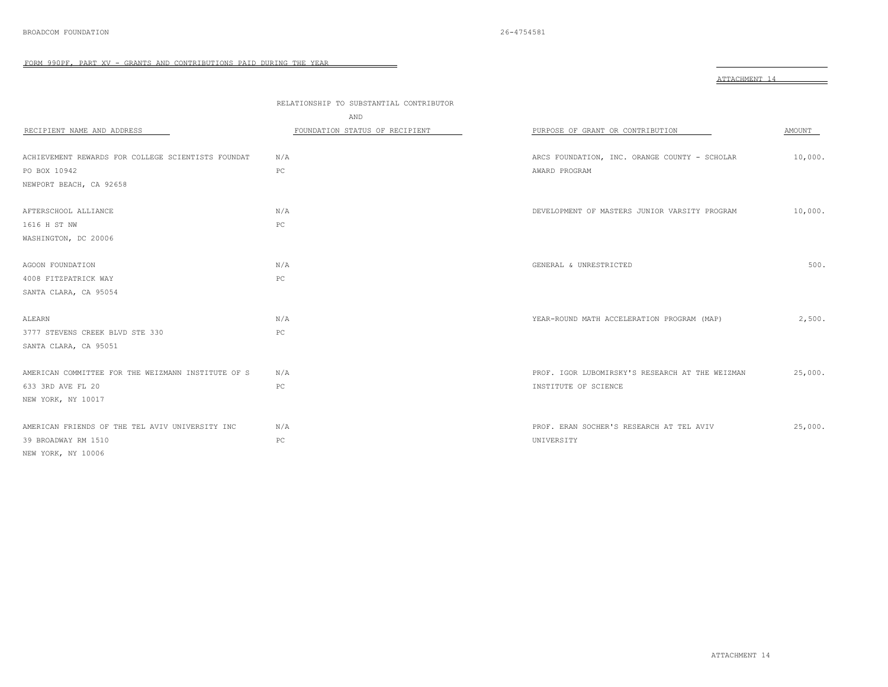|                                                    |                                                | ATTACHMENT 14                                   |         |
|----------------------------------------------------|------------------------------------------------|-------------------------------------------------|---------|
|                                                    | RELATIONSHIP TO SUBSTANTIAL CONTRIBUTOR<br>AND |                                                 |         |
| RECIPIENT NAME AND ADDRESS                         | FOUNDATION STATUS OF RECIPIENT                 | PURPOSE OF GRANT OR CONTRIBUTION                | AMOUNT  |
| ACHIEVEMENT REWARDS FOR COLLEGE SCIENTISTS FOUNDAT | N/A                                            | ARCS FOUNDATION, INC. ORANGE COUNTY - SCHOLAR   | 10,000. |
| PO BOX 10942                                       | PC                                             | AWARD PROGRAM                                   |         |
| NEWPORT BEACH, CA 92658                            |                                                |                                                 |         |
| AFTERSCHOOL ALLIANCE                               | N/A                                            | DEVELOPMENT OF MASTERS JUNIOR VARSITY PROGRAM   | 10,000. |
| 1616 H ST NW                                       | PC                                             |                                                 |         |
| WASHINGTON, DC 20006                               |                                                |                                                 |         |
| AGOON FOUNDATION                                   | N/A                                            | GENERAL & UNRESTRICTED                          | 500.    |
| 4008 FITZPATRICK WAY                               | $_{\rm PC}$                                    |                                                 |         |
| SANTA CLARA, CA 95054                              |                                                |                                                 |         |
| ALEARN                                             | N/A                                            | YEAR-ROUND MATH ACCELERATION PROGRAM (MAP)      | 2,500.  |
| 3777 STEVENS CREEK BLVD STE 330                    | PC                                             |                                                 |         |
| SANTA CLARA, CA 95051                              |                                                |                                                 |         |
| AMERICAN COMMITTEE FOR THE WEIZMANN INSTITUTE OF S | N/A                                            | PROF. IGOR LUBOMIRSKY'S RESEARCH AT THE WEIZMAN | 25,000. |
| 633 3RD AVE FL 20                                  | PC                                             | INSTITUTE OF SCIENCE                            |         |
| NEW YORK, NY 10017                                 |                                                |                                                 |         |
| AMERICAN FRIENDS OF THE TEL AVIV UNIVERSITY INC    | N/A                                            | PROF. ERAN SOCHER'S RESEARCH AT TEL AVIV        | 25,000. |
| 39 BROADWAY RM 1510                                | PC                                             | UNIVERSITY                                      |         |
| NEW YORK, NY 10006                                 |                                                |                                                 |         |

 $=$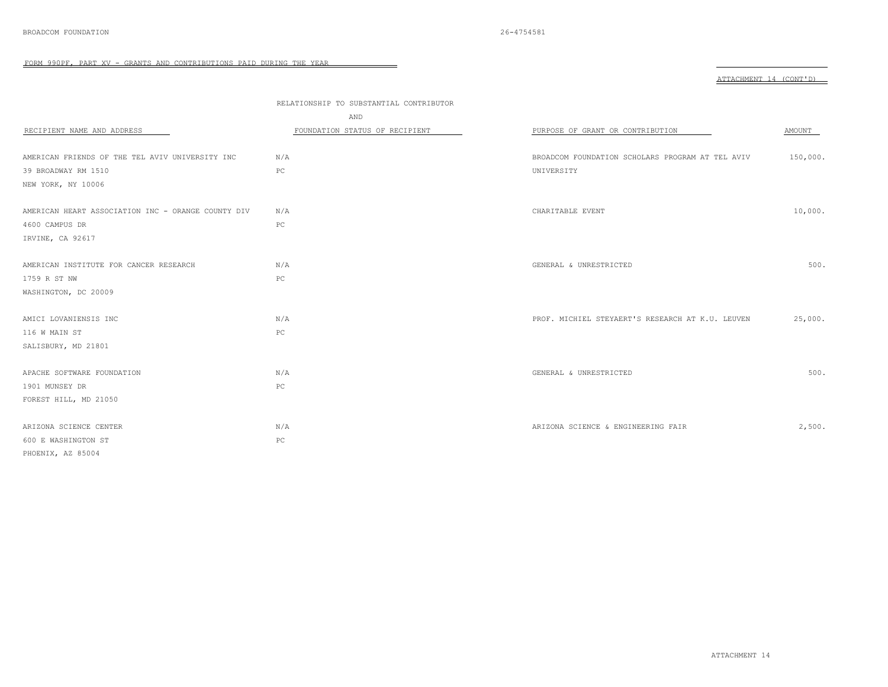| RECIPIENT NAME AND ADDRESS                         | RELATIONSHIP TO SUBSTANTIAL CONTRIBUTOR<br>AND<br>FOUNDATION STATUS OF RECIPIENT | PURPOSE OF GRANT OR CONTRIBUTION                 | AMOUNT   |
|----------------------------------------------------|----------------------------------------------------------------------------------|--------------------------------------------------|----------|
| AMERICAN FRIENDS OF THE TEL AVIV UNIVERSITY INC    | N/A                                                                              | BROADCOM FOUNDATION SCHOLARS PROGRAM AT TEL AVIV | 150,000. |
| 39 BROADWAY RM 1510                                | PC                                                                               | UNIVERSITY                                       |          |
| NEW YORK, NY 10006                                 |                                                                                  |                                                  |          |
|                                                    |                                                                                  |                                                  |          |
| AMERICAN HEART ASSOCIATION INC - ORANGE COUNTY DIV | N/A                                                                              | CHARITABLE EVENT                                 | 10,000.  |
| 4600 CAMPUS DR                                     | $_{\rm PC}$                                                                      |                                                  |          |
| IRVINE, CA 92617                                   |                                                                                  |                                                  |          |
|                                                    |                                                                                  |                                                  |          |
| AMERICAN INSTITUTE FOR CANCER RESEARCH             | N/A                                                                              | GENERAL & UNRESTRICTED                           | 500.     |
| 1759 R ST NW                                       | PC                                                                               |                                                  |          |
| WASHINGTON, DC 20009                               |                                                                                  |                                                  |          |
|                                                    |                                                                                  |                                                  |          |
| AMICI LOVANIENSIS INC                              | N/A                                                                              | PROF. MICHIEL STEYAERT'S RESEARCH AT K.U. LEUVEN | 25,000.  |
| 116 W MAIN ST                                      | PC                                                                               |                                                  |          |
| SALISBURY, MD 21801                                |                                                                                  |                                                  |          |
|                                                    |                                                                                  |                                                  |          |
| APACHE SOFTWARE FOUNDATION                         | N/A                                                                              | GENERAL & UNRESTRICTED                           | 500.     |
| 1901 MUNSEY DR                                     | $_{\rm PC}$                                                                      |                                                  |          |
| FOREST HILL, MD 21050                              |                                                                                  |                                                  |          |
| ARIZONA SCIENCE CENTER                             | N/A                                                                              | ARIZONA SCIENCE & ENGINEERING FAIR               | 2,500.   |
| 600 E WASHINGTON ST                                | $_{\rm PC}$                                                                      |                                                  |          |
|                                                    |                                                                                  |                                                  |          |
| PHOENIX, AZ 85004                                  |                                                                                  |                                                  |          |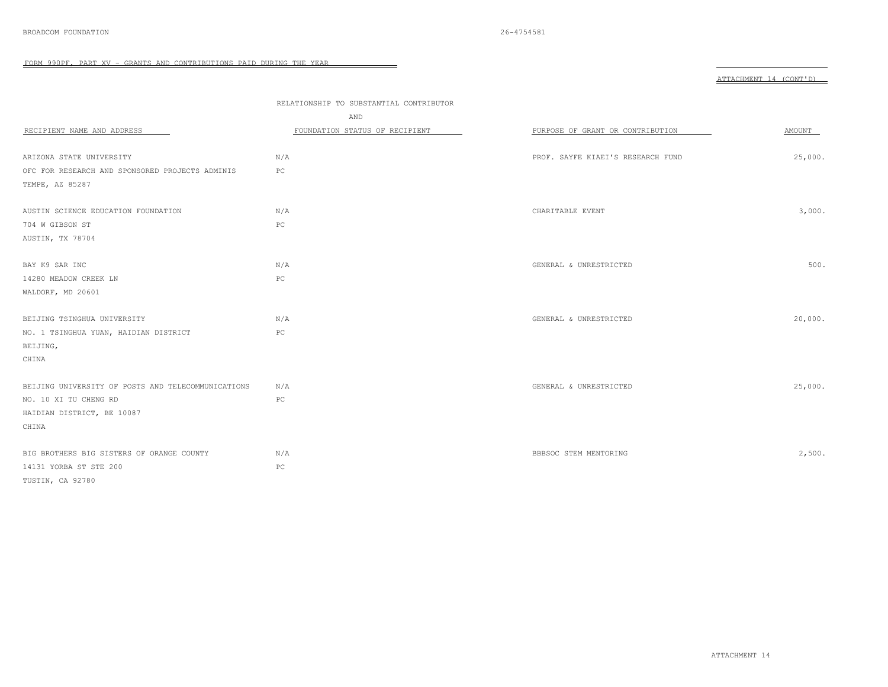|  | πг<br>MENT<br>ים ה |  |  |  |
|--|--------------------|--|--|--|
|--|--------------------|--|--|--|

|                                                    | RELATIONSHIP TO SUBSTANTIAL CONTRIBUTOR |                                   |         |
|----------------------------------------------------|-----------------------------------------|-----------------------------------|---------|
|                                                    | AND                                     |                                   |         |
| RECIPIENT NAME AND ADDRESS                         | FOUNDATION STATUS OF RECIPIENT          | PURPOSE OF GRANT OR CONTRIBUTION  | AMOUNT  |
|                                                    |                                         |                                   |         |
| ARIZONA STATE UNIVERSITY                           | N/A                                     | PROF. SAYFE KIAEI'S RESEARCH FUND | 25,000. |
| OFC FOR RESEARCH AND SPONSORED PROJECTS ADMINIS    | PC                                      |                                   |         |
| TEMPE, AZ 85287                                    |                                         |                                   |         |
| AUSTIN SCIENCE EDUCATION FOUNDATION                | N/A                                     | CHARITABLE EVENT                  | 3,000.  |
| 704 W GIBSON ST                                    | PC                                      |                                   |         |
| AUSTIN, TX 78704                                   |                                         |                                   |         |
|                                                    |                                         |                                   |         |
| BAY K9 SAR INC                                     | N/A                                     | GENERAL & UNRESTRICTED            | 500.    |
| 14280 MEADOW CREEK LN                              | $_{\rm PC}$                             |                                   |         |
| WALDORF, MD 20601                                  |                                         |                                   |         |
| BEIJING TSINGHUA UNIVERSITY                        | N/A                                     | GENERAL & UNRESTRICTED            | 20,000. |
| NO. 1 TSINGHUA YUAN, HAIDIAN DISTRICT              | PC                                      |                                   |         |
| BEIJING,                                           |                                         |                                   |         |
| CHINA                                              |                                         |                                   |         |
| BEIJING UNIVERSITY OF POSTS AND TELECOMMUNICATIONS | N/A                                     | GENERAL & UNRESTRICTED            | 25,000. |
| NO. 10 XI TU CHENG RD                              | PC                                      |                                   |         |
| HAIDIAN DISTRICT, BE 10087                         |                                         |                                   |         |
| CHINA                                              |                                         |                                   |         |
| BIG BROTHERS BIG SISTERS OF ORANGE COUNTY          | N/A                                     | BBBSOC STEM MENTORING             | 2,500.  |
| 14131 YORBA ST STE 200                             | PC                                      |                                   |         |
| TUSTIN, CA 92780                                   |                                         |                                   |         |
|                                                    |                                         |                                   |         |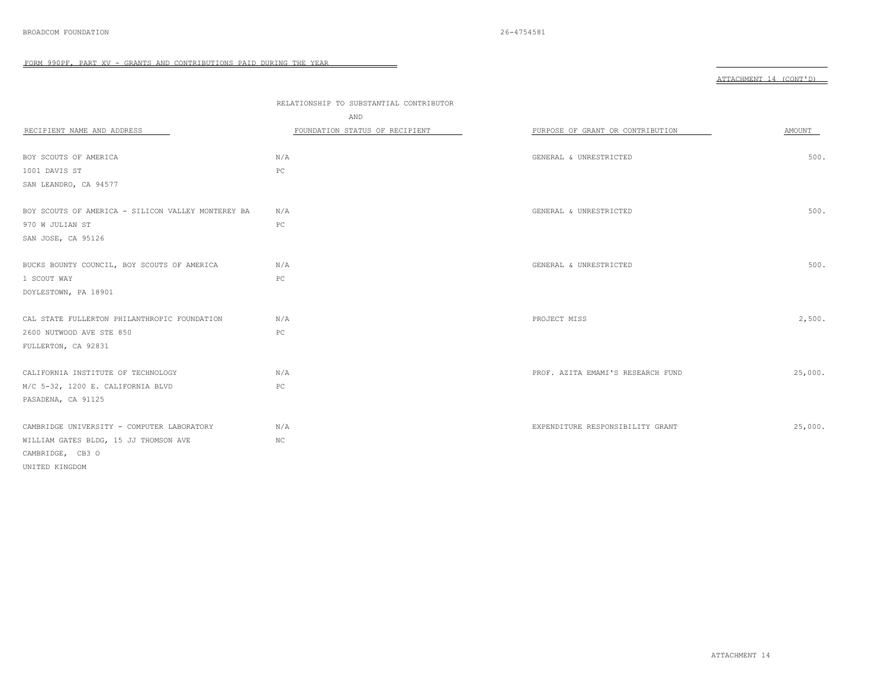|                                                    | RELATIONSHIP TO SUBSTANTIAL CONTRIBUTOR<br>AND |                                   |         |
|----------------------------------------------------|------------------------------------------------|-----------------------------------|---------|
| RECIPIENT NAME AND ADDRESS                         | FOUNDATION STATUS OF RECIPIENT                 | PURPOSE OF GRANT OR CONTRIBUTION  | AMOUNT  |
| BOY SCOUTS OF AMERICA                              | N/A                                            | GENERAL & UNRESTRICTED            | 500.    |
| 1001 DAVIS ST                                      | PC                                             |                                   |         |
| SAN LEANDRO, CA 94577                              |                                                |                                   |         |
| BOY SCOUTS OF AMERICA - SILICON VALLEY MONTEREY BA | N/A                                            | GENERAL & UNRESTRICTED            | 500.    |
| 970 W JULIAN ST                                    | $_{\rm PC}$                                    |                                   |         |
| SAN JOSE, CA 95126                                 |                                                |                                   |         |
| BUCKS BOUNTY COUNCIL, BOY SCOUTS OF AMERICA        | N/A                                            | GENERAL & UNRESTRICTED            | 500.    |
| 1 SCOUT WAY                                        | PC                                             |                                   |         |
| DOYLESTOWN, PA 18901                               |                                                |                                   |         |
| CAL STATE FULLERTON PHILANTHROPIC FOUNDATION       | N/A                                            | PROJECT MISS                      | 2,500.  |
| 2600 NUTWOOD AVE STE 850                           | PC                                             |                                   |         |
| FULLERTON, CA 92831                                |                                                |                                   |         |
| CALIFORNIA INSTITUTE OF TECHNOLOGY                 | N/A                                            | PROF. AZITA EMAMI'S RESEARCH FUND | 25,000. |
| M/C 5-32, 1200 E. CALIFORNIA BLVD                  | PC                                             |                                   |         |
| PASADENA, CA 91125                                 |                                                |                                   |         |
| CAMBRIDGE UNIVERSITY - COMPUTER LABORATORY         | N/A                                            | EXPENDITURE RESPONSIBILITY GRANT  | 25,000. |
| WILLIAM GATES BLDG, 15 JJ THOMSON AVE              | $_{\mathrm{NC}}$                               |                                   |         |
| CAMBRIDGE, CB3 O                                   |                                                |                                   |         |
| UNITED KINGDOM                                     |                                                |                                   |         |
|                                                    |                                                |                                   |         |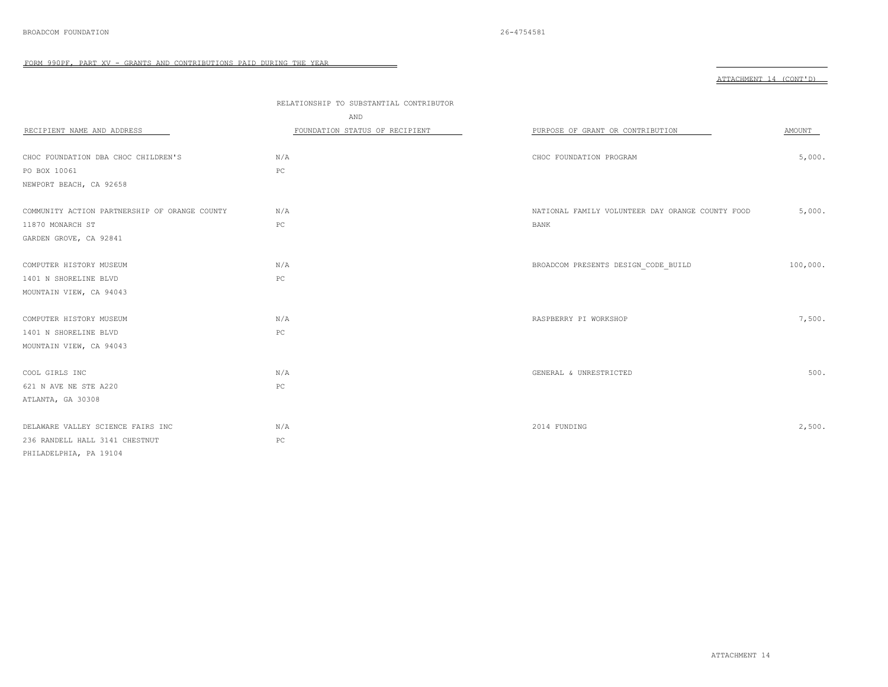|                                               | RELATIONSHIP TO SUBSTANTIAL CONTRIBUTOR |                                                  |          |
|-----------------------------------------------|-----------------------------------------|--------------------------------------------------|----------|
|                                               | AND                                     |                                                  |          |
| RECIPIENT NAME AND ADDRESS                    | FOUNDATION STATUS OF RECIPIENT          | PURPOSE OF GRANT OR CONTRIBUTION                 | AMOUNT   |
|                                               |                                         |                                                  |          |
| CHOC FOUNDATION DBA CHOC CHILDREN'S           | N/A                                     | CHOC FOUNDATION PROGRAM                          | 5,000.   |
| PO BOX 10061                                  | PC                                      |                                                  |          |
| NEWPORT BEACH, CA 92658                       |                                         |                                                  |          |
| COMMUNITY ACTION PARTNERSHIP OF ORANGE COUNTY | N/A                                     | NATIONAL FAMILY VOLUNTEER DAY ORANGE COUNTY FOOD | 5,000.   |
| 11870 MONARCH ST                              | PC                                      | BANK                                             |          |
| GARDEN GROVE, CA 92841                        |                                         |                                                  |          |
|                                               |                                         |                                                  |          |
| COMPUTER HISTORY MUSEUM                       | N/A                                     | BROADCOM PRESENTS DESIGN CODE BUILD              | 100,000. |
| 1401 N SHORELINE BLVD                         | $_{\rm PC}$                             |                                                  |          |
| MOUNTAIN VIEW, CA 94043                       |                                         |                                                  |          |
| COMPUTER HISTORY MUSEUM                       | N/A                                     | RASPBERRY PI WORKSHOP                            | 7,500.   |
| 1401 N SHORELINE BLVD                         | PC                                      |                                                  |          |
| MOUNTAIN VIEW, CA 94043                       |                                         |                                                  |          |
|                                               |                                         |                                                  |          |
| COOL GIRLS INC                                | N/A                                     | GENERAL & UNRESTRICTED                           | 500.     |
| 621 N AVE NE STE A220                         | PC                                      |                                                  |          |
| ATLANTA, GA 30308                             |                                         |                                                  |          |
| DELAWARE VALLEY SCIENCE FAIRS INC             | N/A                                     | 2014 FUNDING                                     | 2,500.   |
| 236 RANDELL HALL 3141 CHESTNUT                | $_{\rm PC}$                             |                                                  |          |
| PHILADELPHIA, PA 19104                        |                                         |                                                  |          |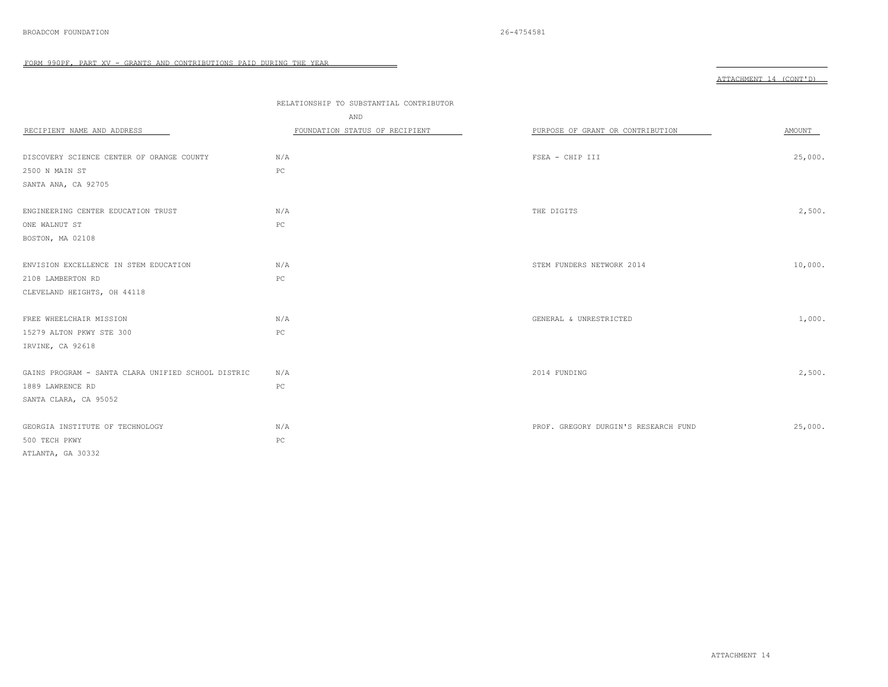|                                                    | RELATIONSHIP TO SUBSTANTIAL CONTRIBUTOR |                                      |         |
|----------------------------------------------------|-----------------------------------------|--------------------------------------|---------|
|                                                    | AND                                     |                                      |         |
| RECIPIENT NAME AND ADDRESS                         | FOUNDATION STATUS OF RECIPIENT          | PURPOSE OF GRANT OR CONTRIBUTION     | AMOUNT  |
|                                                    |                                         |                                      |         |
| DISCOVERY SCIENCE CENTER OF ORANGE COUNTY          | N/A                                     | FSEA - CHIP III                      | 25,000. |
| 2500 N MAIN ST                                     | $_{\rm PC}$                             |                                      |         |
| SANTA ANA, CA 92705                                |                                         |                                      |         |
|                                                    |                                         |                                      |         |
| ENGINEERING CENTER EDUCATION TRUST                 | N/A                                     | THE DIGITS                           | 2,500.  |
| ONE WALNUT ST                                      | $_{\rm PC}$                             |                                      |         |
| BOSTON, MA 02108                                   |                                         |                                      |         |
|                                                    |                                         |                                      |         |
| ENVISION EXCELLENCE IN STEM EDUCATION              | N/A                                     | STEM FUNDERS NETWORK 2014            | 10,000. |
| 2108 LAMBERTON RD                                  | $_{\rm PC}$                             |                                      |         |
| CLEVELAND HEIGHTS, OH 44118                        |                                         |                                      |         |
|                                                    |                                         |                                      |         |
| FREE WHEELCHAIR MISSION                            | N/A                                     | GENERAL & UNRESTRICTED               | 1,000.  |
| 15279 ALTON PKWY STE 300                           | $_{\rm PC}$                             |                                      |         |
| IRVINE, CA 92618                                   |                                         |                                      |         |
|                                                    |                                         |                                      |         |
| GAINS PROGRAM - SANTA CLARA UNIFIED SCHOOL DISTRIC | N/A                                     | 2014 FUNDING                         | 2,500.  |
| 1889 LAWRENCE RD                                   | PC                                      |                                      |         |
| SANTA CLARA, CA 95052                              |                                         |                                      |         |
|                                                    |                                         |                                      |         |
| GEORGIA INSTITUTE OF TECHNOLOGY                    | N/A                                     | PROF. GREGORY DURGIN'S RESEARCH FUND | 25,000. |
| 500 TECH PKWY                                      | $_{\rm PC}$                             |                                      |         |
| ATLANTA, GA 30332                                  |                                         |                                      |         |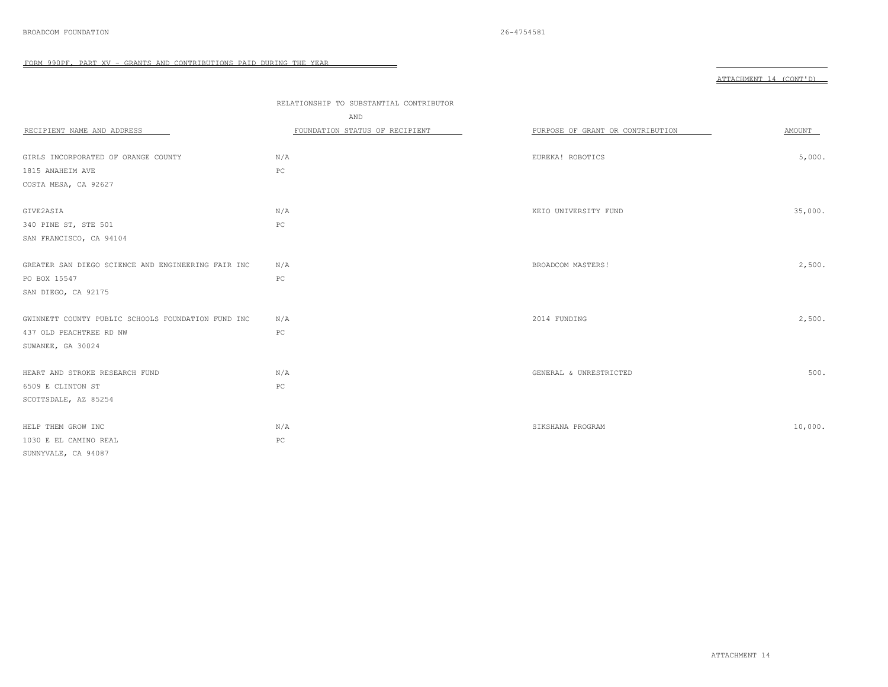|  | יות המשורים מידים,<br>л |  | ነ እገጥ |
|--|-------------------------|--|-------|
|--|-------------------------|--|-------|

| RECIPIENT NAME AND ADDRESS                         | RELATIONSHIP TO SUBSTANTIAL CONTRIBUTOR<br>AND<br>FOUNDATION STATUS OF RECIPIENT | PURPOSE OF GRANT OR CONTRIBUTION | AMOUNT  |
|----------------------------------------------------|----------------------------------------------------------------------------------|----------------------------------|---------|
| GIRLS INCORPORATED OF ORANGE COUNTY                | N/A                                                                              | EUREKA! ROBOTICS                 | 5,000.  |
| 1815 ANAHEIM AVE                                   | $_{\rm PC}$                                                                      |                                  |         |
| COSTA MESA, CA 92627                               |                                                                                  |                                  |         |
|                                                    |                                                                                  |                                  |         |
| GIVE2ASIA                                          | N/A                                                                              | KEIO UNIVERSITY FUND             | 35,000. |
| 340 PINE ST, STE 501                               | PC                                                                               |                                  |         |
| SAN FRANCISCO, CA 94104                            |                                                                                  |                                  |         |
| GREATER SAN DIEGO SCIENCE AND ENGINEERING FAIR INC | N/A                                                                              | BROADCOM MASTERS!                | 2,500.  |
| PO BOX 15547                                       | PC                                                                               |                                  |         |
| SAN DIEGO, CA 92175                                |                                                                                  |                                  |         |
|                                                    |                                                                                  |                                  |         |
| GWINNETT COUNTY PUBLIC SCHOOLS FOUNDATION FUND INC | N/A                                                                              | 2014 FUNDING                     | 2,500.  |
| 437 OLD PEACHTREE RD NW                            | PC                                                                               |                                  |         |
| SUWANEE, GA 30024                                  |                                                                                  |                                  |         |
| HEART AND STROKE RESEARCH FUND                     | N/A                                                                              | GENERAL & UNRESTRICTED           | 500.    |
| 6509 E CLINTON ST                                  | $_{\rm PC}$                                                                      |                                  |         |
| SCOTTSDALE, AZ 85254                               |                                                                                  |                                  |         |
|                                                    |                                                                                  |                                  |         |
| HELP THEM GROW INC                                 | N/A                                                                              | SIKSHANA PROGRAM                 | 10,000. |
| 1030 E EL CAMINO REAL                              | PC                                                                               |                                  |         |
| SUNNYVALE, CA 94087                                |                                                                                  |                                  |         |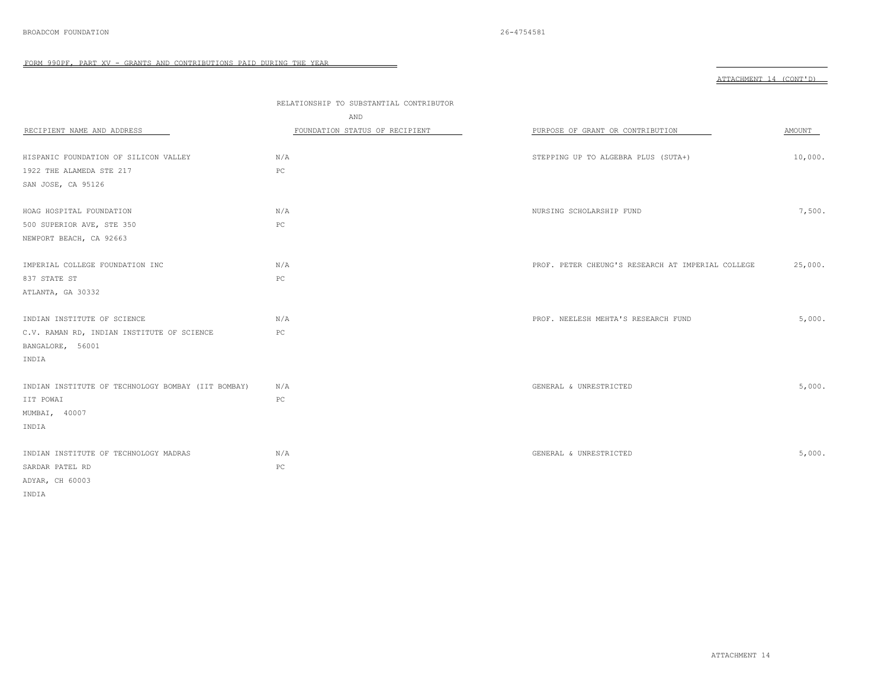|                                                    | RELATIONSHIP TO SUBSTANTIAL CONTRIBUTOR |                                                   |         |
|----------------------------------------------------|-----------------------------------------|---------------------------------------------------|---------|
|                                                    | AND                                     |                                                   |         |
| RECIPIENT NAME AND ADDRESS                         | FOUNDATION STATUS OF RECIPIENT          | PURPOSE OF GRANT OR CONTRIBUTION                  | AMOUNT  |
|                                                    |                                         |                                                   |         |
| HISPANIC FOUNDATION OF SILICON VALLEY              | N/A                                     | STEPPING UP TO ALGEBRA PLUS (SUTA+)               | 10,000. |
| 1922 THE ALAMEDA STE 217                           | $_{\rm PC}$                             |                                                   |         |
| SAN JOSE, CA 95126                                 |                                         |                                                   |         |
| HOAG HOSPITAL FOUNDATION                           | N/A                                     | NURSING SCHOLARSHIP FUND                          | 7,500.  |
| 500 SUPERIOR AVE, STE 350                          | PC                                      |                                                   |         |
| NEWPORT BEACH, CA 92663                            |                                         |                                                   |         |
|                                                    |                                         |                                                   |         |
| IMPERIAL COLLEGE FOUNDATION INC                    | N/A                                     | PROF. PETER CHEUNG'S RESEARCH AT IMPERIAL COLLEGE | 25,000. |
| 837 STATE ST                                       | PC                                      |                                                   |         |
| ATLANTA, GA 30332                                  |                                         |                                                   |         |
| INDIAN INSTITUTE OF SCIENCE                        | N/A                                     | PROF. NEELESH MEHTA'S RESEARCH FUND               | 5,000.  |
| C.V. RAMAN RD, INDIAN INSTITUTE OF SCIENCE         | PC                                      |                                                   |         |
| BANGALORE, 56001                                   |                                         |                                                   |         |
| INDIA                                              |                                         |                                                   |         |
|                                                    |                                         |                                                   |         |
| INDIAN INSTITUTE OF TECHNOLOGY BOMBAY (IIT BOMBAY) | N/A                                     | GENERAL & UNRESTRICTED                            | 5,000.  |
| IIT POWAI                                          | PC                                      |                                                   |         |
| MUMBAI, 40007                                      |                                         |                                                   |         |
| INDIA                                              |                                         |                                                   |         |
| INDIAN INSTITUTE OF TECHNOLOGY MADRAS              | N/A                                     | GENERAL & UNRESTRICTED                            | 5,000.  |
|                                                    | ${\mathbb P}{\mathbb C}$                |                                                   |         |
| SARDAR PATEL RD                                    |                                         |                                                   |         |
| ADYAR, CH 60003                                    |                                         |                                                   |         |
| INDIA                                              |                                         |                                                   |         |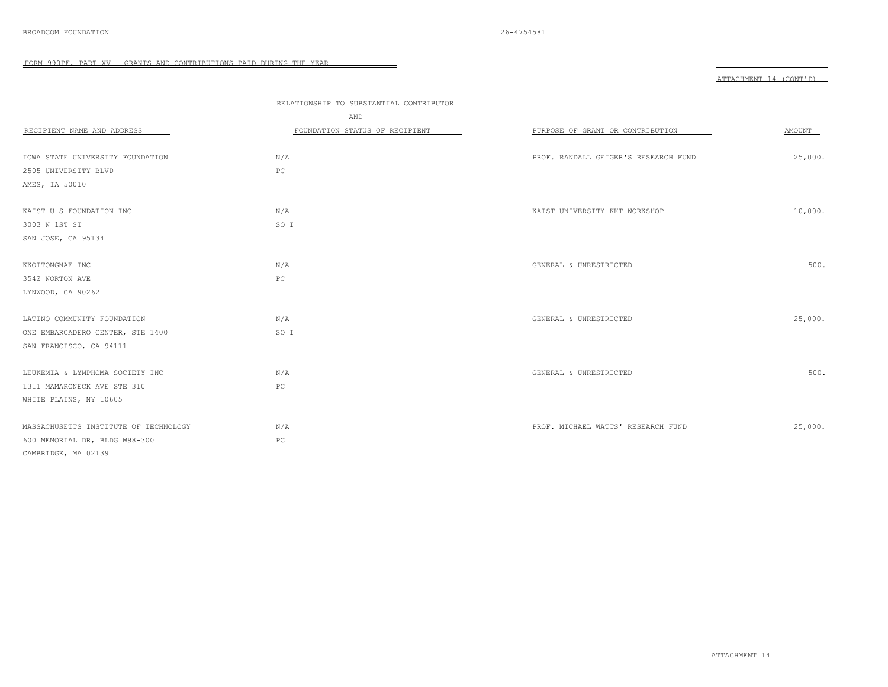|                                       | RELATIONSHIP TO SUBSTANTIAL CONTRIBUTOR<br>AND |                                      |         |
|---------------------------------------|------------------------------------------------|--------------------------------------|---------|
| RECIPIENT NAME AND ADDRESS            | FOUNDATION STATUS OF RECIPIENT                 | PURPOSE OF GRANT OR CONTRIBUTION     | AMOUNT  |
|                                       |                                                |                                      |         |
| IOWA STATE UNIVERSITY FOUNDATION      | N/A                                            | PROF. RANDALL GEIGER'S RESEARCH FUND | 25,000. |
| 2505 UNIVERSITY BLVD                  | PC                                             |                                      |         |
| AMES, IA 50010                        |                                                |                                      |         |
|                                       |                                                |                                      |         |
| KAIST U S FOUNDATION INC              | N/A                                            | KAIST UNIVERSITY KKT WORKSHOP        | 10,000. |
| 3003 N 1ST ST                         | SO I                                           |                                      |         |
| SAN JOSE, CA 95134                    |                                                |                                      |         |
|                                       |                                                |                                      |         |
| KKOTTONGNAE INC                       | N/A                                            | GENERAL & UNRESTRICTED               | 500.    |
| 3542 NORTON AVE                       | $_{\rm PC}$                                    |                                      |         |
| LYNWOOD, CA 90262                     |                                                |                                      |         |
|                                       |                                                |                                      |         |
| LATINO COMMUNITY FOUNDATION           | N/A                                            | GENERAL & UNRESTRICTED               | 25,000. |
| ONE EMBARCADERO CENTER, STE 1400      | SO I                                           |                                      |         |
| SAN FRANCISCO, CA 94111               |                                                |                                      |         |
|                                       |                                                |                                      |         |
| LEUKEMIA & LYMPHOMA SOCIETY INC       | N/A                                            | GENERAL & UNRESTRICTED               | 500.    |
| 1311 MAMARONECK AVE STE 310           | $_{\rm PC}$                                    |                                      |         |
| WHITE PLAINS, NY 10605                |                                                |                                      |         |
|                                       |                                                |                                      |         |
| MASSACHUSETTS INSTITUTE OF TECHNOLOGY | N/A                                            | PROF. MICHAEL WATTS' RESEARCH FUND   | 25,000. |
| 600 MEMORIAL DR, BLDG W98-300         | $_{\rm PC}$                                    |                                      |         |
| CAMBRIDGE, MA 02139                   |                                                |                                      |         |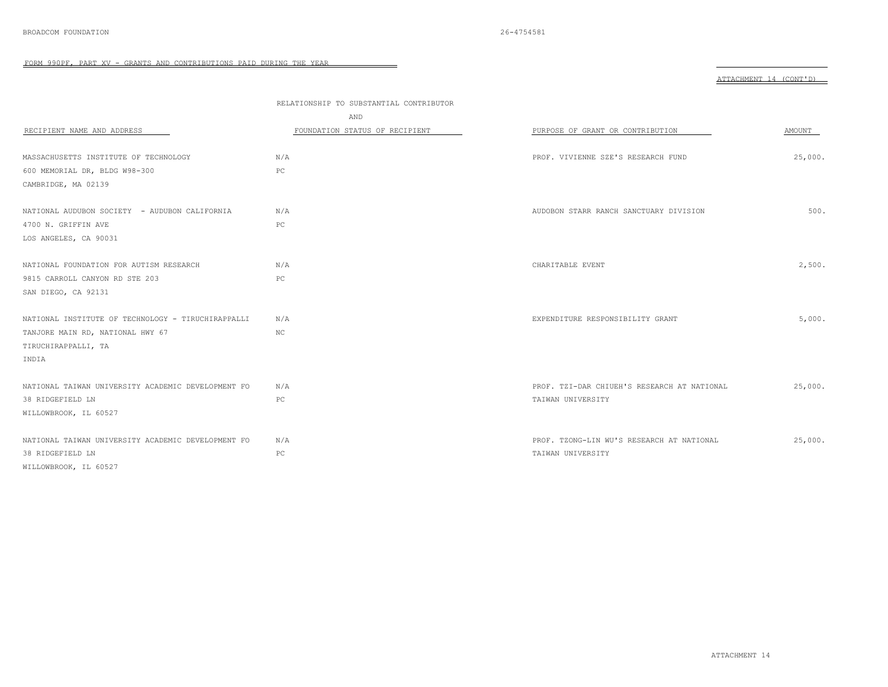|                                                    |                                         |                                             | ATTACHMENT 14 (CONT'D) |
|----------------------------------------------------|-----------------------------------------|---------------------------------------------|------------------------|
|                                                    | RELATIONSHIP TO SUBSTANTIAL CONTRIBUTOR |                                             |                        |
|                                                    | AND                                     |                                             |                        |
| RECIPIENT NAME AND ADDRESS                         | FOUNDATION STATUS OF RECIPIENT          | PURPOSE OF GRANT OR CONTRIBUTION            | AMOUNT                 |
|                                                    |                                         |                                             |                        |
| MASSACHUSETTS INSTITUTE OF TECHNOLOGY              | N/A                                     | PROF. VIVIENNE SZE'S RESEARCH FUND          | 25,000.                |
| 600 MEMORIAL DR, BLDG W98-300                      | PC                                      |                                             |                        |
| CAMBRIDGE, MA 02139                                |                                         |                                             |                        |
| NATIONAL AUDUBON SOCIETY - AUDUBON CALIFORNIA      | N/A                                     | AUDOBON STARR RANCH SANCTUARY DIVISION      | 500.                   |
| 4700 N. GRIFFIN AVE                                | PC                                      |                                             |                        |
| LOS ANGELES, CA 90031                              |                                         |                                             |                        |
|                                                    |                                         |                                             |                        |
| NATIONAL FOUNDATION FOR AUTISM RESEARCH            | N/A                                     | CHARITABLE EVENT                            | 2,500.                 |
| 9815 CARROLL CANYON RD STE 203                     | PC                                      |                                             |                        |
| SAN DIEGO, CA 92131                                |                                         |                                             |                        |
| NATIONAL INSTITUTE OF TECHNOLOGY - TIRUCHIRAPPALLI | N/A                                     | EXPENDITURE RESPONSIBILITY GRANT            | 5,000.                 |
| TANJORE MAIN RD, NATIONAL HWY 67                   | ΝC                                      |                                             |                        |
| TIRUCHIRAPPALLI, TA                                |                                         |                                             |                        |
| INDIA                                              |                                         |                                             |                        |
|                                                    |                                         |                                             |                        |
| NATIONAL TAIWAN UNIVERSITY ACADEMIC DEVELOPMENT FO | N/A                                     | PROF. TZI-DAR CHIUEH'S RESEARCH AT NATIONAL | 25,000.                |
| 38 RIDGEFIELD LN                                   | PC                                      | TAIWAN UNIVERSITY                           |                        |
| WILLOWBROOK, IL 60527                              |                                         |                                             |                        |
| NATIONAL TAIWAN UNIVERSITY ACADEMIC DEVELOPMENT FO | N/A                                     | PROF. TZONG-LIN WU'S RESEARCH AT NATIONAL   | 25,000.                |
| 38 RIDGEFIELD LN                                   | PC                                      | TAIWAN UNIVERSITY                           |                        |
| WILLOWBROOK, IL 60527                              |                                         |                                             |                        |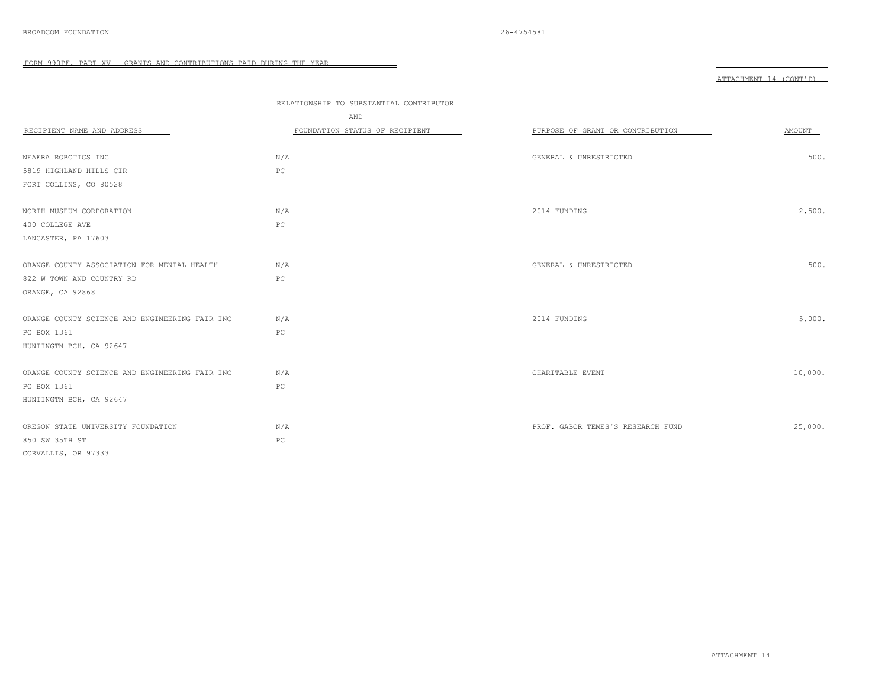|                                                | RELATIONSHIP TO SUBSTANTIAL CONTRIBUTOR |                                   |         |
|------------------------------------------------|-----------------------------------------|-----------------------------------|---------|
|                                                | AND                                     |                                   |         |
| RECIPIENT NAME AND ADDRESS                     | FOUNDATION STATUS OF RECIPIENT          | PURPOSE OF GRANT OR CONTRIBUTION  | AMOUNT  |
|                                                |                                         |                                   |         |
| NEAERA ROBOTICS INC                            | N/A                                     | GENERAL & UNRESTRICTED            | 500.    |
| 5819 HIGHLAND HILLS CIR                        | PC                                      |                                   |         |
| FORT COLLINS, CO 80528                         |                                         |                                   |         |
|                                                |                                         |                                   |         |
| NORTH MUSEUM CORPORATION                       | N/A                                     | 2014 FUNDING                      | 2,500.  |
| 400 COLLEGE AVE                                | PC                                      |                                   |         |
| LANCASTER, PA 17603                            |                                         |                                   |         |
|                                                |                                         |                                   |         |
| ORANGE COUNTY ASSOCIATION FOR MENTAL HEALTH    | N/A                                     | GENERAL & UNRESTRICTED            | 500.    |
| 822 W TOWN AND COUNTRY RD                      | PC                                      |                                   |         |
| ORANGE, CA 92868                               |                                         |                                   |         |
|                                                |                                         |                                   |         |
| ORANGE COUNTY SCIENCE AND ENGINEERING FAIR INC | N/A                                     | 2014 FUNDING                      | 5,000.  |
| PO BOX 1361                                    | PC                                      |                                   |         |
| HUNTINGTN BCH, CA 92647                        |                                         |                                   |         |
|                                                |                                         |                                   |         |
| ORANGE COUNTY SCIENCE AND ENGINEERING FAIR INC | N/A                                     | CHARITABLE EVENT                  | 10,000. |
| PO BOX 1361                                    | $_{\rm PC}$                             |                                   |         |
| HUNTINGTN BCH, CA 92647                        |                                         |                                   |         |
|                                                |                                         |                                   |         |
| OREGON STATE UNIVERSITY FOUNDATION             | N/A                                     | PROF. GABOR TEMES'S RESEARCH FUND | 25,000. |
| 850 SW 35TH ST                                 | PC                                      |                                   |         |
| CORVALLIS, OR 97333                            |                                         |                                   |         |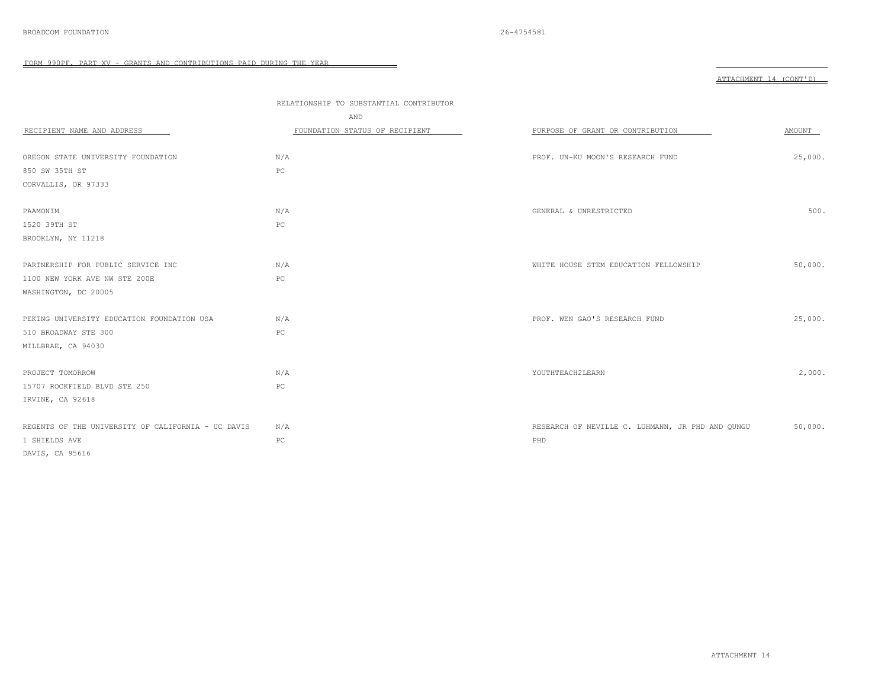|                                                    | RELATIONSHIP TO SUBSTANTIAL CONTRIBUTOR |                                                  |         |
|----------------------------------------------------|-----------------------------------------|--------------------------------------------------|---------|
|                                                    | AND                                     |                                                  |         |
| RECIPIENT NAME AND ADDRESS                         | FOUNDATION STATUS OF RECIPIENT          | PURPOSE OF GRANT OR CONTRIBUTION                 | AMOUNT  |
|                                                    |                                         |                                                  |         |
| OREGON STATE UNIVERSITY FOUNDATION                 | N/A                                     | PROF. UN-KU MOON'S RESEARCH FUND                 | 25,000. |
| 850 SW 35TH ST                                     | PC                                      |                                                  |         |
| CORVALLIS, OR 97333                                |                                         |                                                  |         |
|                                                    |                                         |                                                  |         |
| PAAMONIM                                           | N/A                                     | GENERAL & UNRESTRICTED                           | 500.    |
| 1520 39TH ST                                       | PC                                      |                                                  |         |
| BROOKLYN, NY 11218                                 |                                         |                                                  |         |
|                                                    |                                         |                                                  |         |
| PARTNERSHIP FOR PUBLIC SERVICE INC                 | N/A                                     | WHITE HOUSE STEM EDUCATION FELLOWSHIP            | 50,000. |
| 1100 NEW YORK AVE NW STE 200E                      | PC                                      |                                                  |         |
| WASHINGTON, DC 20005                               |                                         |                                                  |         |
|                                                    |                                         |                                                  |         |
| PEKING UNIVERSITY EDUCATION FOUNDATION USA         | N/A                                     | PROF. WEN GAO'S RESEARCH FUND                    | 25,000. |
| 510 BROADWAY STE 300                               | $_{\rm PC}$                             |                                                  |         |
| MILLBRAE, CA 94030                                 |                                         |                                                  |         |
|                                                    |                                         |                                                  |         |
| PROJECT TOMORROW                                   | N/A                                     | YOUTHTEACH2LEARN                                 | 2,000.  |
| 15707 ROCKFIELD BLVD STE 250                       | $_{\rm PC}$                             |                                                  |         |
| IRVINE, CA 92618                                   |                                         |                                                  |         |
|                                                    |                                         |                                                  |         |
| REGENTS OF THE UNIVERSITY OF CALIFORNIA - UC DAVIS | N/A                                     | RESEARCH OF NEVILLE C. LUHMANN, JR PHD AND QUNGU | 50,000. |
| 1 SHIELDS AVE                                      | $_{\rm PC}$                             | PHD                                              |         |
| DAVIS, CA 95616                                    |                                         |                                                  |         |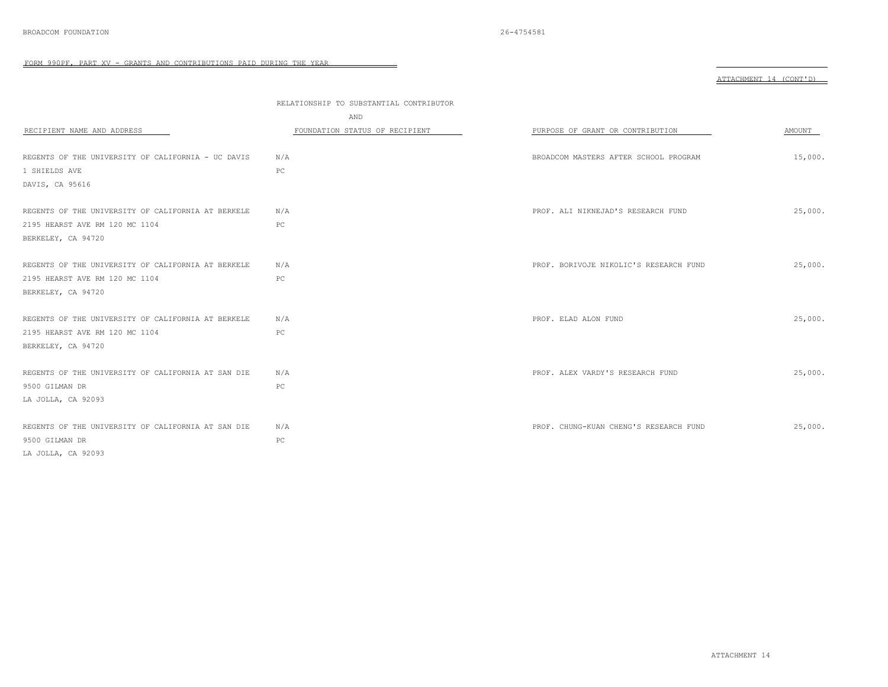|                                                    |                                         |                                        | ATTACHMENT 14 (CONT'D) |
|----------------------------------------------------|-----------------------------------------|----------------------------------------|------------------------|
|                                                    | RELATIONSHIP TO SUBSTANTIAL CONTRIBUTOR |                                        |                        |
|                                                    | AND                                     |                                        |                        |
| RECIPIENT NAME AND ADDRESS                         | FOUNDATION STATUS OF RECIPIENT          | PURPOSE OF GRANT OR CONTRIBUTION       | AMOUNT                 |
| REGENTS OF THE UNIVERSITY OF CALIFORNIA - UC DAVIS | N/A                                     | BROADCOM MASTERS AFTER SCHOOL PROGRAM  | 15,000.                |
| 1 SHIELDS AVE                                      | PC                                      |                                        |                        |
| DAVIS, CA 95616                                    |                                         |                                        |                        |
| REGENTS OF THE UNIVERSITY OF CALIFORNIA AT BERKELE | N/A                                     | PROF. ALI NIKNEJAD'S RESEARCH FUND     | 25,000.                |
| 2195 HEARST AVE RM 120 MC 1104                     | PC                                      |                                        |                        |
| BERKELEY, CA 94720                                 |                                         |                                        |                        |
| REGENTS OF THE UNIVERSITY OF CALIFORNIA AT BERKELE | N/A                                     | PROF. BORIVOJE NIKOLIC'S RESEARCH FUND | 25,000.                |
| 2195 HEARST AVE RM 120 MC 1104                     | PC                                      |                                        |                        |
| BERKELEY, CA 94720                                 |                                         |                                        |                        |
| REGENTS OF THE UNIVERSITY OF CALIFORNIA AT BERKELE | N/A                                     | PROF. ELAD ALON FUND                   | 25,000.                |
| 2195 HEARST AVE RM 120 MC 1104                     | PC                                      |                                        |                        |
| BERKELEY, CA 94720                                 |                                         |                                        |                        |
| REGENTS OF THE UNIVERSITY OF CALIFORNIA AT SAN DIE | N/A                                     | PROF. ALEX VARDY'S RESEARCH FUND       | 25,000.                |
| 9500 GILMAN DR                                     | PC                                      |                                        |                        |
| LA JOLLA, CA 92093                                 |                                         |                                        |                        |
| REGENTS OF THE UNIVERSITY OF CALIFORNIA AT SAN DIE | N/A                                     | PROF. CHUNG-KUAN CHENG'S RESEARCH FUND | 25,000.                |
| 9500 GILMAN DR                                     | PC                                      |                                        |                        |
| LA JOLLA, CA 92093                                 |                                         |                                        |                        |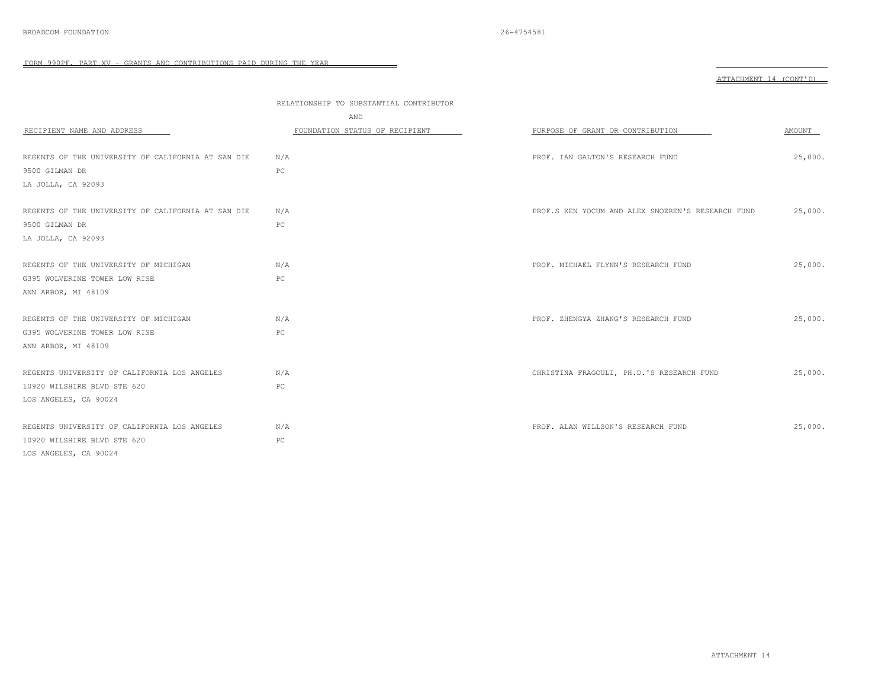|                                                    |                                         | ATTACHMENT 14 (CONT'D)                            |         |
|----------------------------------------------------|-----------------------------------------|---------------------------------------------------|---------|
|                                                    | RELATIONSHIP TO SUBSTANTIAL CONTRIBUTOR |                                                   |         |
|                                                    | AND                                     |                                                   |         |
| RECIPIENT NAME AND ADDRESS                         | FOUNDATION STATUS OF RECIPIENT          | PURPOSE OF GRANT OR CONTRIBUTION                  | AMOUNT  |
|                                                    |                                         |                                                   |         |
| REGENTS OF THE UNIVERSITY OF CALIFORNIA AT SAN DIE | N/A                                     | PROF. IAN GALTON'S RESEARCH FUND                  | 25,000. |
| 9500 GILMAN DR                                     | PC                                      |                                                   |         |
| LA JOLLA, CA 92093                                 |                                         |                                                   |         |
|                                                    |                                         |                                                   |         |
| REGENTS OF THE UNIVERSITY OF CALIFORNIA AT SAN DIE | N/A                                     | PROF.S KEN YOCUM AND ALEX SNOEREN'S RESEARCH FUND | 25,000. |
| 9500 GILMAN DR                                     | PC                                      |                                                   |         |
| LA JOLLA, CA 92093                                 |                                         |                                                   |         |
|                                                    |                                         |                                                   |         |
| REGENTS OF THE UNIVERSITY OF MICHIGAN              | N/A                                     | PROF. MICHAEL FLYNN'S RESEARCH FUND               | 25,000. |
| G395 WOLVERINE TOWER LOW RISE                      | PC                                      |                                                   |         |
| ANN ARBOR, MI 48109                                |                                         |                                                   |         |
| REGENTS OF THE UNIVERSITY OF MICHIGAN              | N/A                                     | PROF. ZHENGYA ZHANG'S RESEARCH FUND               | 25,000. |
| G395 WOLVERINE TOWER LOW RISE                      | PC                                      |                                                   |         |
|                                                    |                                         |                                                   |         |
| ANN ARBOR, MI 48109                                |                                         |                                                   |         |
| REGENTS UNIVERSITY OF CALIFORNIA LOS ANGELES       | N/A                                     | CHRISTINA FRAGOULI, PH.D.'S RESEARCH FUND         | 25,000. |
| 10920 WILSHIRE BLVD STE 620                        | PC                                      |                                                   |         |
| LOS ANGELES, CA 90024                              |                                         |                                                   |         |
|                                                    |                                         |                                                   |         |
| REGENTS UNIVERSITY OF CALIFORNIA LOS ANGELES       | N/A                                     | PROF. ALAN WILLSON'S RESEARCH FUND                | 25,000. |
| 10920 WILSHIRE BLVD STE 620                        | PC                                      |                                                   |         |
| LOS ANGELES, CA 90024                              |                                         |                                                   |         |

 $\overline{\phantom{a}}$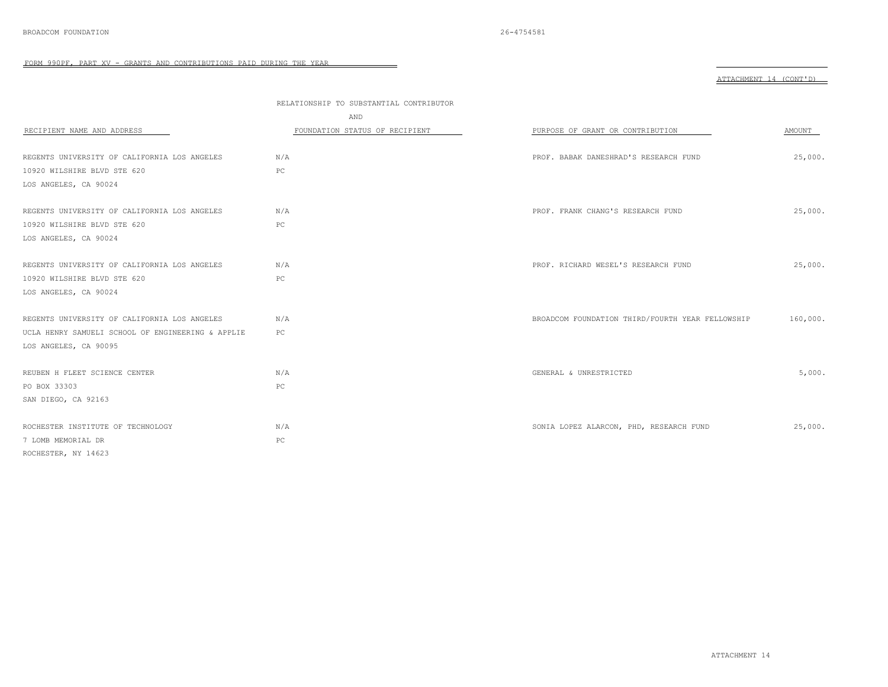|                                                                             |                                         |                                                  | ATTACHMENT 14 (CONT'D) |
|-----------------------------------------------------------------------------|-----------------------------------------|--------------------------------------------------|------------------------|
|                                                                             | RELATIONSHIP TO SUBSTANTIAL CONTRIBUTOR |                                                  |                        |
|                                                                             | AND                                     |                                                  |                        |
| RECIPIENT NAME AND ADDRESS                                                  | FOUNDATION STATUS OF RECIPIENT          | PURPOSE OF GRANT OR CONTRIBUTION                 | AMOUNT                 |
|                                                                             |                                         |                                                  |                        |
| REGENTS UNIVERSITY OF CALIFORNIA LOS ANGELES                                | N/A                                     | PROF. BABAK DANESHRAD'S RESEARCH FUND            | 25,000.                |
| 10920 WILSHIRE BLVD STE 620                                                 | PC                                      |                                                  |                        |
| LOS ANGELES, CA 90024                                                       |                                         |                                                  |                        |
| REGENTS UNIVERSITY OF CALIFORNIA LOS ANGELES                                | N/A                                     | PROF. FRANK CHANG'S RESEARCH FUND                | 25,000.                |
| 10920 WILSHIRE BLVD STE 620                                                 | PC                                      |                                                  |                        |
| LOS ANGELES, CA 90024                                                       |                                         |                                                  |                        |
|                                                                             | N/A                                     |                                                  | 25,000.                |
| REGENTS UNIVERSITY OF CALIFORNIA LOS ANGELES<br>10920 WILSHIRE BLVD STE 620 | PC                                      | PROF. RICHARD WESEL'S RESEARCH FUND              |                        |
| LOS ANGELES, CA 90024                                                       |                                         |                                                  |                        |
|                                                                             |                                         |                                                  |                        |
| REGENTS UNIVERSITY OF CALIFORNIA LOS ANGELES                                | N/A                                     | BROADCOM FOUNDATION THIRD/FOURTH YEAR FELLOWSHIP | 160,000.               |
| UCLA HENRY SAMUELI SCHOOL OF ENGINEERING & APPLIE                           | PC                                      |                                                  |                        |
| LOS ANGELES, CA 90095                                                       |                                         |                                                  |                        |
| REUBEN H FLEET SCIENCE CENTER                                               | N/A                                     | GENERAL & UNRESTRICTED                           | 5,000.                 |
| PO BOX 33303                                                                | PC                                      |                                                  |                        |
| SAN DIEGO, CA 92163                                                         |                                         |                                                  |                        |
| ROCHESTER INSTITUTE OF TECHNOLOGY                                           | N/A                                     | SONIA LOPEZ ALARCON, PHD, RESEARCH FUND          | 25,000.                |
| 7 LOMB MEMORIAL DR                                                          | PC                                      |                                                  |                        |
| ROCHESTER, NY 14623                                                         |                                         |                                                  |                        |

 $\overline{\phantom{a}}$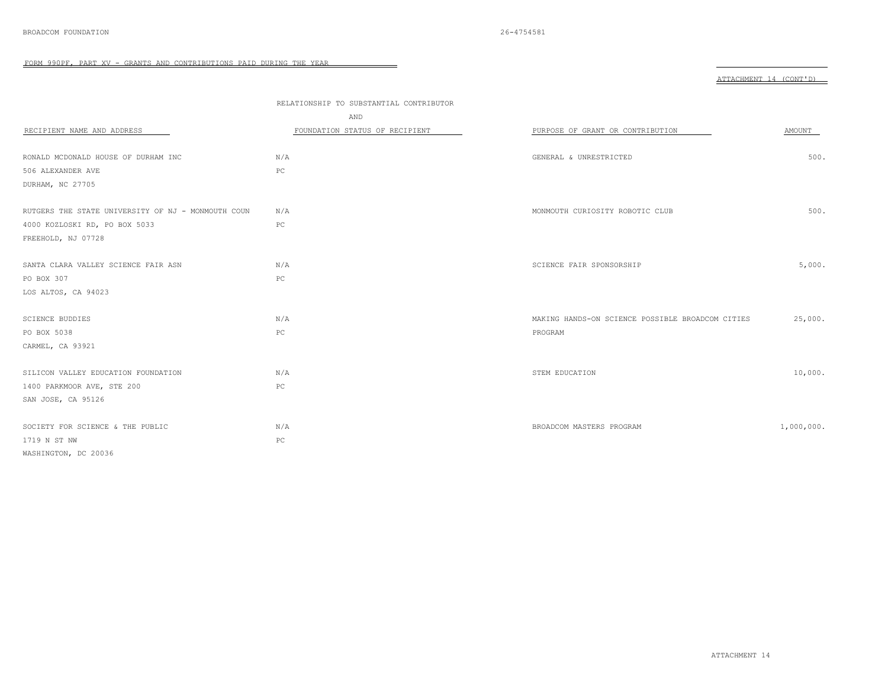|                                                    | RELATIONSHIP TO SUBSTANTIAL CONTRIBUTOR<br>AND |                                                  |            |
|----------------------------------------------------|------------------------------------------------|--------------------------------------------------|------------|
| RECIPIENT NAME AND ADDRESS                         | FOUNDATION STATUS OF RECIPIENT                 | PURPOSE OF GRANT OR CONTRIBUTION                 | AMOUNT     |
|                                                    |                                                |                                                  |            |
| RONALD MCDONALD HOUSE OF DURHAM INC                | N/A                                            | GENERAL & UNRESTRICTED                           | 500.       |
| 506 ALEXANDER AVE                                  | $_{\rm PC}$                                    |                                                  |            |
| DURHAM, NC 27705                                   |                                                |                                                  |            |
| RUTGERS THE STATE UNIVERSITY OF NJ - MONMOUTH COUN | N/A                                            |                                                  | 500.       |
|                                                    |                                                | MONMOUTH CURIOSITY ROBOTIC CLUB                  |            |
| 4000 KOZLOSKI RD, PO BOX 5033                      | PC                                             |                                                  |            |
| FREEHOLD, NJ 07728                                 |                                                |                                                  |            |
| SANTA CLARA VALLEY SCIENCE FAIR ASN                | N/A                                            | SCIENCE FAIR SPONSORSHIP                         | 5,000.     |
| PO BOX 307                                         | PC                                             |                                                  |            |
| LOS ALTOS, CA 94023                                |                                                |                                                  |            |
|                                                    |                                                |                                                  |            |
| <b>SCIENCE BUDDIES</b>                             | N/A                                            | MAKING HANDS-ON SCIENCE POSSIBLE BROADCOM CITIES | 25,000.    |
| PO BOX 5038                                        | PC                                             | PROGRAM                                          |            |
| CARMEL, CA 93921                                   |                                                |                                                  |            |
|                                                    |                                                |                                                  |            |
| SILICON VALLEY EDUCATION FOUNDATION                | N/A                                            | STEM EDUCATION                                   | 10,000.    |
| 1400 PARKMOOR AVE, STE 200                         | PC                                             |                                                  |            |
| SAN JOSE, CA 95126                                 |                                                |                                                  |            |
|                                                    |                                                |                                                  |            |
| SOCIETY FOR SCIENCE & THE PUBLIC                   | N/A                                            | BROADCOM MASTERS PROGRAM                         | 1,000,000. |
| 1719 N ST NW                                       | $_{\rm PC}$                                    |                                                  |            |
| WASHINGTON, DC 20036                               |                                                |                                                  |            |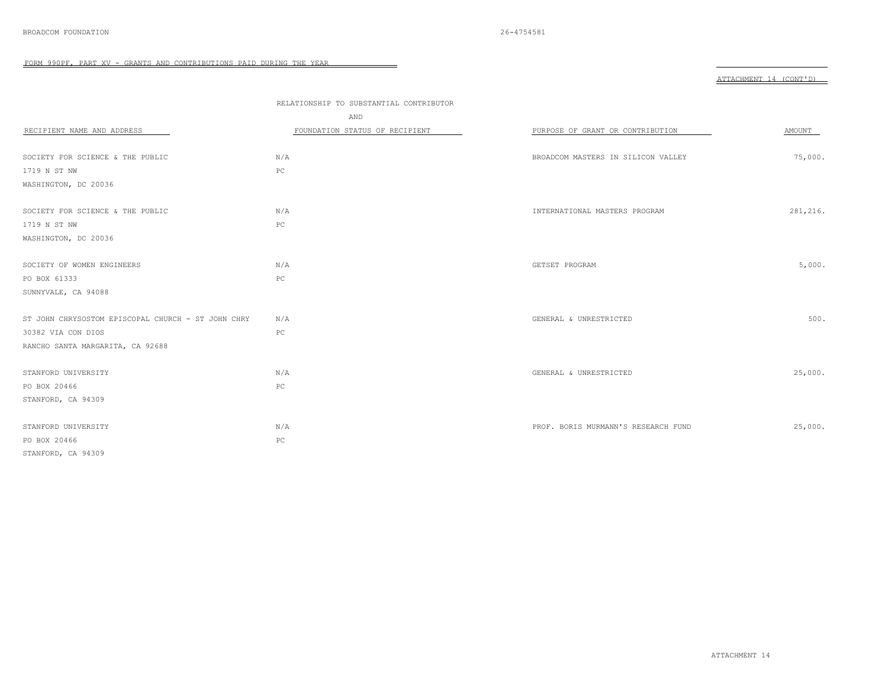| RECIPIENT NAME AND ADDRESS                         | RELATIONSHIP TO SUBSTANTIAL CONTRIBUTOR<br>AND<br>FOUNDATION STATUS OF RECIPIENT | PURPOSE OF GRANT OR CONTRIBUTION    | AMOUNT   |
|----------------------------------------------------|----------------------------------------------------------------------------------|-------------------------------------|----------|
| SOCIETY FOR SCIENCE & THE PUBLIC                   | N/A                                                                              | BROADCOM MASTERS IN SILICON VALLEY  | 75,000.  |
| 1719 N ST NW                                       | $_{\rm PC}$                                                                      |                                     |          |
| WASHINGTON, DC 20036                               |                                                                                  |                                     |          |
| SOCIETY FOR SCIENCE & THE PUBLIC                   | N/A                                                                              | INTERNATIONAL MASTERS PROGRAM       | 281,216. |
| 1719 N ST NW                                       | $_{\rm PC}$                                                                      |                                     |          |
| WASHINGTON, DC 20036                               |                                                                                  |                                     |          |
| SOCIETY OF WOMEN ENGINEERS                         | N/A                                                                              | GETSET PROGRAM                      | 5,000.   |
| PO BOX 61333                                       | PC                                                                               |                                     |          |
| SUNNYVALE, CA 94088                                |                                                                                  |                                     |          |
| ST JOHN CHRYSOSTOM EPISCOPAL CHURCH - ST JOHN CHRY | N/A                                                                              | GENERAL & UNRESTRICTED              | 500.     |
| 30382 VIA CON DIOS                                 | $_{\rm PC}$                                                                      |                                     |          |
| RANCHO SANTA MARGARITA, CA 92688                   |                                                                                  |                                     |          |
| STANFORD UNIVERSITY                                | N/A                                                                              | GENERAL & UNRESTRICTED              | 25,000.  |
| PO BOX 20466                                       | $_{\rm PC}$                                                                      |                                     |          |
| STANFORD, CA 94309                                 |                                                                                  |                                     |          |
| STANFORD UNIVERSITY                                | N/A                                                                              | PROF. BORIS MURMANN'S RESEARCH FUND | 25,000.  |
| PO BOX 20466                                       | $_{\rm PC}$                                                                      |                                     |          |
| STANFORD, CA 94309                                 |                                                                                  |                                     |          |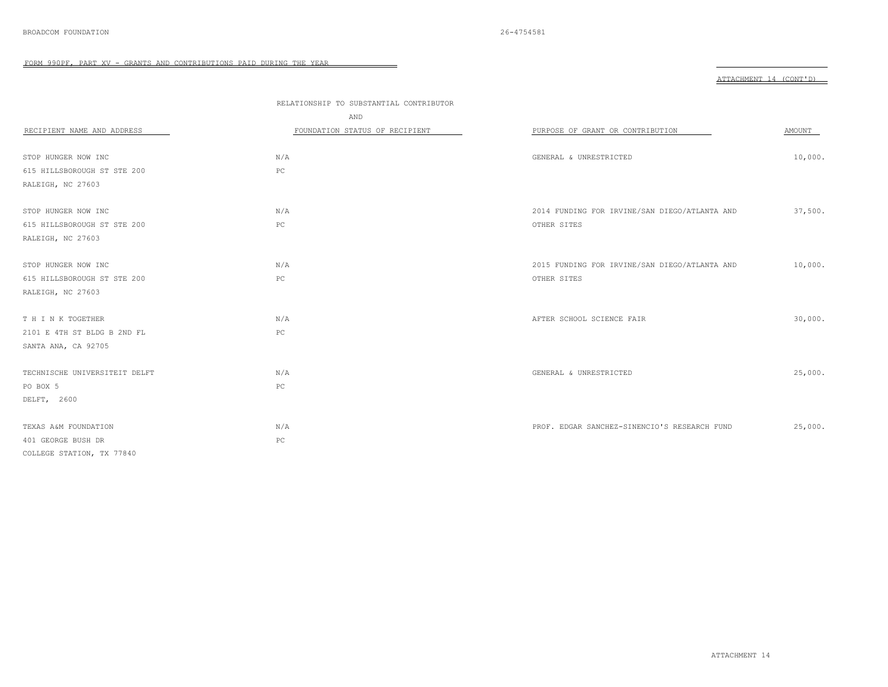|                               | RELATIONSHIP TO SUBSTANTIAL CONTRIBUTOR |                                               |         |
|-------------------------------|-----------------------------------------|-----------------------------------------------|---------|
|                               | AND                                     |                                               |         |
| RECIPIENT NAME AND ADDRESS    | FOUNDATION STATUS OF RECIPIENT          | PURPOSE OF GRANT OR CONTRIBUTION              | AMOUNT  |
|                               |                                         |                                               |         |
| STOP HUNGER NOW INC           | N/A                                     | GENERAL & UNRESTRICTED                        | 10,000. |
| 615 HILLSBOROUGH ST STE 200   | $_{\rm PC}$                             |                                               |         |
| RALEIGH, NC 27603             |                                         |                                               |         |
|                               |                                         |                                               |         |
| STOP HUNGER NOW INC           | N/A                                     | 2014 FUNDING FOR IRVINE/SAN DIEGO/ATLANTA AND | 37,500. |
| 615 HILLSBOROUGH ST STE 200   | $_{\rm PC}$                             | OTHER SITES                                   |         |
| RALEIGH, NC 27603             |                                         |                                               |         |
|                               |                                         |                                               |         |
| STOP HUNGER NOW INC           | N/A                                     | 2015 FUNDING FOR IRVINE/SAN DIEGO/ATLANTA AND | 10,000. |
| 615 HILLSBOROUGH ST STE 200   | $_{\rm PC}$                             | OTHER SITES                                   |         |
| RALEIGH, NC 27603             |                                         |                                               |         |
|                               |                                         |                                               |         |
| T H I N K TOGETHER            | N/A                                     | AFTER SCHOOL SCIENCE FAIR                     | 30,000. |
| 2101 E 4TH ST BLDG B 2ND FL   | $_{\rm PC}$                             |                                               |         |
| SANTA ANA, CA 92705           |                                         |                                               |         |
|                               |                                         |                                               |         |
| TECHNISCHE UNIVERSITEIT DELFT | N/A                                     | GENERAL & UNRESTRICTED                        | 25,000. |
| PO BOX 5                      | PC                                      |                                               |         |
| DELFT, 2600                   |                                         |                                               |         |
|                               |                                         |                                               |         |
| TEXAS A&M FOUNDATION          | N/A                                     | PROF. EDGAR SANCHEZ-SINENCIO'S RESEARCH FUND  | 25,000. |
| 401 GEORGE BUSH DR            | $_{\rm PC}$                             |                                               |         |
| COLLEGE STATION, TX 77840     |                                         |                                               |         |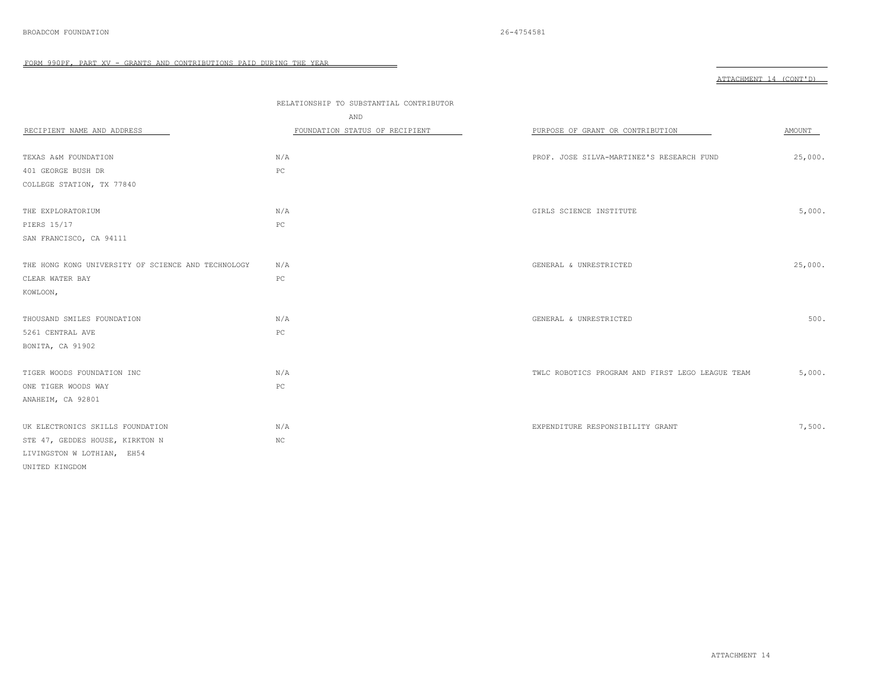|                                                    | RELATIONSHIP TO SUBSTANTIAL CONTRIBUTOR |                                                  |         |
|----------------------------------------------------|-----------------------------------------|--------------------------------------------------|---------|
|                                                    | AND                                     |                                                  |         |
| RECIPIENT NAME AND ADDRESS                         | FOUNDATION STATUS OF RECIPIENT          | PURPOSE OF GRANT OR CONTRIBUTION                 | AMOUNT  |
|                                                    |                                         |                                                  |         |
| TEXAS A&M FOUNDATION                               | N/A                                     | PROF. JOSE SILVA-MARTINEZ'S RESEARCH FUND        | 25,000. |
| 401 GEORGE BUSH DR                                 | PC                                      |                                                  |         |
| COLLEGE STATION, TX 77840                          |                                         |                                                  |         |
|                                                    |                                         |                                                  |         |
| THE EXPLORATORIUM                                  | N/A                                     | GIRLS SCIENCE INSTITUTE                          | 5,000.  |
| PIERS 15/17                                        | $_{\rm PC}$                             |                                                  |         |
| SAN FRANCISCO, CA 94111                            |                                         |                                                  |         |
|                                                    |                                         |                                                  |         |
| THE HONG KONG UNIVERSITY OF SCIENCE AND TECHNOLOGY | N/A                                     | GENERAL & UNRESTRICTED                           | 25,000. |
| CLEAR WATER BAY                                    | $_{\rm PC}$                             |                                                  |         |
| KOWLOON,                                           |                                         |                                                  |         |
|                                                    |                                         |                                                  |         |
| THOUSAND SMILES FOUNDATION                         | N/A                                     | GENERAL & UNRESTRICTED                           | 500.    |
| 5261 CENTRAL AVE                                   | PC                                      |                                                  |         |
| BONITA, CA 91902                                   |                                         |                                                  |         |
|                                                    |                                         |                                                  |         |
| TIGER WOODS FOUNDATION INC                         | N/A                                     | TWLC ROBOTICS PROGRAM AND FIRST LEGO LEAGUE TEAM | 5,000.  |
| ONE TIGER WOODS WAY                                | $_{\rm PC}$                             |                                                  |         |
| ANAHEIM, CA 92801                                  |                                         |                                                  |         |
|                                                    |                                         |                                                  |         |
| UK ELECTRONICS SKILLS FOUNDATION                   | N/A                                     | EXPENDITURE RESPONSIBILITY GRANT                 | 7,500.  |
| STE 47, GEDDES HOUSE, KIRKTON N                    | $_{\mathrm{NC}}$                        |                                                  |         |
| LIVINGSTON W LOTHIAN, EH54                         |                                         |                                                  |         |
| UNITED KINGDOM                                     |                                         |                                                  |         |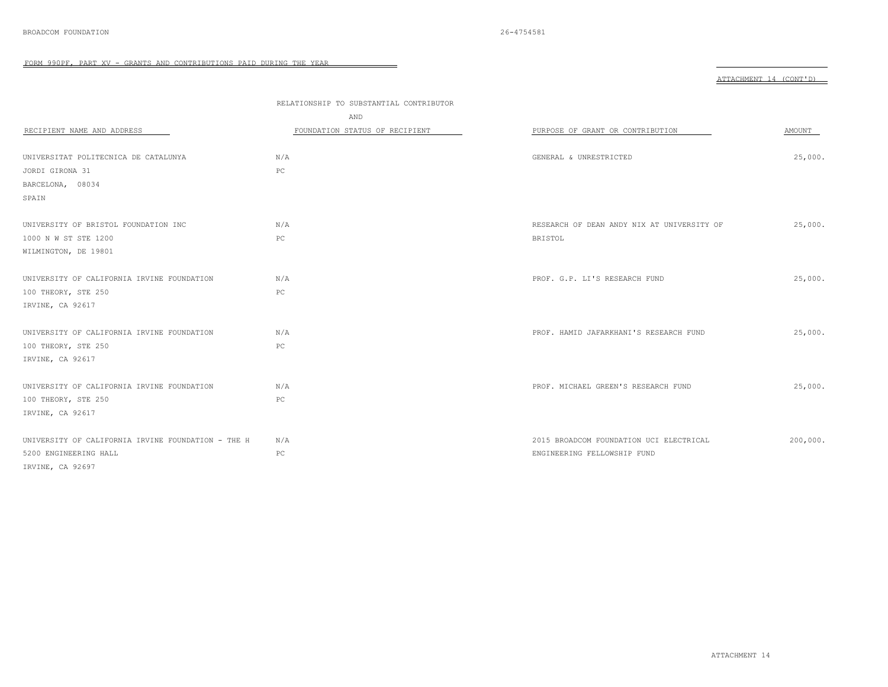|                                                    |                                         |                                            | ATTACHMENT 14 (CONT'D) |
|----------------------------------------------------|-----------------------------------------|--------------------------------------------|------------------------|
|                                                    |                                         |                                            |                        |
|                                                    | RELATIONSHIP TO SUBSTANTIAL CONTRIBUTOR |                                            |                        |
|                                                    | AND                                     |                                            |                        |
| RECIPIENT NAME AND ADDRESS                         | FOUNDATION STATUS OF RECIPIENT          | PURPOSE OF GRANT OR CONTRIBUTION           | AMOUNT                 |
|                                                    |                                         |                                            |                        |
| UNIVERSITAT POLITECNICA DE CATALUNYA               | N/A                                     | GENERAL & UNRESTRICTED                     | 25,000.                |
| JORDI GIRONA 31                                    | PC                                      |                                            |                        |
| BARCELONA, 08034                                   |                                         |                                            |                        |
| SPAIN                                              |                                         |                                            |                        |
|                                                    |                                         |                                            |                        |
| UNIVERSITY OF BRISTOL FOUNDATION INC               | N/A                                     | RESEARCH OF DEAN ANDY NIX AT UNIVERSITY OF | 25,000.                |
| 1000 N W ST STE 1200                               | PC                                      | <b>BRISTOL</b>                             |                        |
| WILMINGTON, DE 19801                               |                                         |                                            |                        |
|                                                    |                                         |                                            |                        |
| UNIVERSITY OF CALIFORNIA IRVINE FOUNDATION         | N/A                                     | PROF. G.P. LI'S RESEARCH FUND              | 25,000.                |
| 100 THEORY, STE 250                                | PC                                      |                                            |                        |
| IRVINE, CA 92617                                   |                                         |                                            |                        |
|                                                    |                                         |                                            |                        |
| UNIVERSITY OF CALIFORNIA IRVINE FOUNDATION         | N/A                                     | PROF. HAMID JAFARKHANI'S RESEARCH FUND     | 25,000.                |
| 100 THEORY, STE 250                                | $_{\rm PC}$                             |                                            |                        |
| IRVINE, CA 92617                                   |                                         |                                            |                        |
|                                                    |                                         |                                            |                        |
| UNIVERSITY OF CALIFORNIA IRVINE FOUNDATION         | N/A                                     | PROF. MICHAEL GREEN'S RESEARCH FUND        | 25,000.                |
| 100 THEORY, STE 250                                | $_{\rm PC}$                             |                                            |                        |
| IRVINE, CA 92617                                   |                                         |                                            |                        |
|                                                    |                                         |                                            |                        |
| UNIVERSITY OF CALIFORNIA IRVINE FOUNDATION - THE H | N/A                                     | 2015 BROADCOM FOUNDATION UCI ELECTRICAL    | 200,000.               |
| 5200 ENGINEERING HALL                              | $_{\rm PC}$                             | ENGINEERING FELLOWSHIP FUND                |                        |
| IRVINE, CA 92697                                   |                                         |                                            |                        |

ATTACHMENT 14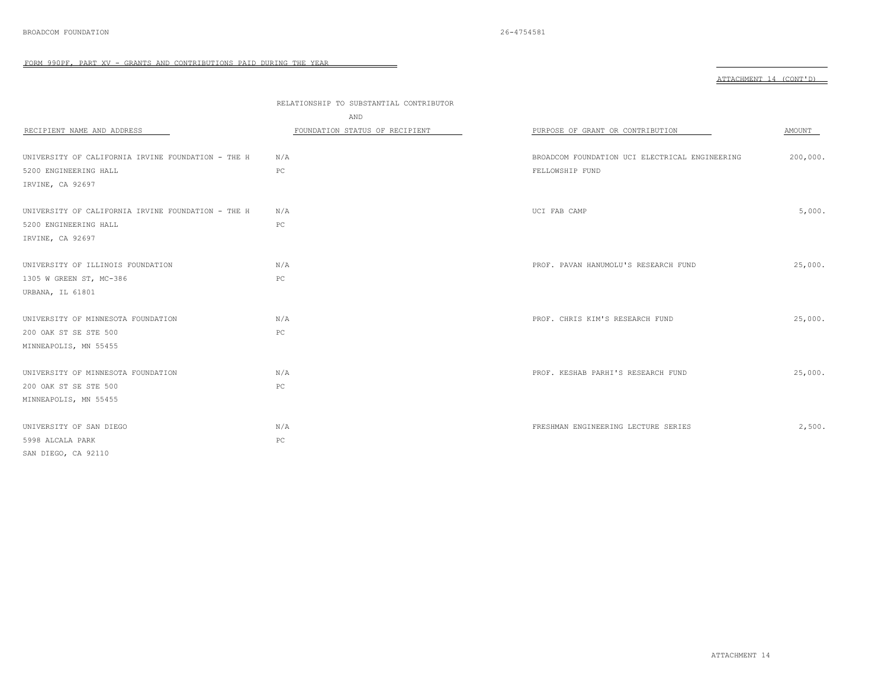|                                                    | RELATIONSHIP TO SUBSTANTIAL CONTRIBUTOR<br>AND |                                                |          |
|----------------------------------------------------|------------------------------------------------|------------------------------------------------|----------|
| RECIPIENT NAME AND ADDRESS                         | FOUNDATION STATUS OF RECIPIENT                 | PURPOSE OF GRANT OR CONTRIBUTION               | AMOUNT   |
|                                                    |                                                |                                                |          |
| UNIVERSITY OF CALIFORNIA IRVINE FOUNDATION - THE H | N/A                                            | BROADCOM FOUNDATION UCI ELECTRICAL ENGINEERING | 200,000. |
| 5200 ENGINEERING HALL                              | PC                                             | FELLOWSHIP FUND                                |          |
| IRVINE, CA 92697                                   |                                                |                                                |          |
| UNIVERSITY OF CALIFORNIA IRVINE FOUNDATION - THE H | N/A                                            | UCI FAB CAMP                                   | 5,000.   |
| 5200 ENGINEERING HALL                              | PC                                             |                                                |          |
| IRVINE, CA 92697                                   |                                                |                                                |          |
|                                                    |                                                |                                                |          |
| UNIVERSITY OF ILLINOIS FOUNDATION                  | N/A                                            | PROF. PAVAN HANUMOLU'S RESEARCH FUND           | 25,000.  |
| 1305 W GREEN ST, MC-386                            | PC                                             |                                                |          |
| URBANA, IL 61801                                   |                                                |                                                |          |
|                                                    |                                                |                                                |          |
| UNIVERSITY OF MINNESOTA FOUNDATION                 | N/A                                            | PROF. CHRIS KIM'S RESEARCH FUND                | 25,000.  |
| 200 OAK ST SE STE 500                              | PC                                             |                                                |          |
| MINNEAPOLIS, MN 55455                              |                                                |                                                |          |
|                                                    |                                                |                                                |          |
| UNIVERSITY OF MINNESOTA FOUNDATION                 | N/A                                            | PROF. KESHAB PARHI'S RESEARCH FUND             | 25,000.  |
| 200 OAK ST SE STE 500                              | PC                                             |                                                |          |
| MINNEAPOLIS, MN 55455                              |                                                |                                                |          |
|                                                    |                                                |                                                |          |
| UNIVERSITY OF SAN DIEGO                            | N/A                                            | FRESHMAN ENGINEERING LECTURE SERIES            | 2,500.   |
| 5998 ALCALA PARK                                   | PC                                             |                                                |          |
| SAN DIEGO, CA 92110                                |                                                |                                                |          |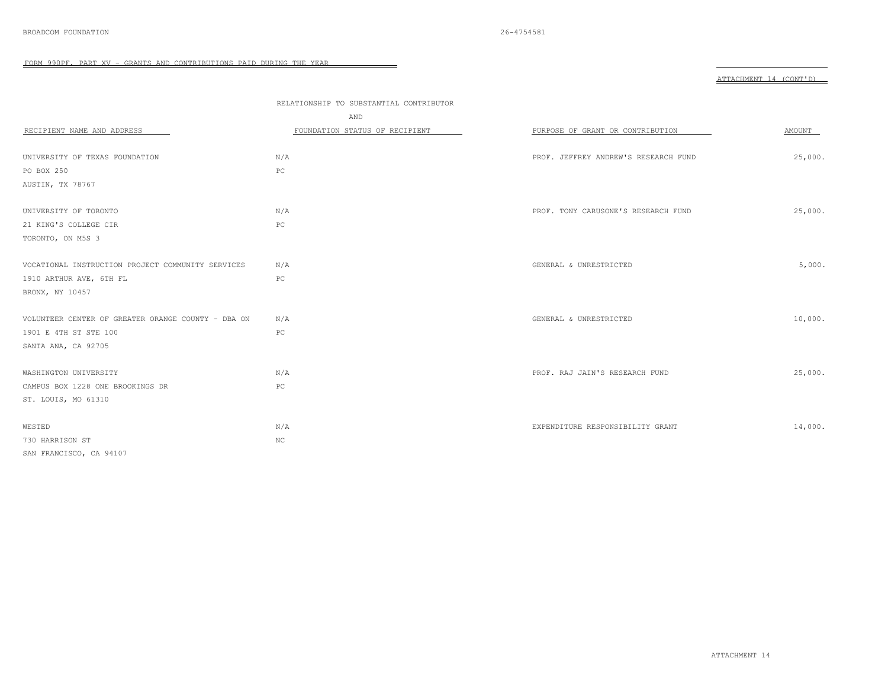FORM 990PF, PART XV - GRANTS AND CONTRIBUTIONS PAID DURING THE YEAR 

|                                                    |                                         |                                      | ATTACHMENT 14 (CONT'D) |
|----------------------------------------------------|-----------------------------------------|--------------------------------------|------------------------|
|                                                    | RELATIONSHIP TO SUBSTANTIAL CONTRIBUTOR |                                      |                        |
|                                                    | AND                                     |                                      |                        |
| RECIPIENT NAME AND ADDRESS                         | FOUNDATION STATUS OF RECIPIENT          | PURPOSE OF GRANT OR CONTRIBUTION     | AMOUNT                 |
| UNIVERSITY OF TEXAS FOUNDATION                     | N/A                                     | PROF. JEFFREY ANDREW'S RESEARCH FUND | 25,000.                |
| PO BOX 250                                         | PC                                      |                                      |                        |
| AUSTIN, TX 78767                                   |                                         |                                      |                        |
| UNIVERSITY OF TORONTO                              | N/A                                     | PROF. TONY CARUSONE'S RESEARCH FUND  | 25,000.                |
| 21 KING'S COLLEGE CIR                              | $_{\rm PC}$                             |                                      |                        |
| TORONTO, ON M5S 3                                  |                                         |                                      |                        |
| VOCATIONAL INSTRUCTION PROJECT COMMUNITY SERVICES  | N/A                                     | GENERAL & UNRESTRICTED               | 5,000.                 |
| 1910 ARTHUR AVE, 6TH FL                            | $_{\rm PC}$                             |                                      |                        |
| BRONX, NY 10457                                    |                                         |                                      |                        |
| VOLUNTEER CENTER OF GREATER ORANGE COUNTY - DBA ON | N/A                                     | GENERAL & UNRESTRICTED               | 10,000.                |
| 1901 E 4TH ST STE 100                              | PC                                      |                                      |                        |
| SANTA ANA, CA 92705                                |                                         |                                      |                        |
| WASHINGTON UNIVERSITY                              | N/A                                     | PROF. RAJ JAIN'S RESEARCH FUND       | 25,000.                |
| CAMPUS BOX 1228 ONE BROOKINGS DR                   | $_{\rm PC}$                             |                                      |                        |
| ST. LOUIS, MO 61310                                |                                         |                                      |                        |
| WESTED                                             | N/A                                     | EXPENDITURE RESPONSIBILITY GRANT     | 14,000.                |
| 730 HARRISON ST                                    | $_{\mathrm{NC}}$                        |                                      |                        |
| SAN FRANCISCO, CA 94107                            |                                         |                                      |                        |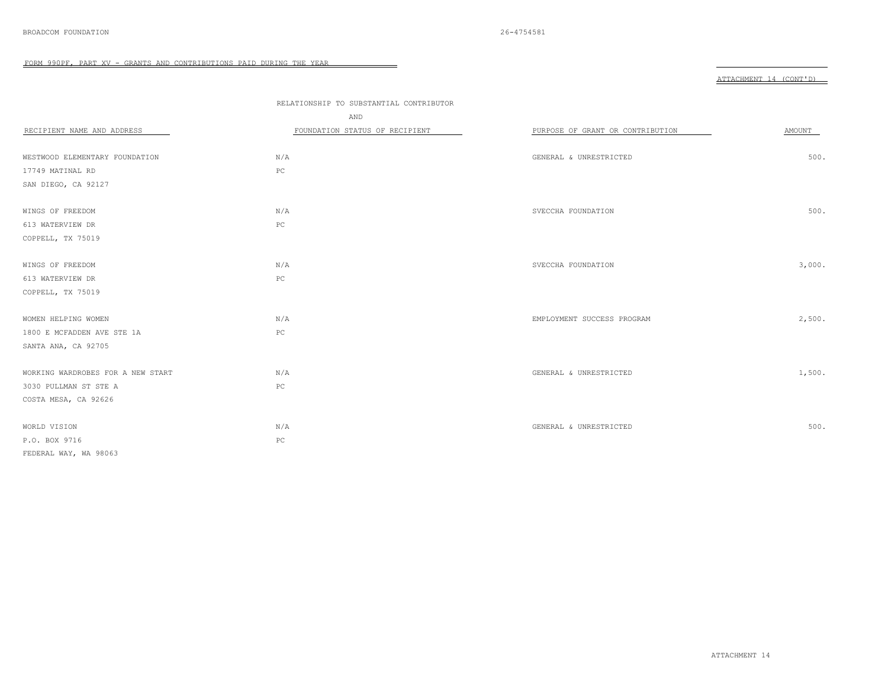|                                   | RELATIONSHIP TO SUBSTANTIAL CONTRIBUTOR |                                  |        |
|-----------------------------------|-----------------------------------------|----------------------------------|--------|
|                                   | AND                                     |                                  |        |
| RECIPIENT NAME AND ADDRESS        | FOUNDATION STATUS OF RECIPIENT          | PURPOSE OF GRANT OR CONTRIBUTION | AMOUNT |
|                                   |                                         |                                  |        |
| WESTWOOD ELEMENTARY FOUNDATION    | N/A                                     | GENERAL & UNRESTRICTED           | 500.   |
| 17749 MATINAL RD                  | $_{\rm PC}$                             |                                  |        |
| SAN DIEGO, CA 92127               |                                         |                                  |        |
|                                   |                                         |                                  |        |
| WINGS OF FREEDOM                  | N/A                                     | SVECCHA FOUNDATION               | 500.   |
| 613 WATERVIEW DR                  | PC                                      |                                  |        |
| COPPELL, TX 75019                 |                                         |                                  |        |
|                                   |                                         |                                  |        |
| WINGS OF FREEDOM                  | N/A                                     | SVECCHA FOUNDATION               | 3,000. |
| 613 WATERVIEW DR                  | $_{\rm PC}$                             |                                  |        |
| COPPELL, TX 75019                 |                                         |                                  |        |
|                                   |                                         |                                  |        |
| WOMEN HELPING WOMEN               | N/A                                     | EMPLOYMENT SUCCESS PROGRAM       | 2,500. |
| 1800 E MCFADDEN AVE STE 1A        | $_{\rm PC}$                             |                                  |        |
| SANTA ANA, CA 92705               |                                         |                                  |        |
|                                   |                                         |                                  |        |
| WORKING WARDROBES FOR A NEW START | N/A                                     | GENERAL & UNRESTRICTED           | 1,500. |
| 3030 PULLMAN ST STE A             | $_{\rm PC}$                             |                                  |        |
| COSTA MESA, CA 92626              |                                         |                                  |        |
|                                   |                                         |                                  |        |
| WORLD VISION                      | N/A                                     | GENERAL & UNRESTRICTED           | 500.   |
| P.O. BOX 9716                     | ${\tt PC}$                              |                                  |        |
| FEDERAL WAY, WA 98063             |                                         |                                  |        |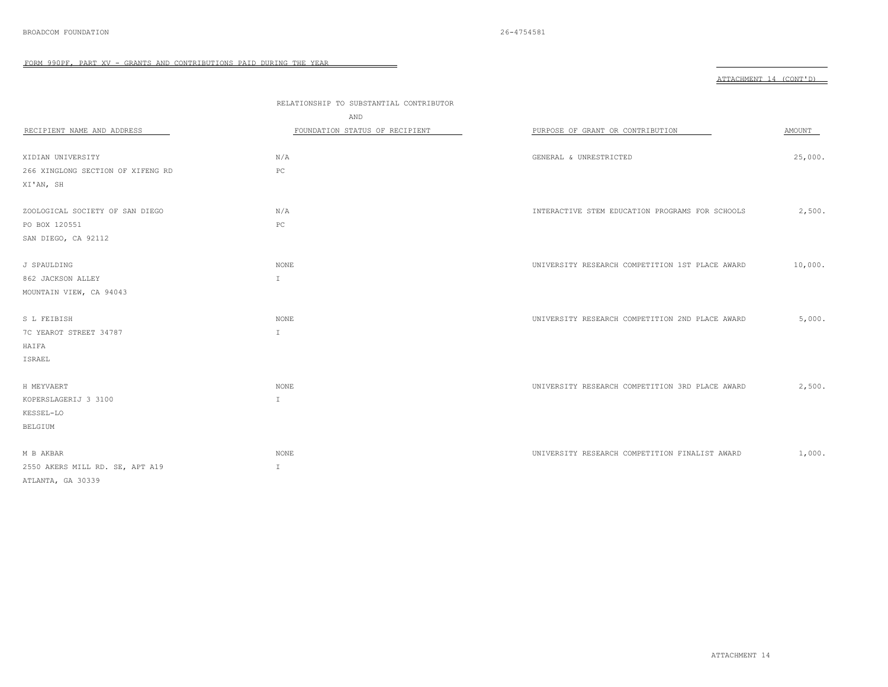| NП<br><b>⊂⊔</b> M⊡ ' |  |  |
|----------------------|--|--|
|----------------------|--|--|

|                                   | RELATIONSHIP TO SUBSTANTIAL CONTRIBUTOR |                                                 |         |  |
|-----------------------------------|-----------------------------------------|-------------------------------------------------|---------|--|
|                                   | AND                                     |                                                 |         |  |
| RECIPIENT NAME AND ADDRESS        | FOUNDATION STATUS OF RECIPIENT          | PURPOSE OF GRANT OR CONTRIBUTION                | AMOUNT  |  |
|                                   |                                         |                                                 |         |  |
| XIDIAN UNIVERSITY                 | N/A                                     | GENERAL & UNRESTRICTED                          | 25,000. |  |
| 266 XINGLONG SECTION OF XIFENG RD | $_{\rm PC}$                             |                                                 |         |  |
| XI'AN, SH                         |                                         |                                                 |         |  |
| ZOOLOGICAL SOCIETY OF SAN DIEGO   | N/A                                     | INTERACTIVE STEM EDUCATION PROGRAMS FOR SCHOOLS | 2,500.  |  |
| PO BOX 120551                     | PC                                      |                                                 |         |  |
|                                   |                                         |                                                 |         |  |
| SAN DIEGO, CA 92112               |                                         |                                                 |         |  |
| J SPAULDING                       | <b>NONE</b>                             | UNIVERSITY RESEARCH COMPETITION 1ST PLACE AWARD | 10,000. |  |
| 862 JACKSON ALLEY                 | $\mathbbm{I}$                           |                                                 |         |  |
| MOUNTAIN VIEW, CA 94043           |                                         |                                                 |         |  |
|                                   |                                         |                                                 |         |  |
| S L FEIBISH                       | NONE                                    | UNIVERSITY RESEARCH COMPETITION 2ND PLACE AWARD | 5,000.  |  |
| 7C YEAROT STREET 34787            | $\mathbbm{1}$                           |                                                 |         |  |
| HAIFA                             |                                         |                                                 |         |  |
| ISRAEL                            |                                         |                                                 |         |  |
|                                   |                                         |                                                 |         |  |
| H MEYVAERT                        | <b>NONE</b>                             | UNIVERSITY RESEARCH COMPETITION 3RD PLACE AWARD | 2,500.  |  |
| KOPERSLAGERIJ 3 3100              | $\mathbb{I}$                            |                                                 |         |  |
| KESSEL-LO                         |                                         |                                                 |         |  |
| <b>BELGIUM</b>                    |                                         |                                                 |         |  |
|                                   |                                         |                                                 |         |  |
| M B AKBAR                         | <b>NONE</b>                             | UNIVERSITY RESEARCH COMPETITION FINALIST AWARD  | 1,000.  |  |
| 2550 AKERS MILL RD. SE, APT A19   | I.                                      |                                                 |         |  |
| ATLANTA, GA 30339                 |                                         |                                                 |         |  |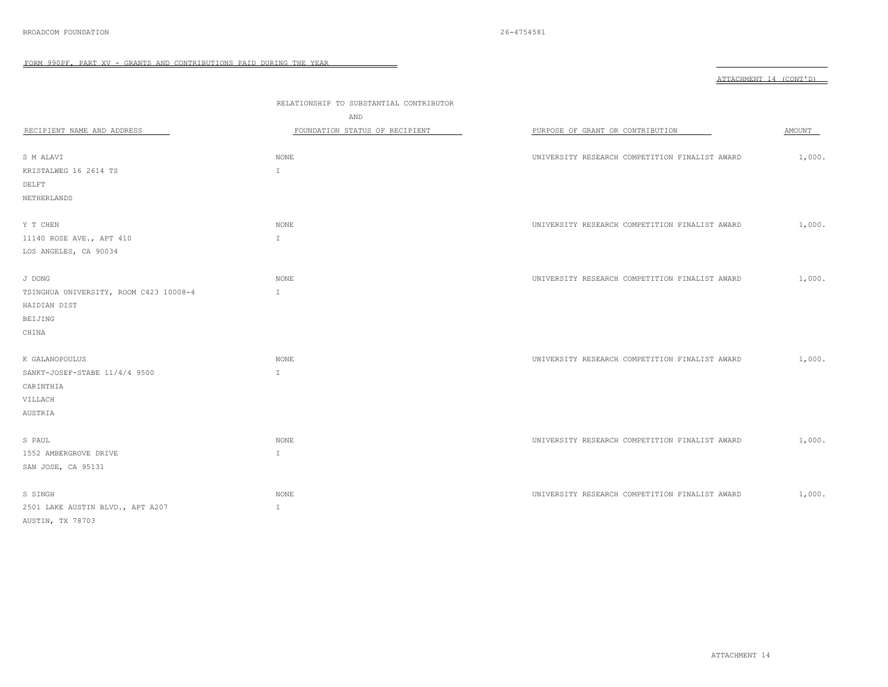FORM 990PF, PART XV - GRANTS AND CONTRIBUTIONS PAID DURING THE YEAR

|                                                                             |                                                                                  |                                                | ATTACHMENT 14 (CONT'D) |  |
|-----------------------------------------------------------------------------|----------------------------------------------------------------------------------|------------------------------------------------|------------------------|--|
| RECIPIENT NAME AND ADDRESS                                                  | RELATIONSHIP TO SUBSTANTIAL CONTRIBUTOR<br>AND<br>FOUNDATION STATUS OF RECIPIENT | PURPOSE OF GRANT OR CONTRIBUTION               | AMOUNT                 |  |
| S M ALAVI                                                                   | $\rm \textsc{None}$                                                              | UNIVERSITY RESEARCH COMPETITION FINALIST AWARD | 1,000.                 |  |
| KRISTALWEG 16 2614 TS                                                       | $\mathbb{I}$                                                                     |                                                |                        |  |
| DELFT                                                                       |                                                                                  |                                                |                        |  |
| NETHERLANDS                                                                 |                                                                                  |                                                |                        |  |
| Y T CHEN<br>11140 ROSE AVE., APT 410                                        | <b>NONE</b><br>$\mathbb{I}$                                                      | UNIVERSITY RESEARCH COMPETITION FINALIST AWARD | 1,000.                 |  |
| LOS ANGELES, CA 90034                                                       |                                                                                  |                                                |                        |  |
| J DONG<br>TSINGHUA UNIVERSITY, ROOM C423 10008-4<br>HAIDIAN DIST<br>BEIJING | NONE<br>$\mathbbm{1}$                                                            | UNIVERSITY RESEARCH COMPETITION FINALIST AWARD | 1,000.                 |  |
| CHINA<br>K GALANOPOULUS                                                     | $\rm{NONE}$                                                                      | UNIVERSITY RESEARCH COMPETITION FINALIST AWARD | 1,000.                 |  |
| SANKT-JOSEF-STABE 11/4/4 9500<br>CARINTHIA<br>VILLACH<br>AUSTRIA            | $\mathbbm{1}$                                                                    |                                                |                        |  |
| S PAUL<br>1552 AMBERGROVE DRIVE<br>SAN JOSE, CA 95131                       | NONE<br>$\mathbb{I}$                                                             | UNIVERSITY RESEARCH COMPETITION FINALIST AWARD | 1,000.                 |  |
| S SINGH<br>2501 LAKE AUSTIN BLVD., APT A207<br>AUSTIN, TX 78703             | NONE<br>$\mathbbm{I}$                                                            | UNIVERSITY RESEARCH COMPETITION FINALIST AWARD | 1,000.                 |  |

 $\qquad \qquad =$